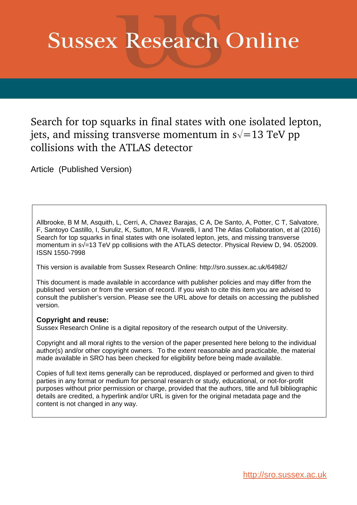# **Sussex Research Online**

Search for top squarks in final states with one isolated lepton, jets, and missing transverse momentum in  $s\sqrt{=}13$  TeV pp collisions with the ATLAS detector

Article (Published Version)

Allbrooke, B M M, Asquith, L, Cerri, A, Chavez Barajas, C A, De Santo, A, Potter, C T, Salvatore, F, Santoyo Castillo, I, Suruliz, K, Sutton, M R, Vivarelli, I and The Atlas Collaboration, et al (2016) Search for top squarks in final states with one isolated lepton, jets, and missing transverse momentum in s√=13 TeV pp collisions with the ATLAS detector. Physical Review D, 94. 052009. ISSN 1550-7998

This version is available from Sussex Research Online: http://sro.sussex.ac.uk/64982/

This document is made available in accordance with publisher policies and may differ from the published version or from the version of record. If you wish to cite this item you are advised to consult the publisher's version. Please see the URL above for details on accessing the published version.

# **Copyright and reuse:**

Sussex Research Online is a digital repository of the research output of the University.

Copyright and all moral rights to the version of the paper presented here belong to the individual author(s) and/or other copyright owners. To the extent reasonable and practicable, the material made available in SRO has been checked for eligibility before being made available.

Copies of full text items generally can be reproduced, displayed or performed and given to third parties in any format or medium for personal research or study, educational, or not-for-profit purposes without prior permission or charge, provided that the authors, title and full bibliographic details are credited, a hyperlink and/or URL is given for the original metadata page and the content is not changed in any way.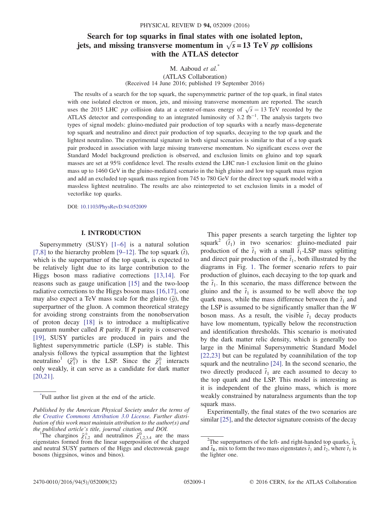## <span id="page-1-0"></span>Search for top squarks in final states with one isolated lepton, jets, and missing transverse momentum in  $\sqrt{s}$  = 13 TeV *pp* collisions with the ATLAS detector

## <span id="page-1-1"></span>M. Aaboud et al.<sup>\*</sup> (ATLAS Collaboration) (Received 14 June 2016; published 19 September 2016)

The results of a search for the top squark, the supersymmetric partner of the top quark, in final states with one isolated electron or muon, jets, and missing transverse momentum are reported. The search uses the 2015 LHC *pp* collision data at a center-of-mass energy of  $\sqrt{s} = 13$  TeV recorded by the ATLAS detector and corresponding to an integrated luminosity of 3.2  $fb^{-1}$ . The analysis targets two types of signal models: gluino-mediated pair production of top squarks with a nearly mass-degenerate top squark and neutralino and direct pair production of top squarks, decaying to the top quark and the lightest neutralino. The experimental signature in both signal scenarios is similar to that of a top quark pair produced in association with large missing transverse momentum. No significant excess over the Standard Model background prediction is observed, and exclusion limits on gluino and top squark masses are set at 95% confidence level. The results extend the LHC run-1 exclusion limit on the gluino mass up to 1460 GeV in the gluino-mediated scenario in the high gluino and low top squark mass region and add an excluded top squark mass region from 745 to 780 GeV for the direct top squark model with a massless lightest neutralino. The results are also reinterpreted to set exclusion limits in a model of vectorlike top quarks.

DOI: [10.1103/PhysRevD.94.052009](http://dx.doi.org/10.1103/PhysRevD.94.052009)

## I. INTRODUCTION

Supersymmetry  $(SUSY)$   $[1-6]$  $[1-6]$  is a natural solution [\[7,8\]](#page-15-1) to the hierarchy problem [9–[12\]](#page-15-2). The top squark  $(\tilde{t})$ , which is the superpartner of the top quark, is expected to be relatively light due to its large contribution to the Higgs boson mass radiative corrections [\[13,14\].](#page-15-3) For reasons such as gauge unification [\[15\]](#page-15-4) and the two-loop radiative corrections to the Higgs boson mass [\[16,17\],](#page-15-5) one may also expect a TeV mass scale for the gluino  $(\tilde{q})$ , the superpartner of the gluon. A common theoretical strategy for avoiding strong constraints from the nonobservation of proton decay [\[18\]](#page-15-6) is to introduce a multiplicative quantum number called  $R$  parity. If  $R$  parity is conserved [\[19\],](#page-15-7) SUSY particles are produced in pairs and the lightest supersymmetric particle (LSP) is stable. This analysis follows the typical assumption that the lightest neutralino<sup>1</sup> ( $\tilde{\chi}_1^0$ ) is the LSP. Since the  $\tilde{\chi}_1^0$  interacts only weakly, it can serve as a candidate for dark matter [\[20,21\].](#page-15-8)

This paper presents a search targeting the lighter top squark<sup>2</sup>  $(\tilde{t}_1)$  in two scenarios: gluino-mediated pair production of the  $\tilde{t}_1$  with a small  $\tilde{t}_1$ -LSP mass splitting and direct pair production of the  $\tilde{t}_1$ , both illustrated by the diagrams in Fig. [1.](#page-1-0) The former scenario refers to pair production of gluinos, each decaying to the top quark and the  $\tilde{t}_1$ . In this scenario, the mass difference between the gluino and the  $\tilde{t}_1$  is assumed to be well above the top quark mass, while the mass difference between the  $\tilde{t}_1$  and the LSP is assumed to be significantly smaller than the W boson mass. As a result, the visible  $\tilde{t}_1$  decay products have low momentum, typically below the reconstruction and identification thresholds. This scenario is motivated by the dark matter relic density, which is generally too large in the Minimal Supersymmetric Standard Model [\[22,23\]](#page-15-9) but can be regulated by coannihilation of the top squark and the neutralino [\[24\]](#page-15-10). In the second scenario, the two directly produced  $\tilde{t}_1$  are each assumed to decay to the top quark and the LSP. This model is interesting as it is independent of the gluino mass, which is more weakly constrained by naturalness arguments than the top squark mass.

Experimentally, the final states of the two scenarios are similar [\[25\]](#page-15-11), and the detector signature consists of the decay

<sup>\*</sup> Full author list given at the end of the article.

Published by the American Physical Society under the terms of the [Creative Commons Attribution 3.0 License.](http://creativecommons.org/licenses/by/3.0/) Further distribution of this work must maintain attribution to the author(s) and the published article's title, journal citation, and DOI.<br>The charginos  $\tilde{\chi}_{1,2}^{\pm}$  and neutralinos  $\tilde{\chi}_{1,2,3,4}^{0}$  are the mass

eigenstates formed from the linear superposition of the charged and neutral SUSY partners of the Higgs and electroweak gauge bosons (higgsinos, winos and binos).

<sup>&</sup>lt;sup>2</sup>The superpartners of the left- and right-handed top quarks,  $\tilde{t}_L$ and  $\tilde{t}_R$ , mix to form the two mass eigenstates  $\tilde{t}_1$  and  $\tilde{t}_2$ , where  $\tilde{t}_1$  is the lighter one.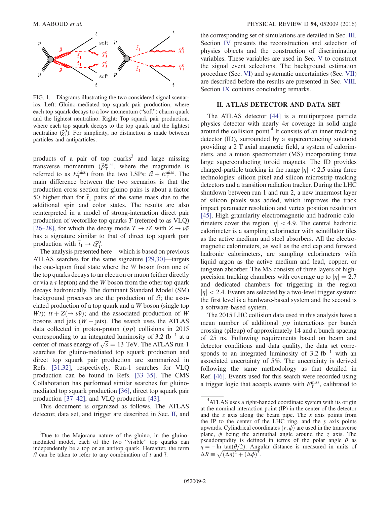<span id="page-2-1"></span>

FIG. 1. Diagrams illustrating the two considered signal scenarios. Left: Gluino-mediated top squark pair production, where each top squark decays to a low momentum ("soft") charm quark and the lightest neutralino. Right: Top squark pair production, where each top squark decays to the top quark and the lightest neutralino  $(\tilde{\chi}_1^0)$ . For simplicity, no distinction is made between particles and antiparticles.

products of a pair of top quarks<sup>3</sup> and large missing transverse momentum ( $\vec{p}_{\text{T}}^{\text{miss}}$ , where the magnitude is referred to as  $E_{\text{T}}^{\text{miss}}$ ) from the two LSPs:  $t\bar{t} + E_{\text{T}}^{\text{miss}}$ . The main difference between the two scenarios is that the production cross section for gluino pairs is about a factor 50 higher than for  $t_1$  pairs of the same mass due to the additional spin and color states. The results are also reinterpreted in a model of strong-interaction direct pair production of vectorlike top quarks  $T$  (referred to as  $VLQ$ ) [\[26](#page-15-12)–28], for which the decay mode  $T \rightarrow tZ$  with  $Z \rightarrow \nu\bar{\nu}$ has a signature similar to that of direct top squark pair production with  $\tilde{t}_1 \rightarrow t \tilde{\chi}_1^0$ .

<span id="page-2-0"></span>The analysis presented here—which is based on previous ATLAS searches for the same signature [\[29,30\]](#page-15-13)—targets the one-lepton final state where the W boson from one of the top quarks decays to an electron or muon (either directly or via a  $\tau$  lepton) and the W boson from the other top quark decays hadronically. The dominant Standard Model (SM) background processes are the production of  $t\bar{t}$ ; the associated production of a top quark and a W boson (single top Wt);  $t\bar{t} + Z(\rightarrow \nu\bar{\nu})$ ; and the associated production of W bosons and jets  $(W + jets)$ . The search uses the ATLAS data collected in proton-proton  $(pp)$  collisions in 2015 corresponding to an integrated luminosity of 3.2  $fb^{-1}$  at a center-of-mass energy of  $\sqrt{s} = 13$  TeV. The ATLAS run-1 searches for gluino-mediated top squark production and direct top squark pair production are summarized in Refs. [\[31,32\]](#page-15-14), respectively. Run-1 searches for VLQ production can be found in Refs. [\[33](#page-15-15)–35]. The CMS Collaboration has performed similar searches for gluinomediated top squark production [\[36\],](#page-15-16) direct top squark pair production [37–[42\],](#page-15-17) and VLQ production [\[43\].](#page-16-0)

This document is organized as follows. The ATLAS detector, data set, and trigger are described in Sec. [II](#page-1-1), and the corresponding set of simulations are detailed in Sec. [III](#page-2-0). Section [IV](#page-3-0) presents the reconstruction and selection of physics objects and the construction of discriminating variables. These variables are used in Sec. [V](#page-5-0) to construct the signal event selections. The background estimation procedure (Sec. [VI\)](#page-7-0) and systematic uncertainties (Sec. [VII\)](#page-11-0) are described before the results are presented in Sec. [VIII](#page-12-0). Section [IX](#page-14-0) contains concluding remarks.

## II. ATLAS DETECTOR AND DATA SET

The ATLAS detector [\[44\]](#page-16-1) is a multipurpose particle physics detector with nearly  $4\pi$  coverage in solid angle around the collision point. $4\text{ It}$  consists of an inner tracking detector (ID), surrounded by a superconducting solenoid providing a 2 T axial magnetic field, a system of calorimeters, and a muon spectrometer (MS) incorporating three large superconducting toroid magnets. The ID provides charged-particle tracking in the range  $|\eta|$  < 2.5 using three technologies: silicon pixel and silicon microstrip tracking detectors and a transition radiation tracker. During the LHC shutdown between run 1 and run 2, a new innermost layer of silicon pixels was added, which improves the track impact parameter resolution and vertex position resolution [\[45\]](#page-16-2). High-granularity electromagnetic and hadronic calorimeters cover the region  $|\eta| < 4.9$ . The central hadronic calorimeter is a sampling calorimeter with scintillator tiles as the active medium and steel absorbers. All the electromagnetic calorimeters, as well as the end cap and forward hadronic calorimeters, are sampling calorimeters with liquid argon as the active medium and lead, copper, or tungsten absorber. The MS consists of three layers of highprecision tracking chambers with coverage up to  $|\eta| = 2.7$ and dedicated chambers for triggering in the region  $|\eta|$  < 2.4. Events are selected by a two-level trigger system: the first level is a hardware-based system and the second is a software-based system.

The 2015 LHC collision data used in this analysis have a mean number of additional  $pp$  interactions per bunch crossing (pileup) of approximately 14 and a bunch spacing of 25 ns. Following requirements based on beam and detector conditions and data quality, the data set corresponds to an integrated luminosity of  $3.2$  fb<sup>-1</sup> with an associated uncertainty of 5%. The uncertainty is derived following the same methodology as that detailed in Ref. [\[46\].](#page-16-3) Events used for this search were recorded using a trigger logic that accepts events with  $E_{\rm T}^{\rm miss}$ , calibrated to

<sup>&</sup>lt;sup>3</sup>Due to the Majorana nature of the gluino, in the gluinomediated model, each of the two "visible" top quarks can independently be a top or an antitop quark. Hereafter, the term  $t\bar{t}$  can be taken to refer to any combination of t and  $\bar{t}$ .

<sup>&</sup>lt;sup>4</sup>ATLAS uses a right-handed coordinate system with its origin at the nominal interaction point (IP) in the center of the detector and the z axis along the beam pipe. The  $x$  axis points from the IP to the center of the LHC ring, and the y axis points upwards. Cylindrical coordinates  $(r, \phi)$  are used in the transverse plane,  $\phi$  being the azimuthal angle around the z axis. The pseudorapidity is defined in terms of the polar angle  $\theta$  as  $\hat{\eta} = -\ln \tan(\theta/2)$ . Angular distance is measured in units of  $\Delta R \equiv \sqrt{(\Delta \eta)^2 + (\Delta \phi)^2}.$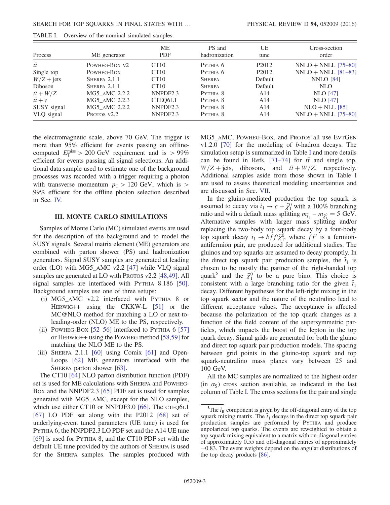| Process                  | ME generator   | МE<br><b>PDF</b> | PS and<br>hadronization | UE<br>tune        | Cross-section<br>order |
|--------------------------|----------------|------------------|-------------------------|-------------------|------------------------|
| $t\overline{t}$          | POWHEG-BOX v2  | CT10             | $PYTHIA$ 6              | P <sub>2012</sub> | $NNLO + NNLL$ [75-80]  |
| Single top               | POWHEG-BOX     | CT <sub>10</sub> | PYTHIA 6                | P <sub>2012</sub> | $NNLO + NNLL$ [81-83]  |
| $W/Z + jets$             | SHERPA 2.1.1   | CT <sub>10</sub> | <b>SHERPA</b>           | Default           | <b>NNLO</b> [84]       |
| Diboson                  | SHERPA $2.1.1$ | CT <sub>10</sub> | <b>SHERPA</b>           | Default           | NLO                    |
| $t\overline{t}+W/Z$      | MG5 AMC 2.2.2  | NNPDF2.3         | PYTHIA 8                | A14               | <b>NLO</b> [47]        |
| $t\overline{t} + \gamma$ | MG5 AMC 2.2.3  | CTEO6L1          | PYTHIA 8                | A14               | <b>NLO</b> [47]        |
| SUSY signal              | MG5 AMC 2.2.2  | NNPDF2.3         | PYTHIA 8                | A14               | $NLO + NLL$ [85]       |
| VLQ signal               | Protos v2.2    | NNPDF2.3         | PYTHIA 8                | A14               | $NNLO + NNLL$ [75-80]  |

TABLE I. Overview of the nominal simulated samples.

the electromagnetic scale, above 70 GeV. The trigger is more than 95% efficient for events passing an offlinecomputed  $E_{\rm T}^{\rm miss} > 200 \text{ GeV}$  requirement and is  $> 99\%$ efficient for events passing all signal selections. An additional data sample used to estimate one of the background processes was recorded with a trigger requiring a photon with transverse momentum  $p_T > 120$  GeV, which is > 99% efficient for the offline photon selection described in Sec. [IV.](#page-3-0)

#### III. MONTE CARLO SIMULATIONS

Samples of Monte Carlo (MC) simulated events are used for the description of the background and to model the SUSY signals. Several matrix element (ME) generators are combined with parton shower (PS) and hadronization generators. Signal SUSY samples are generated at leading order (LO) with MG5\_AMC v2.2 [\[47\]](#page-16-4) while VLQ signal samples are generated at LO with PROTOS v2.2 [\[48,49\].](#page-16-5) All signal samples are interfaced with PYTHIA 8.186 [\[50\]](#page-16-6). Background samples use one of three setups:

- <span id="page-3-0"></span>(i) MG5\_AMC v2.2 interfaced with PYTHIA 8 or HERWIG++ using the CKKW-L [\[51\]](#page-16-7) or the MC@NLO method for matching a LO or next-toleading-order (NLO) ME to the PS, respectively.
- (ii) POWHEG-BOX  $[52-56]$  $[52-56]$  interfaced to PYTHIA 6  $[57]$ or HERWIG++ using the POWHEG method [\[58,59\]](#page-16-10) for matching the NLO ME to the PS.
- (iii) SHERPA 2.1.1 [\[60\]](#page-16-11) using Comix [\[61\]](#page-16-12) and Open-Loops [\[62\]](#page-16-13) ME generators interfaced with the SHERPA parton shower [\[63\]](#page-16-14).

The CT10 [\[64\]](#page-16-15) NLO parton distribution function (PDF) set is used for ME calculations with SHERPA and POWHEG-BOX and the NNPDF2.3 [\[65\]](#page-16-16) PDF set is used for samples generated with MG5\_AMC, except for the NLO samples, which use either CT10 or NNPDF3.0 [\[66\].](#page-16-17) The CTEQ6L1 [\[67\]](#page-16-18) LO PDF set along with the P2012 [\[68\]](#page-16-19) set of underlying-event tuned parameters (UE tune) is used for PYTHIA 6; the NNPDF2.3 LO PDF set and the A14 UE tune [\[69\]](#page-16-20) is used for PYTHIA 8; and the CT10 PDF set with the default UE tune provided by the authors of SHERPA is used for the SHERPA samples. The samples produced with MG5\_AMC, POWHEG-BOX, and PROTOS all use EVTGEN v1.2.0 [\[70\]](#page-16-21) for the modeling of b-hadron decays. The simulation setup is summarized in Table [I](#page-2-1) and more details can be found in Refs. [71–[74\]](#page-16-22) for  $t\bar{t}$  and single top,  $W/Z + \text{jets}$ , dibosons, and  $t\bar{t} + W/Z$ , respectively. Additional samples aside from those shown in Table [I](#page-2-1) are used to assess theoretical modeling uncertainties and are discussed in Sec. [VII](#page-11-0).

In the gluino-mediated production the top squark is assumed to decay via  $\tilde{t}_1 \rightarrow c + \tilde{\chi}_1^0$  with a 100% branching ratio and with a default mass splitting  $m_{\tilde{t}_1} - m_{\tilde{\chi}_1^0} = 5$  GeV. Alternative samples with larger mass splitting and/or replacing the two-body top squark decay by a four-body top squark decay  $t_1 \rightarrow b f f' \tilde{\chi}_1^0$ , where  $f f'$  is a fermionantifermion pair, are produced for additional studies. The gluinos and top squarks are assumed to decay promptly. In the direct top squark pair production samples, the  $\tilde{t}_1$  is chosen to be mostly the partner of the right-handed top quark<sup>5</sup> and the  $\tilde{\chi}_1^0$  to be a pure bino. This choice is consistent with a large branching ratio for the given  $\tilde{t}_1$ decay. Different hypotheses for the left-right mixing in the top squark sector and the nature of the neutralino lead to different acceptance values. The acceptance is affected because the polarization of the top quark changes as a function of the field content of the supersymmetric particles, which impacts the boost of the lepton in the top quark decay. Signal grids are generated for both the gluino and direct top squark pair production models. The spacing between grid points in the gluino-top squark and top squark-neutralino mass planes vary between 25 and 100 GeV.

All the MC samples are normalized to the highest-order (in  $\alpha$ <sub>S</sub>) cross section available, as indicated in the last column of Table [I.](#page-2-1) The cross sections for the pair and single

<sup>&</sup>lt;sup>5</sup>The  $\tilde{t}_R$  component is given by the off-diagonal entry of the top squark mixing matrix. The  $\tilde{t}_1$  decays in the direct top squark pair production samples are performed by PYTHIA and produce unpolarized top quarks. The events are reweighted to obtain a top squark mixing equivalent to a matrix with on-diagonal entries of approximately 0.55 and off-diagonal entries of approximately  $\pm 0.83$ . The event weights depend on the angular distributions of the top decay products [\[86\]](#page-17-3).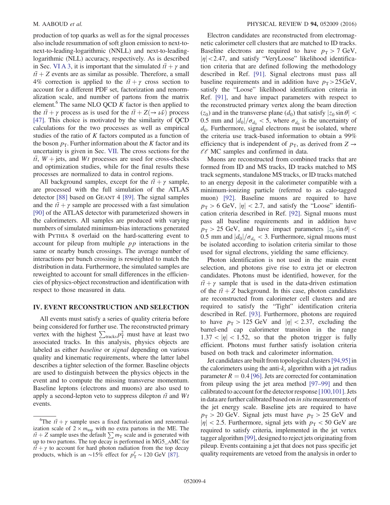<span id="page-4-0"></span>production of top quarks as well as for the signal processes also include resummation of soft gluon emission to next-tonext-to-leading-logarithmic (NNLL) and next-to-leadinglogarithmic (NLL) accuracy, respectively. As is described in Sec. [VI A 3](#page-9-0), it is important that the simulated  $t\bar{t} + \gamma$  and  $t\bar{t}$  + Z events are as similar as possible. Therefore, a small 4% correction is applied to the  $t\bar{t} + \gamma$  cross section to account for a different PDF set, factorization and renormalization scale, and number of partons from the matrix element.<sup>6</sup> The same NLO QCD  $\overrightarrow{K}$  factor is then applied to the  $t\bar{t} + \gamma$  process as is used for the  $t\bar{t} + Z(\rightarrow \nu\bar{\nu})$  process [\[47\]](#page-16-4). This choice is motivated by the similarity of QCD calculations for the two processes as well as empirical studies of the ratio of  $K$  factors computed as a function of the boson  $p<sub>T</sub>$ . Further information about the K factor and its uncertainty is given in Sec. [VII.](#page-11-0) The cross sections for the  $t\bar{t}$ ,  $W$  + jets, and  $Wt$  processes are used for cross-checks and optimization studies, while for the final results these processes are normalized to data in control regions.

All background samples, except for the  $t\bar{t} + \gamma$  sample, are processed with the full simulation of the ATLAS detector [\[88\]](#page-17-4) based on GEANT 4 [\[89\].](#page-17-5) The signal samples and the  $t\bar{t} + \gamma$  sample are processed with a fast simulation [\[90\]](#page-17-6) of the ATLAS detector with parameterized showers in the calorimeters. All samples are produced with varying numbers of simulated minimum-bias interactions generated with PYTHIA 8 overlaid on the hard-scattering event to account for pileup from multiple pp interactions in the same or nearby bunch crossings. The average number of interactions per bunch crossing is reweighted to match the distribution in data. Furthermore, the simulated samples are reweighted to account for small differences in the efficiencies of physics-object reconstruction and identification with respect to those measured in data.

#### IV. EVENT RECONSTRUCTION AND SELECTION

All events must satisfy a series of quality criteria before being considered for further use. The reconstructed primary vertex with the highest  $\sum_{\text{tracks}} p_{\text{T}}^2$  must have at least two associated tracks. In this analysis, physics objects are labeled as either *baseline* or *signal* depending on various quality and kinematic requirements, where the latter label describes a tighter selection of the former. Baseline objects are used to distinguish between the physics objects in the event and to compute the missing transverse momentum. Baseline leptons (electrons and muons) are also used to apply a second-lepton veto to suppress dilepton  $t\bar{t}$  and  $Wt$ events.

Electron candidates are reconstructed from electromagnetic calorimeter cell clusters that are matched to ID tracks. Baseline electrons are required to have  $p_T > 7$  GeV,  $|\eta|$  < 2.47, and satisfy "VeryLoose" likelihood identification criteria that are defined following the methodology described in Ref. [\[91\].](#page-17-7) Signal electrons must pass all baseline requirements and in addition have  $p_T > 25 \,\text{GeV}$ , satisfy the "Loose" likelihood identification criteria in Ref. [\[91\]](#page-17-7), and have impact parameters with respect to the reconstructed primary vertex along the beam direction ( $z_0$ ) and in the transverse plane ( $d_0$ ) that satisfy  $|z_0 \sin \theta|$  < 0.5 mm and  $|d_0|/\sigma_{d_0}$  < 5, where  $\sigma_{d_0}$  is the uncertainty of  $d_0$ . Furthermore, signal electrons must be isolated, where the criteria use track-based information to obtain a 99% efficiency that is independent of  $p<sub>T</sub>$ , as derived from  $Z \rightarrow$  $\ell\ell$  MC samples and confirmed in data.

Muons are reconstructed from combined tracks that are formed from ID and MS tracks, ID tracks matched to MS track segments, standalone MS tracks, or ID tracks matched to an energy deposit in the calorimeter compatible with a minimum-ionizing particle (referred to as calo-tagged muon) [\[92\].](#page-17-8) Baseline muons are required to have  $p_{\rm T} > 6$  GeV,  $|\eta| < 2.7$ , and satisfy the "Loose" identification criteria described in Ref. [\[92\]](#page-17-8). Signal muons must pass all baseline requirements and in addition have  $p_T > 25$  GeV, and have impact parameters  $|z_0 \sin \theta|$  < 0.5 mm and  $|d_0|/\sigma_{d_0}$  < 3. Furthermore, signal muons must be isolated according to isolation criteria similar to those used for signal electrons, yielding the same efficiency.

Photon identification is not used in the main event selection, and photons give rise to extra jet or electron candidates. Photons must be identified, however, for the  $t\bar{t} + \gamma$  sample that is used in the data-driven estimation of the  $t\bar{t} + Z$  background. In this case, photon candidates are reconstructed from calorimeter cell clusters and are required to satisfy the "Tight" identification criteria described in Ref. [\[93\]](#page-17-9). Furthermore, photons are required to have  $p_T > 125$  GeV and  $|\eta| < 2.37$ , excluding the barrel-end cap calorimeter transition in the range  $1.37 < |\eta| < 1.52$ , so that the photon trigger is fully efficient. Photons must further satisfy isolation criteria based on both track and calorimeter information.

Jet candidates are built from topological clusters[\[94,95\]](#page-17-10)in the calorimeters using the anti- $k_t$  algorithm with a jet radius parameter  $R = 0.4$  [\[96\].](#page-17-11) Jets are corrected for contamination from pileup using the jet area method [97–[99\]](#page-17-12) and then calibrated to account for the detector response [\[100,101\]](#page-17-13). Jets in data are further calibrated based on in situ measurements of the jet energy scale. Baseline jets are required to have  $p_T > 20$  GeV. Signal jets must have  $p_T > 25$  GeV and  $|\eta|$  < 2.5. Furthermore, signal jets with  $p_T < 50$  GeV are required to satisfy criteria, implemented in the jet vertex tagger algorithm [\[99\],](#page-17-14) designed to reject jets originating from pileup. Events containing a jet that does not pass specific jet quality requirements are vetoed from the analysis in order to

<sup>&</sup>lt;sup>6</sup>The  $t\bar{t} + \gamma$  sample uses a fixed factorization and renormalization scale of  $2 \times m_{\text{top}}$  with no extra partons in the ME. The  $t\bar{t} + Z$  sample uses the default  $\sum m_T$  scale and is generated with up to two partons. The top decay is performed in MG5\_AMC for  $t\bar{t} + \gamma$  to account for hard photon radiation from the top decay products, which is an ~15% effect for  $p_T^{\gamma} \sim 120 \text{ GeV}$  [\[87\].](#page-17-15)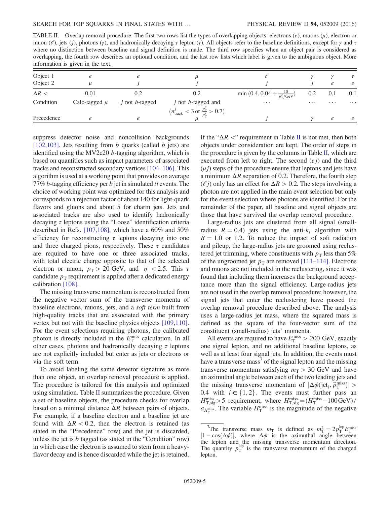TABLE II. Overlap removal procedure. The first two rows list the types of overlapping objects: electrons  $(e)$ , muons  $(\mu)$ , electron or muon ( $\ell$ ), jets (j), photons (γ), and hadronically decaying τ lepton (τ). All objects refer to the baseline definitions, except for γ and τ where no distinction between baseline and signal definition is made. The third row specifies when an object pair is considered as overlapping, the fourth row describes an optional condition, and the last row lists which label is given to the ambiguous object. More information is given in the text.

| Object 1<br>Object 2 |                   |                |                                                                                        |                                                          |          | e        | $\tau$<br>$\epsilon$ |
|----------------------|-------------------|----------------|----------------------------------------------------------------------------------------|----------------------------------------------------------|----------|----------|----------------------|
| $\Delta R <$         | 0.01              | 0.2            | 0.2                                                                                    | min $(0.4, 0.04 + \frac{10}{p_{\pi}^{\ell}/\text{GeV}})$ | 0.2      | 0.1      | 0.1                  |
| Condition            | Calo-tagged $\mu$ | j not b-tagged | j not b-tagged and                                                                     | $\cdots$                                                 | $\cdots$ | $\cdots$ | $\cdots$             |
| Precedence           |                   | e              | $(n_{\text{track}}^j < 3 \text{ or } \frac{p_{\text{T}}^{\mu}}{p_{\text{T}}^j} > 0.7)$ |                                                          |          | e        | $\epsilon$           |

suppress detector noise and noncollision backgrounds [\[102,103\]](#page-17-16). Jets resulting from  $b$  quarks (called  $b$  jets) are identified using the MV2c20 b-tagging algorithm, which is based on quantities such as impact parameters of associated tracks and reconstructed secondary vertices [104–[106\].](#page-17-17) This algorithm is used at a working point that provides on average 77% *b*-tagging efficiency per *b* jet in simulated  $t\bar{t}$  events. The choice of working point was optimized for this analysis and corresponds to a rejection factor of about 140 for light-quark flavors and gluons and about 5 for charm jets. Jets and associated tracks are also used to identify hadronically decaying  $\tau$  leptons using the "Loose" identification criteria described in Refs. [\[107,108\],](#page-17-18) which have a 60% and 50% efficiency for reconstructing  $\tau$  leptons decaying into one and three charged pions, respectively. These  $\tau$  candidates are required to have one or three associated tracks, with total electric charge opposite to that of the selected electron or muon,  $p_T > 20$  GeV, and  $|\eta| < 2.5$ . This  $\tau$ candidate  $p_T$  requirement is applied after a dedicated energy calibration [\[108\]](#page-17-19).

The missing transverse momentum is reconstructed from the negative vector sum of the transverse momenta of baseline electrons, muons, jets, and a soft term built from high-quality tracks that are associated with the primary vertex but not with the baseline physics objects [\[109,110\]](#page-17-20). For the event selections requiring photons, the calibrated photon is directly included in the  $E_{\rm T}^{\rm miss}$  calculation. In all other cases, photons and hadronically decaying  $\tau$  leptons are not explicitly included but enter as jets or electrons or via the soft term.

To avoid labeling the same detector signature as more than one object, an overlap removal procedure is applied. The procedure is tailored for this analysis and optimized using simulation. Table [II](#page-4-0) summarizes the procedure. Given a set of baseline objects, the procedure checks for overlap based on a minimal distance  $\Delta R$  between pairs of objects. For example, if a baseline electron and a baseline jet are found with  $\Delta R < 0.2$ , then the electron is retained (as stated in the "Precedence" row) and the jet is discarded, unless the jet is  $b$  tagged (as stated in the "Condition" row) in which case the electron is assumed to stem from a heavyflavor decay and is hence discarded while the jet is retained. <span id="page-5-0"></span>If the " $\Delta R$  <" requirement in Table [II](#page-4-0) is not met, then both objects under consideration are kept. The order of steps in the procedure is given by the columns in Table [II,](#page-4-0) which are executed from left to right. The second  $(ej)$  and the third  $(\mu i)$  steps of the procedure ensure that leptons and jets have a minimum  $\Delta R$  separation of 0.2. Therefore, the fourth step  $(\ell j)$  only has an effect for  $\Delta R > 0.2$ . The steps involving a photon are not applied in the main event selection but only for the event selection where photons are identified. For the remainder of the paper, all baseline and signal objects are those that have survived the overlap removal procedure.

Large-radius jets are clustered from all signal (smallradius  $R = 0.4$ ) jets using the anti- $k_t$  algorithm with  $R = 1.0$  or 1.2. To reduce the impact of soft radiation and pileup, the large-radius jets are groomed using reclustered jet trimming, where constituents with  $p_T$  less than 5% of the ungroomed jet  $p_T$  are removed [111–[114\].](#page-17-21) Electrons and muons are not included in the reclustering, since it was found that including them increases the background acceptance more than the signal efficiency. Large-radius jets are not used in the overlap removal procedure; however, the signal jets that enter the reclustering have passed the overlap removal procedure described above. The analysis uses a large-radius jet mass, where the squared mass is defined as the square of the four-vector sum of the constituent (small-radius) jets' momenta.

All events are required to have  $E_{\rm T}^{\rm miss} > 200 \text{ GeV}$ , exactly one signal lepton, and no additional baseline leptons, as well as at least four signal jets. In addition, the events must have a transverse mass<sup>7</sup> of the signal lepton and the missing transverse momentum satisfying  $m<sub>T</sub> > 30$  GeV and have an azimuthal angle between each of the two leading jets and the missing transverse momentum of  $|\Delta \phi(\text{jet}_i, \vec{p}_T^{\text{miss}})| >$ 0.4 with  $i \in \{1, 2\}$ . The events must further pass an  $H_{\text{T,sig}}^{\text{miss}} > 5$  requirement, where  $H_{\text{T,sig}}^{\text{miss}} = (H_{\text{T}}^{\text{miss}} - 100 \,\text{GeV})/$  $\sigma_{H_{\text{T}}^{\text{miss}}}$ . The variable  $H_{\text{T}}^{\text{miss}}$  is the magnitude of the negative

<sup>&</sup>lt;sup>7</sup>The transverse mass  $m_T$  is defined as  $m_T^2 = 2p_T^{\text{lep}}E_T^{\text{miss}}$  $[1 - \cos(\Delta \phi)]$ , where  $\Delta \phi$  is the azimuthal angle between the lepton and the missing transverse momentum direction. The quantity  $p_T^{\text{lep}}$  is the transverse momentum of the charged lepton.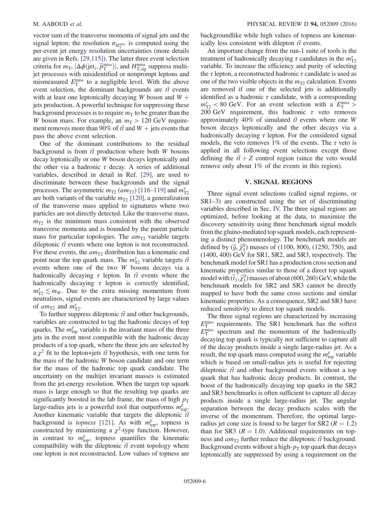<span id="page-6-0"></span>vector sum of the transverse momenta of signal jets and the signal lepton; the resolution  $\sigma_{H_{\rm T}^{\rm miss}}$  is computed using the per-event jet energy resolution uncertainties (more details are given in Refs. [\[29,115\]](#page-15-13)). The latter three event selection criteria for  $m_T$ ,  $|\Delta \phi(\text{jet}_i, \vec{p}_T^{\text{miss}})|$ , and  $H_{T,\text{sig}}^{\text{miss}}$  suppress multijet processes with misidentified or nonprompt leptons and mismeasured  $E_{\rm T}^{\rm miss}$  to a negligible level. With the above event selection, the dominant backgrounds are  $t\bar{t}$  events with at least one leptonically decaying W boson and  $W +$ jets production. A powerful technique for suppressing these background processes is to require  $m<sub>T</sub>$  to be greater than the W boson mass. For example, an  $m<sub>T</sub> > 120$  GeV requirement removes more than 90% of  $t\bar{t}$  and  $W +$  jets events that pass the above event selection.

One of the dominant contributions to the residual background is from  $t\bar{t}$  production where both W bosons decay leptonically or one W boson decays leptonically and the other via a hadronic  $\tau$  decay. A series of additional variables, described in detail in Ref. [\[29\]](#page-15-13), are used to discriminate between these backgrounds and the signal processes. The asymmetric  $m_{T2}$  ( $am_{T2}$ ) [\[116](#page-17-22)–119] and  $m_{T2}^{\tau}$ are both variants of the variable  $m_{\text{T2}}$  [\[120\]](#page-17-23), a generalization of the transverse mass applied to signatures where two particles are not directly detected. Like the transverse mass,  $m_{\text{T2}}$  is the minimum mass consistent with the observed transverse momenta and is bounded by the parent particle mass for particular topologies. The  $am_{T2}$  variable targets dileptonic  $t\bar{t}$  events where one lepton is not reconstructed. For these events, the  $am_{T2}$  distribution has a kinematic end point near the top quark mass. The  $m_{T2}^{\tau}$  variable targets  $t\bar{t}$ events where one of the two W bosons decays via a hadronically decaying  $\tau$  lepton. In  $t\bar{t}$  events where the hadronically decaying  $\tau$  lepton is correctly identified,  $m_{\text{T2}}^{\tau} \lesssim m_W$ . Due to the extra missing momentum from neutralinos, signal events are characterized by large values of  $am_{T2}$  and  $m_{T2}^{\tau}$ .

To further suppress dileptonic  $t\bar{t}$  and other backgrounds, variables are constructed to tag the hadronic decays of top quarks. The  $m_{\text{top}}^{\chi}$  variable is the invariant mass of the three jets in the event most compatible with the hadronic decay products of a top quark, where the three jets are selected by  $a \chi^2$  fit to the lepton+jets  $t\bar{t}$  hypothesis, with one term for the mass of the hadronic W boson candidate and one term for the mass of the hadronic top quark candidate. The uncertainty on the multijet invariant masses is estimated from the jet-energy resolution. When the target top squark mass is large enough so that the resulting top quarks are significantly boosted in the lab frame, the mass of high  $p_T$ large-radius jets is a powerful tool that outperforms  $m_{\text{top}}^{\hat{\chi}}$ . Another kinematic variable that targets the dileptonic  $t\bar{t}$ background is *topness* [\[121\]](#page-17-24). As with  $m_{top}^{\chi}$ , topness is constructed by minimizing a  $\chi^2$ -type function. However, in contrast to  $m_{\text{top}}^{\chi}$ , topness quantifies the kinematic compatibility with the dileptonic  $t\bar{t}$  event topology where one lepton is not reconstructed. Low values of topness are backgroundlike while high values of topness are kinematically less consistent with dilepton  $t\bar{t}$  events.

An important change from the run-1 suite of tools is the treatment of hadronically decaying  $\tau$  candidates in the  $m_{\text{T2}}^{\tau}$ variable. To increase the efficiency and purity of selecting the  $\tau$  lepton, a reconstructed hadronic  $\tau$  candidate is used as one of the two visible objects in the  $m<sub>T2</sub>$  calculation. Events are removed if one of the selected jets is additionally identified as a hadronic  $\tau$  candidate, with a corresponding  $m_{\text{T2}}^2$  < 80 GeV. For an event selection with a  $E_{\text{T}}^{\text{miss}}$  > 200 GeV requirement, this hadronic  $\tau$  veto removes approximately 40% of simulated  $t\bar{t}$  events where one W boson decays leptonically and the other decays via a hadronically decaying  $\tau$  lepton. For the considered signal models, the veto removes 1% of the events. The  $\tau$  veto is applied in all following event selections except those defining the  $t\bar{t} + Z$  control region (since the veto would remove only about 1% of the events in this region).

#### V. SIGNAL REGIONS

Three signal event selections (called signal regions, or SR1–3) are constructed using the set of discriminating variables described in Sec. [IV.](#page-3-0) The three signal regions are optimized, before looking at the data, to maximize the discovery sensitivity using three benchmark signal models from the gluino-mediated top squark models, each representing a distinct phenomenology. The benchmark models are defined by  $(\tilde{g}, \tilde{\chi}_1^0)$  masses of (1100, 800), (1250, 750), and (1400, 400) GeV for SR1, SR2, and SR3, respectively. The benchmark model for SR1 has a production cross section and kinematic properties similar to those of a direct top squark model with  $(\tilde{t}_1, \tilde{\chi}_1^0)$  masses of about (600, 260) GeV, while the benchmark models for SR2 and SR3 cannot be directly mapped to have both the same cross sections and similar kinematic properties. As a consequence, SR2 and SR3 have reduced sensitivity to direct top squark models.

The three signal regions are characterized by increasing  $E_{\rm T}^{\rm miss}$  requirements. The SR1 benchmark has the softest  $E_{\rm T}^{\rm miss}$  spectrum and the momentum of the hadronically decaying top quark is typically not sufficient to capture all of the decay products inside a single large-radius jet. As a result, the top quark mass computed using the  $m_{\text{top}}^{\chi}$  variable which is based on small-radius jets is useful for rejecting dileptonic  $t\bar{t}$  and other background events without a top quark that has hadronic decay products. In contrast, the boost of the hadronically decaying top quarks in the SR2 and SR3 benchmarks is often sufficient to capture all decay products inside a single large-radius jet. The angular separation between the decay products scales with the inverse of the momentum. Therefore, the optimal largeradius jet cone size is found to be larger for SR2 ( $R = 1.2$ ) than for SR3 ( $R = 1.0$ ). Additional requirements on topness and  $am_{T2}$  further reduce the dileptonic  $t\bar{t}$  background. Background events without a high- $p<sub>T</sub>$  top quark that decays leptonically are suppressed by using a requirement on the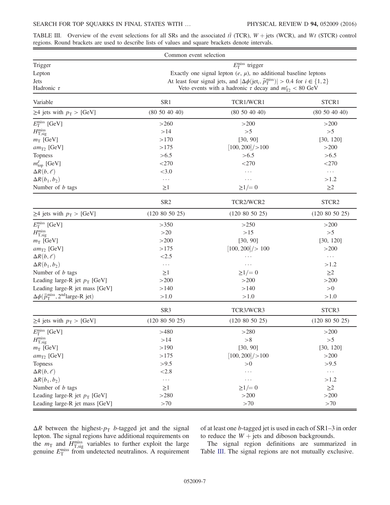<span id="page-7-2"></span><span id="page-7-0"></span>

|  |  |  | TABLE III. Overview of the event selections for all SRs and the associated $t\bar{t}$ (TCR), $W +$ jets (WCR), and $Wt$ (STCR) control |  |  |  |
|--|--|--|----------------------------------------------------------------------------------------------------------------------------------------|--|--|--|
|  |  |  | regions. Round brackets are used to describe lists of values and square brackets denote intervals.                                     |  |  |  |

|                                                                                 | Common event selection                                                                                           |                     |                |  |  |  |
|---------------------------------------------------------------------------------|------------------------------------------------------------------------------------------------------------------|---------------------|----------------|--|--|--|
| Trigger                                                                         | $E_{\rm T}^{\rm miss}$ trigger                                                                                   |                     |                |  |  |  |
| Lepton                                                                          | Exactly one signal lepton $(e, \mu)$ , no additional baseline leptons                                            |                     |                |  |  |  |
| <b>Jets</b>                                                                     | At least four signal jets, and $ \Delta \phi(\text{jet}_i, \vec{p}_T^{\text{miss}})  > 0.4$ for $i \in \{1, 2\}$ |                     |                |  |  |  |
| Hadronic $\tau$                                                                 | Veto events with a hadronic $\tau$ decay and $m_{T2}^{\tau}$ < 80 GeV                                            |                     |                |  |  |  |
| Variable                                                                        | SR1                                                                                                              | TCR1/WCR1           | STCR1          |  |  |  |
| $\geq$ 4 jets with $p_T$ > [GeV]                                                | (80 50 40 40)                                                                                                    | (80 50 40 40)       | (80 50 40 40)  |  |  |  |
| $E_{\rm T}^{\rm miss}$ [GeV]                                                    | >260                                                                                                             | >200                | >200           |  |  |  |
| $H_{\rm T,sig}^{\rm miss}$                                                      | >14                                                                                                              | >5                  | >5             |  |  |  |
| $m_T$ [GeV]                                                                     | >170                                                                                                             | [30, 90]            | [30, 120]      |  |  |  |
| $am_{T2}$ [GeV]                                                                 | >175                                                                                                             | [100, 200] / > 100  | >200           |  |  |  |
| Topness                                                                         | >6.5                                                                                                             | >6.5                | > 6.5          |  |  |  |
| $m_{\text{top}}^{\chi}$ [GeV]                                                   | $<$ 270                                                                                                          | $<$ 270             | $<$ 270        |  |  |  |
| $\Delta R(b,\ell)$                                                              | <3.0                                                                                                             | $\ldots$ .          | $\ldots$       |  |  |  |
| $\Delta R(b_1, b_2)$                                                            | $\cdots$                                                                                                         | $\cdots$            | >1.2           |  |  |  |
| Number of $b$ tags                                                              | $\geq$ 1                                                                                                         | $\geq 1/= 0$        | $\geq$ 2       |  |  |  |
|                                                                                 | SR <sub>2</sub>                                                                                                  | TCR2/WCR2           | STCR2          |  |  |  |
| $\geq$ 4 jets with $p_T$ > [GeV]                                                | (120 80 50 25)                                                                                                   | (120 80 50 25)      | (120 80 50 25) |  |  |  |
| $E_{\rm T}^{\rm miss}$ [GeV]                                                    | >350                                                                                                             | >250                | >200           |  |  |  |
| $H_{\rm T,sig}^{\rm miss}$                                                      | >20                                                                                                              | >15                 | ${>}5$         |  |  |  |
| $m_T$ [GeV]                                                                     | >200                                                                                                             | [30, 90]            | [30, 120]      |  |  |  |
| $am_{T2}$ [GeV]                                                                 | >175                                                                                                             | $[100, 200]$ /> 100 | >200           |  |  |  |
| $\Delta R(b,\ell)$                                                              | < 2.5                                                                                                            | $\cdots$            | $\cdots$       |  |  |  |
| $\Delta R(b_1, b_2)$                                                            | $\cdots$                                                                                                         | $\cdots$            | >1.2           |  |  |  |
| Number of $b$ tags                                                              | $\geq$ 1                                                                                                         | $\geq 1/ = 0$       | $\geq$ 2       |  |  |  |
| Leading large-R jet $p_T$ [GeV]                                                 | >200                                                                                                             | >200                | >200           |  |  |  |
| Leading large-R jet mass [GeV]                                                  | >140                                                                                                             | >140                | >0             |  |  |  |
| $\Delta\phi(\vec{p}_{\text{T}}^{\text{miss}}, 2^{\text{nd}}\text{large-R jet})$ | >1.0                                                                                                             | >1.0                | >1.0           |  |  |  |
| $\geq$ 4 jets with $p_T$ > [GeV]                                                | SR <sub>3</sub>                                                                                                  | TCR3/WCR3           | STCR3          |  |  |  |
|                                                                                 | (120 80 50 25)                                                                                                   | (120 80 50 25)      | (120 80 50 25) |  |  |  |
| $E_{\rm T}^{\rm miss}$ [GeV]                                                    | >480                                                                                                             | >280                | >200           |  |  |  |
| $H_{\mathrm{T,sig}}^{\mathrm{miss}}$                                            | >14                                                                                                              | >8                  | >5             |  |  |  |
| $m_T$ [GeV]                                                                     | >190                                                                                                             | [30, 90]            | [30, 120]      |  |  |  |
| $am_{T2}$ [GeV]                                                                 | >175                                                                                                             | [100, 200] / > 100  | >200           |  |  |  |
| Topness                                                                         | >9.5                                                                                                             | ${>}0$              | >9.5           |  |  |  |
| $\Delta R(b,\ell)$                                                              | < 2.8                                                                                                            | $\cdots$            | $\ldots$       |  |  |  |
| $\Delta R(b_1, b_2)$                                                            | $\ldots$                                                                                                         | $\cdots$            | >1.2           |  |  |  |
| Number of $b$ tags                                                              | $\geq$ 1                                                                                                         | $\geq 1/ = 0$       | $\geq$ 2       |  |  |  |
| Leading large-R jet $p_T$ [GeV]                                                 | >280                                                                                                             | >200                | >200           |  |  |  |
| Leading large-R jet mass [GeV]                                                  | >70                                                                                                              | ${>}70$             | ${>}70$        |  |  |  |

<span id="page-7-1"></span> $\Delta R$  between the highest- $p_T$  b-tagged jet and the signal lepton. The signal regions have additional requirements on the  $m_T$  and  $H_{\text{T,sig}}^{\text{miss}}$  variables to further exploit the large genuine  $E_{\rm T}^{\rm miss}$  from undetected neutralinos. A requirement <span id="page-7-3"></span>of at least one b-tagged jet is used in each of SR1–3 in order to reduce the  $W + \text{jets}$  and diboson backgrounds.

The signal region definitions are summarized in Table [III.](#page-6-0) The signal regions are not mutually exclusive.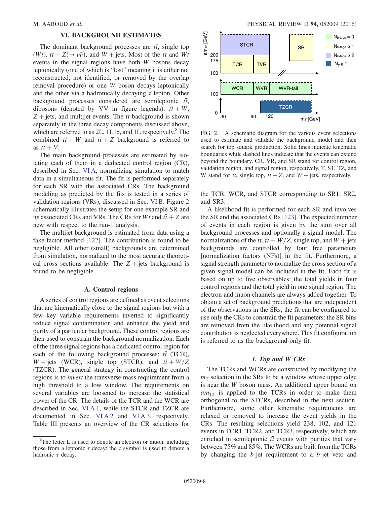## VI. BACKGROUND ESTIMATES

<span id="page-8-0"></span>The dominant background processes are  $t\bar{t}$ , single top  $(Wt)$ ,  $t\bar{t} + Z(\rightarrow \nu\bar{\nu})$ , and  $W + \text{jets}$ . Most of the  $t\bar{t}$  and  $Wt$ events in the signal regions have both W bosons decay leptonically (one of which is "lost" meaning it is either not reconstructed, not identified, or removed by the overlap removal procedure) or one W boson decays leptonically and the other via a hadronically decaying  $\tau$  lepton. Other background processes considered are semileptonic  $t\bar{t}$ , dibosons (denoted by VV in figure legends),  $t\bar{t} + W$ ,  $Z$  + jets, and multijet events. The  $t\bar{t}$  background is shown separately in the three decay components discussed above, which are referred to as  $2L$ ,  $1L1\tau$ , and  $1L$  respectively.<sup>8</sup> The combined  $t\bar{t} + W$  and  $t\bar{t} + Z$  background is referred to as  $t\overline{t} + V$ .

<span id="page-8-1"></span>The main background processes are estimated by isolating each of them in a dedicated control region (CR), described in Sec. [VI A](#page-7-1), normalizing simulation to match data in a simultaneous fit. The fit is performed separately for each SR with the associated CRs. The background modeling as predicted by the fits is tested in a series of validation regions (VRs), discussed in Sec. [VI B.](#page-10-0) Figure [2](#page-7-2) schematically illustrates the setup for one example SR and its associated CRs and VRs. The CRs for Wt and  $t\bar{t} + Z$  are new with respect to the run-1 analysis.

The multijet background is estimated from data using a fake-factor method [\[122\].](#page-17-25) The contribution is found to be negligible. All other (small) backgrounds are determined from simulation, normalized to the most accurate theoretical cross sections available. The  $Z +$  jets background is found to be negligible.

#### A. Control regions

A series of control regions are defined as event selections that are kinematically close to the signal regions but with a few key variable requirements inverted to significantly reduce signal contamination and enhance the yield and purity of a particular background. These control regions are then used to constrain the background normalization. Each of the three signal regions has a dedicated control region for each of the following background processes:  $t\bar{t}$  (TCR),  $W + \text{jets}$  (WCR), single top (STCR), and  $t\bar{t} + W/Z$ (TZCR). The general strategy in constructing the control regions is to invert the transverse mass requirement from a high threshold to a low window. The requirements on several variables are loosened to increase the statistical power of the CR. The details of the TCR and the WCR are described in Sec. [VI A 1](#page-7-3), while the STCR and TZCR are documented in Sec. VIA2 and VIA3, respectively. Table [III](#page-6-0) presents an overview of the CR selections for



FIG. 2. A schematic diagram for the various event selections used to estimate and validate the background model and then search for top squark production. Solid lines indicate kinematic boundaries while dashed lines indicate that the events can extend beyond the boundary. CR, VR, and SR stand for control region, validation region, and signal region, respectively. T, ST, TZ, and W stand for  $t\bar{t}$ , single top,  $t\bar{t} + Z$ , and  $W$  + jets, respectively.

the TCR, WCR, and STCR corresponding to SR1, SR2, and SR3.

A likelihood fit is performed for each SR and involves the SR and the associated CRs [\[123\].](#page-17-26) The expected number of events in each region is given by the sum over all background processes and optionally a signal model. The normalizations of the  $t\bar{t}$ ,  $t\bar{t} + W/Z$ , single top, and  $W$  + jets backgrounds are controlled by four free parameters [normalization factors (NFs)] in the fit. Furthermore, a signal strength parameter to normalize the cross section of a given signal model can be included in the fit. Each fit is based on up to five observables: the total yields in four control regions and the total yield in one signal region. The electron and muon channels are always added together. To obtain a set of background predictions that are independent of the observations in the SRs, the fit can be configured to use only the CRs to constrain the fit parameters: the SR bins are removed from the likelihood and any potential signal contribution is neglected everywhere. This fit configuration is referred to as the background-only fit.

#### 1. Top and W CRs

The TCRs and WCRs are constructed by modifying the  $m<sub>T</sub>$  selection in the SRs to be a window whose upper edge is near the W boson mass. An additional upper bound on  $am_{T2}$  is applied to the TCRs in order to make them orthogonal to the STCRs, described in the next section. Furthermore, some other kinematic requirements are relaxed or removed to increase the event yields in the CRs. The resulting selections yield 238, 102, and 121 events in TCR1, TCR2, and TCR3, respectively, which are enriched in semileptonic  $t\bar{t}$  events with purities that vary between 75% and 85%. The WCRs are built from the TCRs by changing the b-jet requirement to a b-jet veto and

 ${}^{8}$ The letter L is used to denote an electron or muon, including those from a leptonic  $\tau$  decay; the  $\tau$  symbol is used to denote a hadronic  $\tau$  decay.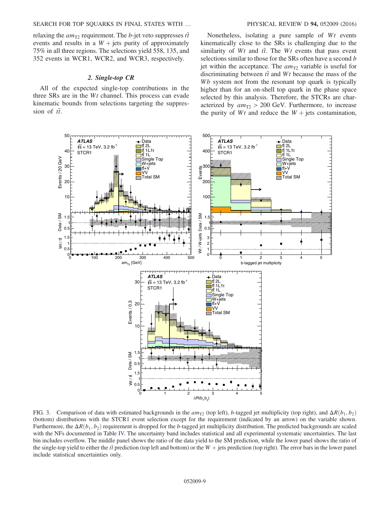## SEARCH FOR TOP SQUARKS IN FINAL STATES WITH … PHYSICAL REVIEW D 94, 052009 (2016)

relaxing the  $am_{T2}$  requirement. The b-jet veto suppresses  $t\bar{t}$ events and results in a  $W +$  jets purity of approximately 75% in all three regions. The selections yield 558, 135, and 352 events in WCR1, WCR2, and WCR3, respectively.

#### 2. Single-top CR

All of the expected single-top contributions in the three SRs are in the Wt channel. This process can evade kinematic bounds from selections targeting the suppression of  $t\overline{t}$ .

Nonetheless, isolating a pure sample of  $Wt$  events kinematically close to the SRs is challenging due to the similarity of  $Wt$  and  $t\bar{t}$ . The  $Wt$  events that pass event selections similar to those for the SRs often have a second b jet within the acceptance. The  $am_{T2}$  variable is useful for discriminating between  $t\bar{t}$  and Wt because the mass of the Wb system not from the resonant top quark is typically higher than for an on-shell top quark in the phase space selected by this analysis. Therefore, the STCRs are characterized by  $am_{T2} > 200$  GeV. Furthermore, to increase the purity of  $Wt$  and reduce the  $W + \text{jets}$  contamination,

<span id="page-9-0"></span>

<span id="page-9-1"></span>FIG. 3. Comparison of data with estimated backgrounds in the  $am_{T2}$  (top left), b-tagged jet multiplicity (top right), and  $\Delta R(b_1, b_2)$ (bottom) distributions with the STCR1 event selection except for the requirement (indicated by an arrow) on the variable shown. Furthermore, the  $\Delta R(b_1, b_2)$  requirement is dropped for the b-tagged jet multiplicity distribution. The predicted backgrounds are scaled with the NFs documented in Table [IV.](#page-10-1) The uncertainty band includes statistical and all experimental systematic uncertainties. The last bin includes overflow. The middle panel shows the ratio of the data yield to the SM prediction, while the lower panel shows the ratio of the single-top yield to either the  $t\bar{t}$  prediction (top left and bottom) or the  $W + jets$  prediction (top right). The error bars in the lower panel include statistical uncertainties only.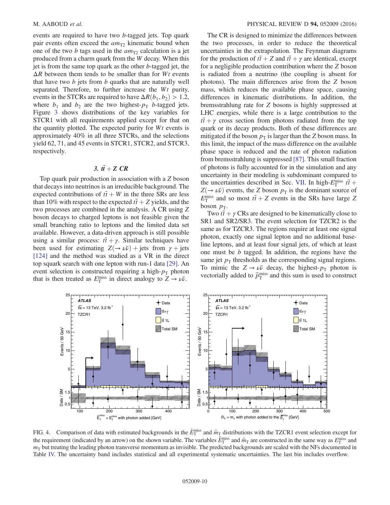<span id="page-10-1"></span>events are required to have two b-tagged jets. Top quark pair events often exceed the  $am_{T2}$  kinematic bound when one of the two b tags used in the  $am_{T2}$  calculation is a jet produced from a charm quark from the W decay. When this jet is from the same top quark as the other b-tagged jet, the  $\Delta R$  between them tends to be smaller than for Wt events that have two  $b$  jets from  $b$  quarks that are naturally well separated. Therefore, to further increase the Wt purity, events in the STCRs are required to have  $\Delta R(b_1, b_2) > 1.2$ , where  $b_1$  and  $b_2$  are the two highest- $p_T$  b-tagged jets. Figure [3](#page-8-1) shows distributions of the key variables for STCR1 with all requirements applied except for that on the quantity plotted. The expected purity for  $Wt$  events is approximately 40% in all three STCRs, and the selections yield 62, 71, and 45 events in STCR1, STCR2, and STCR3, respectively.

## 3.  $t\bar{t}$  + Z CR

Top quark pair production in association with a Z boson that decays into neutrinos is an irreducible background. The expected contributions of  $t\bar{t} + W$  in the three SRs are less than 10% with respect to the expected  $t\bar{t} + Z$  yields, and the two processes are combined in the analysis. A CR using Z boson decays to charged leptons is not feasible given the small branching ratio to leptons and the limited data set available. However, a data-driven approach is still possible using a similar process:  $t\bar{t} + \gamma$ . Similar techniques have been used for estimating  $Z(\rightarrow \nu\bar{\nu}) + \text{jets}$  from  $\gamma + \text{jets}$ [\[124\]](#page-17-27) and the method was studied as a VR in the direct top squark search with one lepton with run-1 data [\[29\].](#page-15-13) An event selection is constructed requiring a high- $p<sub>T</sub>$  photon that is then treated as  $E_T^{\text{miss}}$  in direct analogy to  $Z \rightarrow \nu \bar{\nu}$ .

The CR is designed to minimize the differences between the two processes, in order to reduce the theoretical uncertainties in the extrapolation. The Feynman diagrams for the production of  $t\bar{t} + Z$  and  $t\bar{t} + \gamma$  are identical, except for a negligible production contribution where the Z boson is radiated from a neutrino (the coupling is absent for photons). The main differences arise from the Z boson mass, which reduces the available phase space, causing differences in kinematic distributions. In addition, the bremsstrahlung rate for Z bosons is highly suppressed at LHC energies, while there is a large contribution to the  $t\bar{t} + \gamma$  cross section from photons radiated from the top quark or its decay products. Both of these differences are mitigated if the boson  $p<sub>T</sub>$  is larger than the Z boson mass. In this limit, the impact of the mass difference on the available phase space is reduced and the rate of photon radiation from bremsstrahlung is suppressed [\[87\].](#page-17-15) This small fraction of photons is fully accounted for in the simulation and any uncertainty in their modeling is subdominant compared to the uncertainties described in Sec. [VII](#page-11-0). In high- $E_T^{\text{miss}} \, t\bar{t}$  +  $Z(\rightarrow \nu\bar{\nu})$  events, the Z boson  $p_T$  is the dominant source of  $E_{\text{T}}^{\text{miss}}$  and so most  $t\bar{t} + Z$  events in the SRs have large Z boson  $p_T$ .

<span id="page-10-0"></span>Two  $t\bar{t} + \gamma$  CRs are designed to be kinematically close to SR1 and SR2/SR3. The event selection for TZCR2 is the same as for TZCR3. The regions require at least one signal photon, exactly one signal lepton and no additional baseline leptons, and at least four signal jets, of which at least one must be  $b$  tagged. In addition, the regions have the same jet  $p<sub>T</sub>$  thresholds as the corresponding signal regions. To mimic the  $Z \rightarrow \nu\bar{\nu}$  decay, the highest- $p_T$  photon is vectorially added to  $\vec{p}_{\rm T}^{\rm miss}$  and this sum is used to construct

<span id="page-10-2"></span>

FIG. 4. Comparison of data with estimated backgrounds in the  $\tilde{E}_{\rm T}^{\rm miss}$  and  $\tilde{m}_{\rm T}$  distributions with the TZCR1 event selection except for the requirement (indicated by an arrow) on the shown variable. The variables  $\tilde{E}_{\rm T}^{\rm miss}$  and  $\tilde{m}_{\rm T}$  are constructed in the same way as  $E_{\rm T}^{\rm miss}$  and  $m<sub>T</sub>$  but treating the leading photon transverse momentum as invisible. The predicted backgrounds are scaled with the NFs documented in Table [IV.](#page-10-1) The uncertainty band includes statistical and all experimental systematic uncertainties. The last bin includes overflow.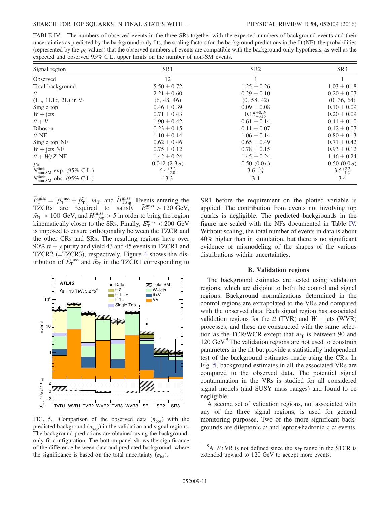<span id="page-11-1"></span>TABLE IV. The numbers of observed events in the three SRs together with the expected numbers of background events and their uncertainties as predicted by the background-only fits, the scaling factors for the background predictions in the fit (NF), the probabilities (represented by the  $p_0$  values) that the observed numbers of events are compatible with the background-only hypothesis, as well as the expected and observed 95% C.L. upper limits on the number of non-SM events.

| Signal region                                      | SR <sub>1</sub>        | SR <sub>2</sub>        | SR <sub>3</sub>     |
|----------------------------------------------------|------------------------|------------------------|---------------------|
| Observed                                           | 12                     |                        |                     |
| Total background                                   | $5.50 \pm 0.72$        | $1.25 \pm 0.26$        | $1.03 \pm 0.18$     |
| $t\overline{t}$                                    | $2.21 \pm 0.60$        | $0.29 \pm 0.10$        | $0.20 \pm 0.07$     |
| (1L, 1L1 $\tau$ , 2L) in %                         | (6, 48, 46)            | (0, 58, 42)            | (0, 36, 64)         |
| Single top                                         | $0.46 \pm 0.39$        | $0.09 \pm 0.08$        | $0.10 \pm 0.09$     |
| $W + jets$                                         | $0.71 \pm 0.43$        | $0.15_{-0.15}^{+0.19}$ | $0.20 \pm 0.09$     |
| $t\overline{t}+V$                                  | $1.90 \pm 0.42$        | $0.61 \pm 0.14$        | $0.41 \pm 0.10$     |
| Diboson                                            | $0.23 \pm 0.15$        | $0.11 \pm 0.07$        | $0.12 \pm 0.07$     |
| $t\overline{t}$ NF                                 | $1.10 \pm 0.14$        | $1.06 \pm 0.14$        | $0.80 \pm 0.13$     |
| Single top NF                                      | $0.62 \pm 0.46$        | $0.65 \pm 0.49$        | $0.71 \pm 0.42$     |
| $W +$ jets NF                                      | $0.75 \pm 0.12$        | $0.78 \pm 0.15$        | $0.93 \pm 0.12$     |
| $t\overline{t}+W/Z$ NF                             | $1.42 \pm 0.24$        | $1.45 \pm 0.24$        | $1.46 \pm 0.24$     |
| $p_0$                                              | $0.012$ $(2.3 \sigma)$ | $0.50(0.0\,\sigma)$    | $0.50(0.0\,\sigma)$ |
| $N_{\text{non-SM}}^{\text{limit}}$ exp. (95% C.L.) | $6.4^{+3.2}_{-2.0}$    | $3.6^{+2.3}_{-1.3}$    | $3.5^{+2.2}_{-1.2}$ |
| $N_{\rm non-SM}^{\rm limit}$ obs. (95% C.L.)       | 13.3                   | 3.4                    | 3.4                 |

 $\tilde{E}_{\rm T}^{\rm miss} = |\vec{p}_{\rm T}^{\rm miss} + \vec{p}_{\rm T}^{\gamma}|$ ,  $\tilde{m}_{\rm T}$ , and  $\tilde{H}_{\rm T,sig}^{\rm miss}$ . Events entering the TZCRs are required to satisfy  $E_T^{\text{miss}} > 120 \text{ GeV}$ ,  $m_{\rm T} > 100$  GeV, and  $\tilde{H}_{\rm T,sig}^{\rm miss} > 5$  in order to bring the region kinematically closer to the SRs. Finally,  $E_{\rm T}^{\rm miss}$  < 200 GeV is imposed to ensure orthogonality between the TZCR and the other CRs and SRs. The resulting regions have over 90%  $t\bar{t} + \gamma$  purity and yield 43 and 45 events in TZCR1 and TZCR2 (=TZCR3), respectively. Figure [4](#page-9-1) shows the distribution of  $\tilde{E}_{\rm T}^{\rm miss}$  and  $\tilde{m}_{\rm T}$  in the TZCR1 corresponding to

<span id="page-11-0"></span>

FIG. 5. Comparison of the observed data  $(n_{obs})$  with the predicted background  $(n_{exp})$  in the validation and signal regions. The background predictions are obtained using the backgroundonly fit configuration. The bottom panel shows the significance of the difference between data and predicted background, where the significance is based on the total uncertainty ( $\sigma_{\text{tot}}$ ).

SR1 before the requirement on the plotted variable is applied. The contribution from events not involving top quarks is negligible. The predicted backgrounds in the figure are scaled with the NFs documented in Table [IV.](#page-10-1) Without scaling, the total number of events in data is about 40% higher than in simulation, but there is no significant evidence of mismodeling of the shapes of the various distributions within uncertainties.

#### B. Validation regions

The background estimates are tested using validation regions, which are disjoint to both the control and signal regions. Background normalizations determined in the control regions are extrapolated to the VRs and compared with the observed data. Each signal region has associated validation regions for the  $t\bar{t}$  (TVR) and  $W$  + jets (WVR) processes, and these are constructed with the same selection as the TCR/WCR except that  $m<sub>T</sub>$  is between 90 and 120 GeV.<sup>9</sup> The validation regions are not used to constrain parameters in the fit but provide a statistically independent test of the background estimates made using the CRs. In Fig. [5,](#page-10-2) background estimates in all the associated VRs are compared to the observed data. The potential signal contamination in the VRs is studied for all considered signal models (and SUSY mass ranges) and found to be negligible.

A second set of validation regions, not associated with any of the three signal regions, is used for general monitoring purposes. Two of the more significant backgrounds are dileptonic  $t\bar{t}$  and lepton+hadronic  $\tau$   $t\bar{t}$  events.

 $^{9}$ A Wt VR is not defined since the  $m<sub>T</sub>$  range in the STCR is extended upward to 120 GeV to accept more events.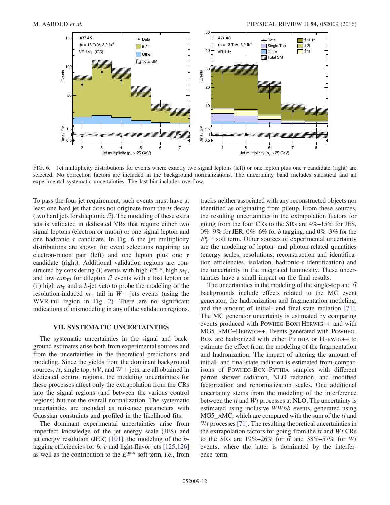

FIG. 6. Jet multiplicity distributions for events where exactly two signal leptons (left) or one lepton plus one  $\tau$  candidate (right) are selected. No correction factors are included in the background normalizations. The uncertainty band includes statistical and all experimental systematic uncertainties. The last bin includes overflow.

To pass the four-jet requirement, such events must have at least one hard jet that does not originate from the  $t\bar{t}$  decay (two hard jets for dileptonic  $t\bar{t}$ ). The modeling of these extra jets is validated in dedicated VRs that require either two signal leptons (electron or muon) or one signal lepton and one hadronic  $\tau$  candidate. In Fig. [6](#page-11-1) the jet multiplicity distributions are shown for event selections requiring an electron-muon pair (left) and one lepton plus one  $\tau$ candidate (right). Additional validation regions are constructed by considering (i) events with high  $E_{\rm T}^{\rm miss}$ , high  $m_{\rm T}$ , and low  $am_{T2}$  for dilepton  $t\bar{t}$  events with a lost lepton or (ii) high  $m<sub>T</sub>$  and a b-jet veto to probe the modeling of the resolution-induced  $m<sub>T</sub>$  tail in  $W +$  jets events (using the WVR-tail region in Fig. [2\)](#page-7-2). There are no significant indications of mismodeling in any of the validation regions.

## VII. SYSTEMATIC UNCERTAINTIES

<span id="page-12-1"></span>The systematic uncertainties in the signal and background estimates arise both from experimental sources and from the uncertainties in the theoretical predictions and modeling. Since the yields from the dominant background sources,  $t\bar{t}$ , single top,  $t\bar{t}V$ , and  $W +$  jets, are all obtained in dedicated control regions, the modeling uncertainties for these processes affect only the extrapolation from the CRs into the signal regions (and between the various control regions) but not the overall normalization. The systematic uncertainties are included as nuisance parameters with Gaussian constraints and profiled in the likelihood fits.

The dominant experimental uncertainties arise from imperfect knowledge of the jet energy scale (JES) and jet energy resolution (JER)  $[101]$ , the modeling of the *b*tagging efficiencies for  $b$ ,  $c$  and light-flavor jets  $[125,126]$ as well as the contribution to the  $E_{\rm T}^{\rm miss}$  soft term, i.e., from <span id="page-12-0"></span>tracks neither associated with any reconstructed objects nor identified as originating from pileup. From these sources, the resulting uncertainties in the extrapolation factors for going from the four CRs to the SRs are 4%–15% for JES, 0%–9% for JER, 0%–6% for b tagging, and 0%–3% for the  $E_{\rm T}^{\rm miss}$  soft term. Other sources of experimental uncertainty are the modeling of lepton- and photon-related quantities (energy scales, resolutions, reconstruction and identification efficiencies, isolation, hadronic- $\tau$  identification) and the uncertainty in the integrated luminosity. These uncertainties have a small impact on the final results.

The uncertainties in the modeling of the single-top and  $t\bar{t}$ backgrounds include effects related to the MC event generator, the hadronization and fragmentation modeling, and the amount of initial- and final-state radiation [\[71\]](#page-16-22). The MC generator uncertainty is estimated by comparing events produced with POWHEG-BOX+HERWIG++ and with MG5\_AMC+HERWIG++. Events generated with POWHEG-BOX are hadronized with either PYTHIA or HERWIG++ to estimate the effect from the modeling of the fragmentation and hadronization. The impact of altering the amount of initial- and final-state radiation is estimated from comparisons of POWHEG-BOX+PYTHIA samples with different parton shower radiation, NLO radiation, and modified factorization and renormalization scales. One additional uncertainty stems from the modeling of the interference between the  $t\bar{t}$  and Wt processes at NLO. The uncertainty is estimated using inclusive WWbb events, generated using MG5 AMC, which are compared with the sum of the  $t\bar{t}$  and Wt processes [\[71\]](#page-16-22). The resulting theoretical uncertainties in the extrapolation factors for going from the  $t\bar{t}$  and Wt CRs to the SRs are 19%–26% for  $t\bar{t}$  and 38%–57% for Wt events, where the latter is dominated by the interference term.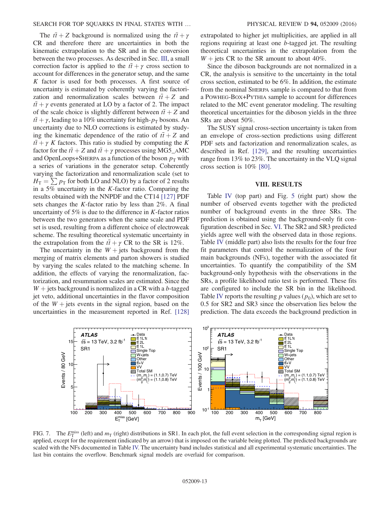<span id="page-13-0"></span>The  $t\bar{t} + Z$  background is normalized using the  $t\bar{t} + \gamma$ CR and therefore there are uncertainties in both the kinematic extrapolation to the SR and in the conversion between the two processes. As described in Sec. [III,](#page-2-0) a small correction factor is applied to the  $t\bar{t} + \gamma$  cross section to account for differences in the generator setup, and the same  $K$  factor is used for both processes. A first source of uncertainty is estimated by coherently varying the factorization and renormalization scales between  $t\bar{t} + Z$  and  $t\bar{t} + \gamma$  events generated at LO by a factor of 2. The impact of the scale choice is slightly different between  $t\bar{t} + Z$  and  $t\bar{t} + \gamma$ , leading to a 10% uncertainty for high- $p_T$  bosons. An uncertainty due to NLO corrections is estimated by studying the kinematic dependence of the ratio of  $t\bar{t} + Z$  and  $t\bar{t} + \gamma K$  factors. This ratio is studied by computing the K factor for the  $t\bar{t} + Z$  and  $t\bar{t} + \gamma$  processes using MG5\_AMC and OpenLoops+SHERPA as a function of the boson  $p_T$  with a series of variations in the generator setup. Coherently varying the factorization and renormalization scale (set to  $H_{\rm T} = \sum p_{\rm T}$  for both LO and NLO) by a factor of 2 results in a 5% uncertainty in the K-factor ratio. Comparing the results obtained with the NNPDF and the CT14 [\[127\]](#page-18-1) PDF sets changes the K-factor ratio by less than 2%. A final uncertainty of  $5\%$  is due to the difference in K-factor ratios between the two generators when the same scale and PDF set is used, resulting from a different choice of electroweak scheme. The resulting theoretical systematic uncertainty in the extrapolation from the  $t\bar{t} + \gamma$  CR to the SR is 12%.

The uncertainty in the  $W +$  jets background from the merging of matrix elements and parton showers is studied by varying the scales related to the matching scheme. In addition, the effects of varying the renormalization, factorization, and resummation scales are estimated. Since the  $W$  + jets background is normalized in a CR with a b-tagged jet veto, additional uncertainties in the flavor composition of the  $W +$  jets events in the signal region, based on the uncertainties in the measurement reported in Ref. [\[128\]](#page-18-2) extrapolated to higher jet multiplicities, are applied in all regions requiring at least one b-tagged jet. The resulting theoretical uncertainties in the extrapolation from the  $W$  + jets CR to the SR amount to about 40%.

Since the diboson backgrounds are not normalized in a CR, the analysis is sensitive to the uncertainty in the total cross section, estimated to be 6%. In addition, the estimate from the nominal SHERPA sample is compared to that from a POWHEG-BOX+PYTHIA sample to account for differences related to the MC event generator modeling. The resulting theoretical uncertainties for the diboson yields in the three SRs are about 50%.

The SUSY signal cross-section uncertainty is taken from an envelope of cross-section predictions using different PDF sets and factorization and renormalization scales, as described in Ref. [\[129\]](#page-18-3), and the resulting uncertainties range from 13% to 23%. The uncertainty in the VLQ signal cross section is 10% [\[80\].](#page-16-24)

## VIII. RESULTS

Table [IV](#page-10-1) (top part) and Fig. [5](#page-10-2) (right part) show the number of observed events together with the predicted number of background events in the three SRs. The prediction is obtained using the background-only fit configuration described in Sec. [VI.](#page-7-0) The SR2 and SR3 predicted yields agree well with the observed data in those regions. Table [IV](#page-10-1) (middle part) also lists the results for the four free fit parameters that control the normalization of the four main backgrounds (NFs), together with the associated fit uncertainties. To quantify the compatibility of the SM background-only hypothesis with the observations in the SRs, a profile likelihood ratio test is performed. These fits are configured to include the SR bin in the likelihood. Table [IV](#page-10-1) reports the resulting  $p$  values  $(p_0)$ , which are set to 0.5 for SR2 and SR3 since the observation lies below the prediction. The data exceeds the background prediction in



FIG. 7. The  $E_T^{\text{miss}}$  (left) and  $m_T$  (right) distributions in SR1. In each plot, the full event selection in the corresponding signal region is applied, except for the requirement (indicated by an arrow) that is imposed on the variable being plotted. The predicted backgrounds are scaled with the NFs documented in Table [IV.](#page-10-1) The uncertainty band includes statistical and all experimental systematic uncertainties. The last bin contains the overflow. Benchmark signal models are overlaid for comparison.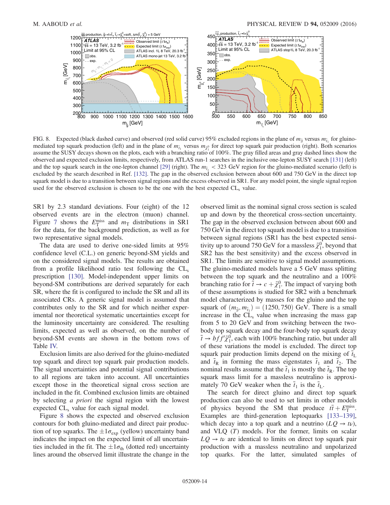<span id="page-14-1"></span>

FIG. 8. Expected (black dashed curve) and observed (red solid curve) 95% excluded regions in the plane of  $m_{\tilde{g}}$  versus  $m_{\tilde{t}_1}$  for gluinomediated top squark production (left) and in the plane of  $m_{\tilde{t}_1}$  versus  $m_{\tilde{\chi}_1^0}$  for direct top squark pair production (right). Both scenarios assume the SUSY decays shown on the plots, each with a branching ratio of 100%. The gray filled areas and gray dashed lines show the observed and expected exclusion limits, respectively, from ATLAS run-1 searches in the inclusive one-lepton SUSY search [\[131\]](#page-18-6) (left) and the top squark search in the one-lepton channel [\[29\]](#page-15-13) (right). The  $m<sub>i</sub>$  < 323 GeV region for the gluino-mediated scenario (left) is excluded by the search described in Ref. [\[132\].](#page-18-7) The gap in the observed exclusion between about 600 and 750 GeV in the direct top squark model is due to a transition between signal regions and the excess observed in SR1. For any model point, the single signal region used for the observed exclusion is chosen to be the one with the best expected CL<sub>s</sub> value.

SR1 by 2.3 standard deviations. Four (eight) of the 12 observed events are in the electron (muon) channel. Figure [7](#page-12-1) shows the  $E_{\rm T}^{\rm miss}$  and  $m_{\rm T}$  distributions in SR1 for the data, for the background prediction, as well as for two representative signal models.

<span id="page-14-0"></span>The data are used to derive one-sided limits at 95% confidence level (C.L.) on generic beyond-SM yields and on the considered signal models. The results are obtained from a profile likelihood ratio test following the  $CL<sub>s</sub>$ prescription [\[130\]](#page-18-4). Model-independent upper limits on beyond-SM contributions are derived separately for each SR, where the fit is configured to include the SR and all its associated CRs. A generic signal model is assumed that contributes only to the SR and for which neither experimental nor theoretical systematic uncertainties except for the luminosity uncertainty are considered. The resulting limits, expected as well as observed, on the number of beyond-SM events are shown in the bottom rows of Table [IV.](#page-10-1)

Exclusion limits are also derived for the gluino-mediated top squark and direct top squark pair production models. The signal uncertainties and potential signal contributions to all regions are taken into account. All uncertainties except those in the theoretical signal cross section are included in the fit. Combined exclusion limits are obtained by selecting a priori the signal region with the lowest expected CL, value for each signal model.

Figure [8](#page-13-0) shows the expected and observed exclusion contours for both gluino-mediated and direct pair production of top squarks. The  $\pm 1\sigma_{\text{exp}}$  (yellow) uncertainty band indicates the impact on the expected limit of all uncertainties included in the fit. The  $\pm 1\sigma_{\text{th}}$  (dotted red) uncertainty lines around the observed limit illustrate the change in the observed limit as the nominal signal cross section is scaled up and down by the theoretical cross-section uncertainty. The gap in the observed exclusion between about 600 and 750 GeV in the direct top squark model is due to a transition between signal regions (SR1 has the best expected sensitivity up to around 750 GeV for a massless  $\tilde{\chi}_1^0$ , beyond that SR2 has the best sensitivity) and the excess observed in SR1. The limits are sensitive to signal model assumptions. The gluino-mediated models have a 5 GeV mass splitting between the top squark and the neutralino and a 100% branching ratio for  $\tilde{t} \to c + \tilde{\chi}_1^0$ . The impact of varying both of these assumptions is studied for SR2 with a benchmark model characterized by masses for the gluino and the top squark of  $(m_{\tilde{g}}, m_{\tilde{t}_1}) = (1250, 750)$  GeV. There is a small increase in the  $CL<sub>s</sub>$  value when increasing the mass gap from 5 to 20 GeV and from switching between the twobody top squark decay and the four-body top squark decay  $\tilde{t} \rightarrow b f f' \tilde{\chi}_1^0$ , each with 100% branching ratio, but under all of these variations the model is excluded. The direct top squark pair production limits depend on the mixing of  $\tilde{t}_L$ and  $\tilde{t}_R$  in forming the mass eigenstates  $\tilde{t}_1$  and  $\tilde{t}_2$ . The nominal results assume that the  $\tilde{t}_1$  is mostly the  $\tilde{t}_R$ . The top squark mass limit for a massless neutralino is approximately 70 GeV weaker when the  $\tilde{t}_1$  is the  $\tilde{t}_L$ .

The search for direct gluino and direct top squark production can also be used to set limits in other models of physics beyond the SM that produce  $t\bar{t} + E_{\text{T}}^{\text{miss}}$ . Examples are third-generation leptoquarks [\[133](#page-18-5)–139], which decay into a top quark and a neutrino  $(LQ \rightarrow t\nu)$ , and VLQ (T) models. For the former, limits on scalar  $LQ \rightarrow t\nu$  are identical to limits on direct top squark pair production with a massless neutralino and unpolarized top quarks. For the latter, simulated samples of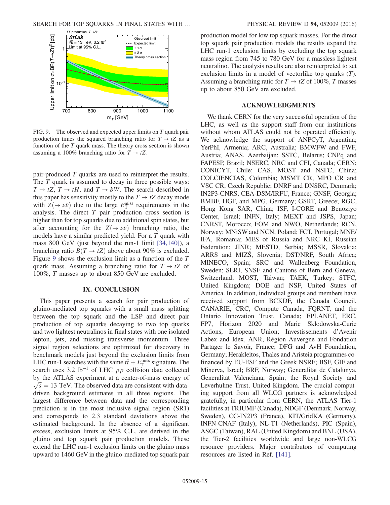<span id="page-15-0"></span>

<span id="page-15-1"></span>FIG. 9. The observed and expected upper limits on  $T$  quark pair production times the squared branching ratio for  $T \rightarrow tZ$  as a function of the  $T$  quark mass. The theory cross section is shown assuming a 100% branching ratio for  $T \rightarrow tZ$ .

<span id="page-15-2"></span>pair-produced T quarks are used to reinterpret the results. The  $T$  quark is assumed to decay in three possible ways:  $T \rightarrow tZ$ ,  $T \rightarrow tH$ , and  $T \rightarrow bW$ . The search described in this paper has sensitivity mostly to the  $T \to tZ$  decay mode with  $Z(\rightarrow \nu\bar{\nu})$  due to the large  $E_{\rm T}^{\rm miss}$  requirements in the analysis. The direct  $T$  pair production cross section is higher than for top squarks due to additional spin states, but after accounting for the  $Z(\rightarrow \nu\bar{\nu})$  branching ratio, the models have a similar predicted yield. For a T quark with mass 800 GeV (just beyond the run-1 limit [\[34,140\]](#page-15-18)), a branching ratio  $B(T \to tZ)$  above about 90% is excluded. Figure [9](#page-14-1) shows the exclusion limit as a function of the T quark mass. Assuming a branching ratio for  $T \rightarrow tZ$  of 100%, T masses up to about 850 GeV are excluded.

#### <span id="page-15-18"></span><span id="page-15-17"></span><span id="page-15-16"></span><span id="page-15-15"></span>IX. CONCLUSION

<span id="page-15-9"></span><span id="page-15-8"></span><span id="page-15-7"></span><span id="page-15-6"></span><span id="page-15-5"></span><span id="page-15-4"></span><span id="page-15-3"></span>This paper presents a search for pair production of gluino-mediated top squarks with a small mass splitting between the top squark and the LSP and direct pair production of top squarks decaying to two top quarks and two lightest neutralinos in final states with one isolated lepton, jets, and missing transverse momentum. Three signal region selections are optimized for discovery in benchmark models just beyond the exclusion limits from LHC run-1 searches with the same  $t\bar{t} + E_T^{\text{miss}}$  signature. The search uses 3.2 fb<sup>-1</sup> of LHC *pp* collision data collected by the ATLAS experiment at a center-of-mass energy of  $\sqrt{s}$  = 13 TeV. The observed data are consistent with datadriven background estimates in all three regions. The largest difference between data and the corresponding prediction is in the most inclusive signal region (SR1) and corresponds to 2.3 standard deviations above the estimated background. In the absence of a significant excess, exclusion limits at 95% C.L. are derived in the gluino and top squark pair production models. These extend the LHC run-1 exclusion limits on the gluino mass upward to 1460 GeV in the gluino-mediated top squark pair <span id="page-15-11"></span><span id="page-15-10"></span>production model for low top squark masses. For the direct top squark pair production models the results expand the LHC run-1 exclusion limits by excluding the top squark mass region from 745 to 780 GeV for a massless lightest neutralino. The analysis results are also reinterpreted to set exclusion limits in a model of vectorlike top quarks (T). Assuming a branching ratio for  $T \to tZ$  of 100%, T masses up to about 850 GeV are excluded.

## ACKNOWLEDGMENTS

<span id="page-15-14"></span><span id="page-15-13"></span><span id="page-15-12"></span>We thank CERN for the very successful operation of the LHC, as well as the support staff from our institutions without whom ATLAS could not be operated efficiently. We acknowledge the support of ANPCyT, Argentina; YerPhI, Armenia; ARC, Australia; BMWFW and FWF, Austria; ANAS, Azerbaijan; SSTC, Belarus; CNPq and FAPESP, Brazil; NSERC, NRC and CFI, Canada; CERN; CONICYT, Chile; CAS, MOST and NSFC, China; COLCIENCIAS, Colombia; MSMT CR, MPO CR and VSC CR, Czech Republic; DNRF and DNSRC, Denmark; IN2P3-CNRS, CEA-DSM/IRFU, France; GNSF, Georgia; BMBF, HGF, and MPG, Germany; GSRT, Greece; RGC, Hong Kong SAR, China; ISF, I-CORE and Benoziyo Center, Israel; INFN, Italy; MEXT and JSPS, Japan; CNRST, Morocco; FOM and NWO, Netherlands; RCN, Norway; MNiSW and NCN, Poland; FCT, Portugal; MNE/ IFA, Romania; MES of Russia and NRC KI, Russian Federation; JINR; MESTD, Serbia; MSSR, Slovakia; ARRS and MIZŠ, Slovenia; DST/NRF, South Africa; MINECO, Spain; SRC and Wallenberg Foundation, Sweden; SERI, SNSF and Cantons of Bern and Geneva, Switzerland; MOST, Taiwan; TAEK, Turkey; STFC, United Kingdom; DOE and NSF, United States of America. In addition, individual groups and members have received support from BCKDF, the Canada Council, CANARIE, CRC, Compute Canada, FQRNT, and the Ontario Innovation Trust, Canada; EPLANET, ERC, FP7, Horizon 2020 and Marie Skłodowska-Curie Actions, European Union; Investissements d'Avenir Labex and Idex, ANR, Région Auvergne and Fondation Partager le Savoir, France; DFG and AvH Foundation, Germany; Herakleitos, Thales and Aristeia programmes cofinanced by EU-ESF and the Greek NSRF; BSF, GIF and Minerva, Israel; BRF, Norway; Generalitat de Catalunya, Generalitat Valenciana, Spain; the Royal Society and Leverhulme Trust, United Kingdom. The crucial computing support from all WLCG partners is acknowledged gratefully, in particular from CERN, the ATLAS Tier-1 facilities at TRIUMF (Canada), NDGF (Denmark, Norway, Sweden), CC-IN2P3 (France), KIT/GridKA (Germany), INFN-CNAF (Italy), NL-T1 (Netherlands), PIC (Spain), ASGC (Taiwan), RAL (United Kingdom) and BNL (USA), the Tier-2 facilities worldwide and large non-WLCG resource providers. Major contributors of computing resources are listed in Ref. [\[141\].](#page-18-8)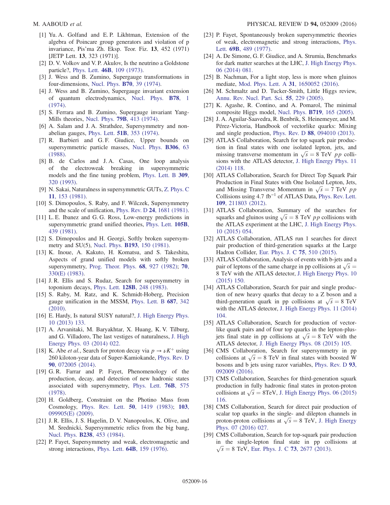- [1] Yu. A. Golfand and E. P. Likhtman, Extension of the algebra of Poincare group generators and violation of p invariance, Pis'ma Zh. Eksp. Teor. Fiz. 13, 452 (1971) [JETP Lett. 13, 323 (1971)].
- [2] D. V. Volkov and V. P. Akulov, Is the neutrino a Goldstone particle?, Phys. Lett. 46B[, 109 \(1973\).](http://dx.doi.org/10.1016/0370-2693(73)90490-5)
- [3] J. Wess and B. Zumino, Supergauge transformations in four-dimensions, [Nucl. Phys.](http://dx.doi.org/10.1016/0550-3213(74)90355-1) B70, 39 (1974).
- <span id="page-16-0"></span>[4] J. Wess and B. Zumino, Supergauge invariant extension of quantum electrodynamics, [Nucl. Phys.](http://dx.doi.org/10.1016/0550-3213(74)90112-6) B78, 1 [\(1974\).](http://dx.doi.org/10.1016/0550-3213(74)90112-6)
- <span id="page-16-1"></span>[5] S. Ferrara and B. Zumino, Supergauge invariant Yang-Mills theories, Nucl. Phys. 79B[, 413 \(1974\).](http://dx.doi.org/10.1016/0550-3213(74)90559-8)
- [6] A. Salam and J. A. Strathdee, Supersymmetry and nonabelian gauges, Phys. Lett. 51B[, 353 \(1974\)](http://dx.doi.org/10.1016/0370-2693(74)90226-3).
- <span id="page-16-2"></span>[7] R. Barbieri and G. F. Giudice, Upper bounds on supersymmetric particle masses, [Nucl. Phys.](http://dx.doi.org/10.1016/0550-3213(88)90171-X) **B306**, 63 [\(1988\).](http://dx.doi.org/10.1016/0550-3213(88)90171-X)
- <span id="page-16-4"></span><span id="page-16-3"></span>[8] B. de Carlos and J. A. Casas, One loop analysis of the electroweak breaking in supersymmetric models and the fine tuning problem, [Phys. Lett. B](http://dx.doi.org/10.1016/0370-2693(93)90940-J) 309, [320 \(1993\)](http://dx.doi.org/10.1016/0370-2693(93)90940-J).
- [9] N. Sakai, Naturalness in supersymmetric GUTs, [Z. Phys. C](http://dx.doi.org/10.1007/BF01573998) 11[, 153 \(1981\)](http://dx.doi.org/10.1007/BF01573998).
- [10] S. Dimopoulos, S. Raby, and F. Wilczek, Supersymmetry and the scale of unification, Phys. Rev. D 24[, 1681 \(1981\).](http://dx.doi.org/10.1103/PhysRevD.24.1681)
- <span id="page-16-5"></span>[11] L. E. Ibanez and G. G. Ross, Low-energy predictions in supersymmetric grand unified theories, [Phys. Lett.](http://dx.doi.org/10.1016/0370-2693(81)91200-4) 105B, [439 \(1981\)](http://dx.doi.org/10.1016/0370-2693(81)91200-4).
- <span id="page-16-6"></span>[12] S. Dimopoulos and H. Georgi, Softly broken supersymmetry and SU(5), Nucl. Phys. B193[, 150 \(1981\).](http://dx.doi.org/10.1016/0550-3213(81)90522-8)
- <span id="page-16-7"></span>[13] K. Inoue, A. Kakuto, H. Komatsu, and S. Takeshita, Aspects of grand unified models with softly broken supersymmetry, [Prog. Theor. Phys.](http://dx.doi.org/10.1143/PTP.68.927) 68, 927 (1982); [70](http://dx.doi.org/10.1143/PTP.70.330), [330\(E\) \(1983\)](http://dx.doi.org/10.1143/PTP.70.330).
- <span id="page-16-8"></span>[14] J. R. Ellis and S. Rudaz, Search for supersymmetry in toponium decays, Phys. Lett. 128B[, 248 \(1983\)](http://dx.doi.org/10.1016/0370-2693(83)90402-1).
- [15] S. Raby, M. Ratz, and K. Schmidt-Hoberg, Precision gauge unification in the MSSM, [Phys. Lett. B](http://dx.doi.org/10.1016/j.physletb.2010.03.060) 687, 342 [\(2010\).](http://dx.doi.org/10.1016/j.physletb.2010.03.060)
- [16] E. Hardy, Is natural SUSY natural?, [J. High Energy Phys.](http://dx.doi.org/10.1007/JHEP10(2013)133) [10 \(2013\) 133.](http://dx.doi.org/10.1007/JHEP10(2013)133)
- [17] A. Arvanitaki, M. Baryakhtar, X. Huang, K. V. Tilburg, and G. Villadoro, The last vestiges of naturalness, [J. High](http://dx.doi.org/10.1007/JHEP03(2014)022) [Energy Phys. 03 \(2014\) 022.](http://dx.doi.org/10.1007/JHEP03(2014)022)
- [18] K. Abe *et al.*, Search for proton decay via  $p \rightarrow \nu K^{+}$  using 260 kiloton-year data of Super-Kamiokande, [Phys. Rev. D](http://dx.doi.org/10.1103/PhysRevD.90.072005) 90[, 072005 \(2014\).](http://dx.doi.org/10.1103/PhysRevD.90.072005)
- [19] G.R. Farrar and P. Fayet, Phenomenology of the production, decay, and detection of new hadronic states associated with supersymmetry, [Phys. Lett.](http://dx.doi.org/10.1016/0370-2693(78)90858-4) 76B, 575 [\(1978\).](http://dx.doi.org/10.1016/0370-2693(78)90858-4)
- [20] H. Goldberg, Constraint on the Photino Mass from Cosmology, [Phys. Rev. Lett.](http://dx.doi.org/10.1103/PhysRevLett.50.1419) 50, 1419 (1983); [103](http://dx.doi.org/10.1103/PhysRevLett.103.099905), [099905\(E\) \(2009\)](http://dx.doi.org/10.1103/PhysRevLett.103.099905).
- <span id="page-16-9"></span>[21] J. R. Ellis, J. S. Hagelin, D. V. Nanopoulos, K. Olive, and M. Srednicki, Supersymmetric relics from the big bang, Nucl. Phys. B238[, 453 \(1984\).](http://dx.doi.org/10.1016/0550-3213(84)90461-9)
- <span id="page-16-10"></span>[22] P. Fayet, Supersymmetry and weak, electromagnetic and strong interactions, Phys. Lett. 64B[, 159 \(1976\)](http://dx.doi.org/10.1016/0370-2693(76)90319-1).
- [23] P. Fayet, Spontaneously broken supersymmetric theories of weak, electromagnetic and strong interactions, [Phys.](http://dx.doi.org/10.1016/0370-2693(77)90852-8) Lett. 69B[, 489 \(1977\).](http://dx.doi.org/10.1016/0370-2693(77)90852-8)
- <span id="page-16-11"></span>[24] A. De Simone, G. F. Giudice, and A. Strumia, Benchmarks for dark matter searches at the LHC, [J. High Energy Phys.](http://dx.doi.org/10.1007/JHEP06(2014)081) [06 \(2014\) 081.](http://dx.doi.org/10.1007/JHEP06(2014)081)
- <span id="page-16-12"></span>[25] B. Nachman, For a light stop, less is more when gluinos mediate, [Mod. Phys. Lett. A](http://dx.doi.org/10.1142/S0217732316500528) 31, 1650052 (2016).
- <span id="page-16-13"></span>[26] M. Schmaltz and D. Tucker-Smith, Little Higgs review, [Annu. Rev. Nucl. Part. Sci.](http://dx.doi.org/10.1146/annurev.nucl.55.090704.151502) 55, 229 (2005).
- <span id="page-16-14"></span>[27] K. Agashe, R. Contino, and A. Pomarol, The minimal composite Higgs model, Nucl. Phys. B719[, 165 \(2005\).](http://dx.doi.org/10.1016/j.nuclphysb.2005.04.035)
- [28] J. A. Aguilar-Saavedra, R. Benbrik, S. Heinemeyer, and M. Pérez-Victoria, Handbook of vectorlike quarks: Mixing and single production, Phys. Rev. D 88[, 094010 \(2013\).](http://dx.doi.org/10.1103/PhysRevD.88.094010)
- <span id="page-16-16"></span><span id="page-16-15"></span>[29] ATLAS Collaboration, Search for top squark pair production in final states with one isolated lepton, jets, and missing transverse momentum in  $\sqrt{s} = 8$  TeV pp collisions with the ATLAS detector, [J. High Energy Phys. 11](http://dx.doi.org/10.1007/JHEP11(2014)118) [\(2014\) 118.](http://dx.doi.org/10.1007/JHEP11(2014)118)
- <span id="page-16-18"></span><span id="page-16-17"></span>[30] ATLAS Collaboration, Search for Direct Top Squark Pair Production in Final States with One Isolated Lepton, Jets, and Missing Transverse Momentum in  $\sqrt{s} = 7$  TeV pp Collisions using 4.7 fb<sup>−</sup><sup>1</sup> of ATLAS Data, [Phys. Rev. Lett.](http://dx.doi.org/10.1103/PhysRevLett.109.211803) 109[, 211803 \(2012\)](http://dx.doi.org/10.1103/PhysRevLett.109.211803).
- <span id="page-16-20"></span><span id="page-16-19"></span>[31] ATLAS Collaboration, Summary of the searches for squarks and gluinos using  $\sqrt{s} = 8$  TeV *pp* collisions with the ATLAS experiment at the LHC, [J. High Energy Phys.](http://dx.doi.org/10.1007/JHEP10(2015)054) [10 \(2015\) 054.](http://dx.doi.org/10.1007/JHEP10(2015)054)
- <span id="page-16-21"></span>[32] ATLAS Collaboration, ATLAS run 1 searches for direct pair production of third-generation squarks at the Large Hadron Collider, [Eur. Phys. J. C](http://dx.doi.org/10.1140/epjc/s10052-015-3726-9) 75, 510 (2015).
- <span id="page-16-22"></span>[33] ATLAS Collaboration, Analysis of events with b-jets and a pair of leptons of the same charge in pp collisions at  $\sqrt{s} =$ 8 TeV with the ATLAS detector, [J. High Energy Phys. 10](http://dx.doi.org/10.1007/JHEP10(2015)150) [\(2015\) 150.](http://dx.doi.org/10.1007/JHEP10(2015)150)
- [34] ATLAS Collaboration, Search for pair and single production of new heavy quarks that decay to a Z boson and a third-generation quark in pp collisions at  $\sqrt{s} = 8$  TeV with the ATLAS detector, [J. High Energy Phys. 11 \(2014\)](http://dx.doi.org/10.1007/JHEP11(2014)104) [104.](http://dx.doi.org/10.1007/JHEP11(2014)104)
- <span id="page-16-23"></span>[35] ATLAS Collaboration, Search for production of vectorlike quark pairs and of four top quarks in the lepton-plusjets final state in pp collisions at  $\sqrt{s} = 8$  TeV with the ATLAS detector, [J. High Energy Phys. 08 \(2015\) 105.](http://dx.doi.org/10.1007/JHEP08(2015)105)
- [36] CMS Collaboration, Search for supersymmetry in pp collisions at  $\sqrt{s} = 8$  TeV in final states with boosted W bosons and b jets using razor variables, [Phys. Rev. D](http://dx.doi.org/10.1103/PhysRevD.93.092009) 93, [092009 \(2016\).](http://dx.doi.org/10.1103/PhysRevD.93.092009)
- [37] CMS Collaboration, Searches for third-generation squark production in fully hadronic final states in proton-proton collisions at  $\sqrt{s}$  = 8TeV, [J. High Energy Phys. 06 \(2015\)](http://dx.doi.org/10.1007/JHEP06(2015)116) [116.](http://dx.doi.org/10.1007/JHEP06(2015)116)
- [38] CMS Collaboration, Search for direct pair production of scalar top quarks in the single- and dilepton channels in proton-proton collisions at  $\sqrt{s} = 8$  TeV, [J. High Energy](http://dx.doi.org/10.1007/JHEP07(2016)027) [Phys. 07 \(2016\) 027.](http://dx.doi.org/10.1007/JHEP07(2016)027)
- <span id="page-16-24"></span>[39] CMS Collaboration, Search for top-squark pair production in the single-lepton final state in pp collisions at  $\sqrt{s}$  = 8 TeV, [Eur. Phys. J. C](http://dx.doi.org/10.1140/epjc/s10052-013-2677-2) 73, 2677 (2013).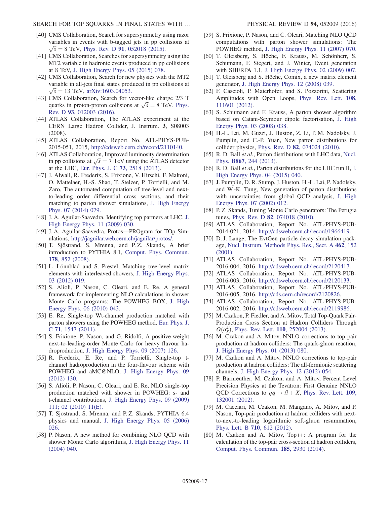- <span id="page-17-0"></span>[40] CMS Collaboration, Search for supersymmetry using razor variables in events with b-tagged jets in pp collisions at  $\sqrt{s}$  = 8 TeV, Phys. Rev. D 91[, 052018 \(2015\)](http://dx.doi.org/10.1103/PhysRevD.91.052018).
- [41] CMS Collaboration, Searches for supersymmetry using the MT2 variable in hadronic events produced in pp collisions at 8 TeV, [J. High Energy Phys. 05 \(2015\) 078.](http://dx.doi.org/10.1007/JHEP05(2015)078)
- [42] CMS Collaboration, Search for new physics with the MT2 variable in all-jets final states produced in pp collisions at  $\sqrt{s}$  = 13 TeV, [arXiv:1603.04053.](http://arXiv.org/abs/1603.04053)
- <span id="page-17-1"></span>[43] CMS Collaboration, Search for vector-like charge 2/3 T quarks in proton-proton collisions at  $\sqrt{s} = 8$  TeV, [Phys.](http://dx.doi.org/10.1103/PhysRevD.93.012003) Rev. D 93[, 012003 \(2016\)](http://dx.doi.org/10.1103/PhysRevD.93.012003).
- <span id="page-17-2"></span>[44] ATLAS Collaboration, The ATLAS experiment at the CERN Large Hadron Collider, J. Instrum. 3, S08003 (2008).
- <span id="page-17-3"></span>[45] ATLAS Collaboration, Report No. ATL-PHYS-PUB-2015-051, 2015, [http://cdsweb.cern.ch/record/2110140.](http://cdsweb.cern.ch/record/2110140)
- <span id="page-17-15"></span>[46] ATLAS Collaboration, Improved luminosity determination in pp collisions at  $\sqrt{s} = 7$  TeV using the ATLAS detector at the LHC, [Eur. Phys. J. C](http://dx.doi.org/10.1140/epjc/s10052-013-2518-3) 73, 2518 (2013).
- <span id="page-17-5"></span><span id="page-17-4"></span>[47] J. Alwall, R. Frederix, S. Frixione, V. Hirschi, F. Maltoni, O. Mattelaer, H.-S. Shao, T. Stelzer, P. Torrielli, and M. Zaro, The automated computation of tree-level and nextto-leading order differential cross sections, and their matching to parton shower simulations, [J. High Energy](http://dx.doi.org/10.1007/JHEP07(2014)079) [Phys. 07 \(2014\) 079.](http://dx.doi.org/10.1007/JHEP07(2014)079)
- <span id="page-17-6"></span>[48] J. A. Aguilar-Saavedra, Identifying top partners at LHC, [J.](http://dx.doi.org/10.1088/1126-6708/2009/11/030) [High Energy Phys. 11 \(2009\) 030.](http://dx.doi.org/10.1088/1126-6708/2009/11/030)
- <span id="page-17-7"></span>[49] J. A. Aguilar-Saavedra, Protos—PROgram for TOp Simulations, <http://jaguilar.web.cern.ch/jaguilar/protos/>.
- <span id="page-17-8"></span>[50] T. Sjöstrand, S. Mrenna, and P. Z. Skands, A brief introduction to PYTHIA 8.1, [Comput. Phys. Commun.](http://dx.doi.org/10.1016/j.cpc.2008.01.036) 178[, 852 \(2008\)](http://dx.doi.org/10.1016/j.cpc.2008.01.036).
- <span id="page-17-9"></span>[51] L. Lönnblad and S. Prestel, Matching tree-level matrix elements with interleaved showers, [J. High Energy Phys.](http://dx.doi.org/10.1007/JHEP03(2012)019) [03 \(2012\) 019.](http://dx.doi.org/10.1007/JHEP03(2012)019)
- <span id="page-17-10"></span>[52] S. Alioli, P. Nason, C. Oleari, and E. Re, A general framework for implementing NLO calculations in shower Monte Carlo programs: The POWHEG BOX, [J. High](http://dx.doi.org/10.1007/JHEP06(2010)043) [Energy Phys. 06 \(2010\) 043.](http://dx.doi.org/10.1007/JHEP06(2010)043)
- <span id="page-17-11"></span>[53] E. Re, Single-top Wt-channel production matched with parton showers using the POWHEG method, [Eur. Phys. J.](http://dx.doi.org/10.1140/epjc/s10052-011-1547-z) C 71[, 1547 \(2011\).](http://dx.doi.org/10.1140/epjc/s10052-011-1547-z)
- <span id="page-17-12"></span>[54] S. Frixione, P. Nason, and G. Ridolfi, A positive-weight next-to-leading-order Monte Carlo for heavy flavour hadroproduction, [J. High Energy Phys. 09 \(2007\) 126.](http://dx.doi.org/10.1088/1126-6708/2007/09/126)
- <span id="page-17-14"></span>[55] R. Frederix, E. Re, and P. Torrielli, Single-top tchannel hadroproduction in the four-flavour scheme with POWHEG and aMC@NLO, [J. High Energy Phys. 09](http://dx.doi.org/10.1007/JHEP09(2012)130) [\(2012\) 130.](http://dx.doi.org/10.1007/JHEP09(2012)130)
- <span id="page-17-13"></span>[56] S. Alioli, P. Nason, C. Oleari, and E. Re, NLO single-top production matched with shower in POWHEG: s- and t-channel contributions, [J. High Energy Phys. 09 \(2009\)](http://dx.doi.org/10.1088/1126-6708/2009/09/111) [111;](http://dx.doi.org/10.1088/1126-6708/2009/09/111) [02 \(2010\) 11\(E\).](http://dx.doi.org/10.1007/JHEP02(2010)011)
- <span id="page-17-28"></span>[57] T. Sjöstrand, S. Mrenna, and P. Z. Skands, PYTHIA 6.4 physics and manual, [J. High Energy Phys. 05 \(2006\)](http://dx.doi.org/10.1088/1126-6708/2006/05/026) [026.](http://dx.doi.org/10.1088/1126-6708/2006/05/026)
- <span id="page-17-16"></span>[58] P. Nason, A new method for combining NLO QCD with shower Monte Carlo algorithms, [J. High Energy Phys. 11](http://dx.doi.org/10.1088/1126-6708/2004/11/040) [\(2004\) 040.](http://dx.doi.org/10.1088/1126-6708/2004/11/040)
- [59] S. Frixione, P. Nason, and C. Oleari, Matching NLO QCD computations with parton shower simulations: The POWHEG method, [J. High Energy Phys. 11 \(2007\) 070.](http://dx.doi.org/10.1088/1126-6708/2007/11/070)
- <span id="page-17-17"></span>[60] T. Gleisberg, S. Höche, F. Krauss, M. Schönherr, S. Schumann, F. Siegert, and J. Winter, Event generation with SHERPA 1.1, [J. High Energy Phys. 02 \(2009\) 007.](http://dx.doi.org/10.1088/1126-6708/2009/02/007)
- [61] T. Gleisberg and S. Höche, Comix, a new matrix element generator, [J. High Energy Phys. 12 \(2008\) 039.](http://dx.doi.org/10.1088/1126-6708/2008/12/039)
- <span id="page-17-18"></span>[62] F. Cascioli, P. Maierhofer, and S. Pozzorini, Scattering Amplitudes with Open Loops, [Phys. Rev. Lett.](http://dx.doi.org/10.1103/PhysRevLett.108.111601) 108, [111601 \(2012\).](http://dx.doi.org/10.1103/PhysRevLett.108.111601)
- <span id="page-17-20"></span><span id="page-17-19"></span>[63] S. Schumann and F. Krauss, A parton shower algorithm based on Catani-Seymour dipole factorisation, [J. High](http://dx.doi.org/10.1088/1126-6708/2008/03/038) [Energy Phys. 03 \(2008\) 038.](http://dx.doi.org/10.1088/1126-6708/2008/03/038)
- [64] H.-L. Lai, M. Guzzi, J. Huston, Z. Li, P. M. Nadolsky, J. Pumplin, and C.-P. Yuan, New parton distributions for collider physics, Phys. Rev. D 82[, 074024 \(2010\)](http://dx.doi.org/10.1103/PhysRevD.82.074024).
- <span id="page-17-21"></span>[65] R. D. Ball *et al.*, Parton distributions with LHC data, [Nucl.](http://dx.doi.org/10.1016/j.nuclphysb.2012.10.003) Phys. B867[, 244 \(2013\).](http://dx.doi.org/10.1016/j.nuclphysb.2012.10.003)
- [66] R. D. Ball et al., Parton distributions for the LHC run II, [J.](http://dx.doi.org/10.1007/JHEP04(2015)040) [High Energy Phys. 04 \(2015\) 040.](http://dx.doi.org/10.1007/JHEP04(2015)040)
- [67] J. Pumplin, D. R. Stump, J. Huston, H.-L. Lai, P. Nadolsky, and W.-K. Tung, New generation of parton distributions with uncertainties from global QCD analysis, [J. High](http://dx.doi.org/10.1088/1126-6708/2002/07/012) [Energy Phys. 07 \(2002\) 012.](http://dx.doi.org/10.1088/1126-6708/2002/07/012)
- [68] P. Z. Skands, Tuning Monte Carlo generators: The Perugia tunes, Phys. Rev. D 82[, 074018 \(2010\).](http://dx.doi.org/10.1103/PhysRevD.82.074018)
- [69] ATLAS Collaboration, Report No. ATL-PHYS-PUB-2014-021, 2014, [http://cdsweb.cern.ch/record/1966419.](http://cdsweb.cern.ch/record/1966419)
- [70] D. J. Lange, The EvtGen particle decay simulation package, [Nucl. Instrum. Methods Phys. Res., Sect. A](http://dx.doi.org/10.1016/S0168-9002(01)00089-4) 462, 152 [\(2001\).](http://dx.doi.org/10.1016/S0168-9002(01)00089-4)
- <span id="page-17-22"></span>[71] ATLAS Collaboration, Report No. ATL-PHYS-PUB-2016-004, 2016, [http://cdsweb.cern.ch/record/2120417.](http://cdsweb.cern.ch/record/2120417)
- [72] ATLAS Collaboration, Report No. ATL-PHYS-PUB-2016-003, 2016, [http://cdsweb.cern.ch/record/2120133.](http://cdsweb.cern.ch/record/2120133)
- [73] ATLAS Collaboration, Report No. ATL-PHYS-PUB-2016-005, 2016, [http://cds.cern.ch/record/2120826.](http://cds.cern.ch/record/2120826)
- [74] ATLAS Collaboration, Report No. ATL-PHYS-PUB-2016-002, 2016, [http://cdsweb.cern.ch/record/2119986.](http://cdsweb.cern.ch/record/2119986)
- [75] M. Czakon, P. Fiedler, and A. Mitov, Total Top-Quark Pair-Production Cross Section at Hadron Colliders Through  $O(\alpha_s^4)$ , Phys. Rev. Lett. 110[, 252004 \(2013\)](http://dx.doi.org/10.1103/PhysRevLett.110.252004).
- [76] M. Czakon and A. Mitov, NNLO corrections to top pair production at hadron colliders: The quark-gluon reaction, [J. High Energy Phys. 01 \(2013\) 080.](http://dx.doi.org/10.1007/JHEP01(2013)080)
- <span id="page-17-23"></span>[77] M. Czakon and A. Mitov, NNLO corrections to top-pair production at hadron colliders: The all-fermionic scattering channels, [J. High Energy Phys. 12 \(2012\) 054.](http://dx.doi.org/10.1007/JHEP12(2012)054)
- <span id="page-17-24"></span>[78] P. Bärnreuther, M. Czakon, and A. Mitov, Percent Level Precision Physics at the Tevatron: First Genuine NNLO QCD Corrections to  $q\bar{q} \rightarrow t\bar{t} + X$ , [Phys. Rev. Lett.](http://dx.doi.org/10.1103/PhysRevLett.109.132001) 109, [132001 \(2012\).](http://dx.doi.org/10.1103/PhysRevLett.109.132001)
- <span id="page-17-26"></span><span id="page-17-25"></span>[79] M. Cacciari, M. Czakon, M. Mangano, A. Mitov, and P. Nason, Top-pair production at hadron colliders with nextto-next-to-leading logarithmic soft-gluon resummation, [Phys. Lett. B](http://dx.doi.org/10.1016/j.physletb.2012.03.013) 710, 612 (2012).
- <span id="page-17-27"></span>[80] M. Czakon and A. Mitov, Top++: A program for the calculation of the top-pair cross-section at hadron colliders, [Comput. Phys. Commun.](http://dx.doi.org/10.1016/j.cpc.2014.06.021) 185, 2930 (2014).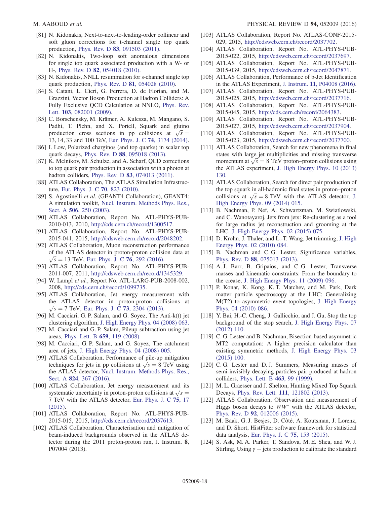- [81] N. Kidonakis, Next-to-next-to-leading-order collinear and soft gluon corrections for t-channel single top quark production, Phys. Rev. D 83[, 091503 \(2011\).](http://dx.doi.org/10.1103/PhysRevD.83.091503)
- <span id="page-18-0"></span>[82] N. Kidonakis, Two-loop soft anomalous dimensions for single top quark associated production with a W- or H-, Phys. Rev. D 82[, 054018 \(2010\).](http://dx.doi.org/10.1103/PhysRevD.82.054018)
- <span id="page-18-1"></span>[83] N. Kidonakis, NNLL resummation for s-channel single top quark production, Phys. Rev. D 81[, 054028 \(2010\).](http://dx.doi.org/10.1103/PhysRevD.81.054028)
- [84] S. Catani, L. Cieri, G. Ferrera, D. de Florian, and M. Grazzini, Vector Boson Production at Hadron Colliders: A Fully Exclusive QCD Calculation at NNLO, [Phys. Rev.](http://dx.doi.org/10.1103/PhysRevLett.103.082001) Lett. **103**[, 082001 \(2009\)](http://dx.doi.org/10.1103/PhysRevLett.103.082001).
- <span id="page-18-2"></span>[85] C. Borschensky, M. Krämer, A. Kulesza, M. Mangano, S. Padhi, T. Plehn, and X. Portell, Squark and gluino production cross sections in pp collisions at  $\sqrt{s} =$ 13; 14; 33 and 100 TeV, [Eur. Phys. J. C](http://dx.doi.org/10.1140/epjc/s10052-014-3174-y) 74, 3174 (2014).
- <span id="page-18-3"></span>[86] I. Low, Polarized charginos (and top quarks) in scalar top quark decays, Phys. Rev. D 88[, 095018 \(2013\)](http://dx.doi.org/10.1103/PhysRevD.88.095018).
- <span id="page-18-4"></span>[87] K. Melnikov, M. Schulze, and A. Scharf, QCD corrections to top quark pair production in association with a photon at hadron colliders, Phys. Rev. D 83[, 074013 \(2011\).](http://dx.doi.org/10.1103/PhysRevD.83.074013)
- <span id="page-18-6"></span>[88] ATLAS Collaboration, The ATLAS Simulation Infrastructure, [Eur. Phys. J. C](http://dx.doi.org/10.1140/epjc/s10052-010-1429-9) 70, 823 (2010).
- [89] S. Agostinelli et al. (GEANT4 Collaboration), GEANT4: A simulation toolkit, [Nucl. Instrum. Methods Phys. Res.,](http://dx.doi.org/10.1016/S0168-9002(03)01368-8) Sect. A 506[, 250 \(2003\)](http://dx.doi.org/10.1016/S0168-9002(03)01368-8).
- [90] ATLAS Collaboration, Report No. ATL-PHYS-PUB-2010-013, 2010, [http://cds.cern.ch/record/1300517.](http://cds.cern.ch/record/1300517)
- <span id="page-18-10"></span>[91] ATLAS Collaboration, Report No. ATL-PHYS-PUB-2015-041, 2015, [http://cdsweb.cern.ch/record/2048202.](http://cdsweb.cern.ch/record/2048202)
- <span id="page-18-11"></span>[92] ATLAS Collaboration, Muon reconstruction performance of the ATLAS detector in proton-proton collision data at  $\sqrt{s}$  = 13 TeV, [Eur. Phys. J. C](http://dx.doi.org/10.1140/epjc/s10052-016-4120-y) 76, 292 (2016).
- [93] ATLAS Collaboration, Report No. ATL-PHYS-PUB-2011-007, 2011, [http://cdsweb.cern.ch/record/1345329.](http://cdsweb.cern.ch/record/1345329)
- [94] W. Lampl et al., Report No. ATL-LARG-PUB-2008-002, 2008, <http://cds.cern.ch/record/1099735>.
- [95] ATLAS Collaboration, Jet energy measurement with the ATLAS detector in proton-proton collisions at  $\sqrt{s}$  = 7 TeV, [Eur. Phys. J. C](http://dx.doi.org/10.1140/epjc/s10052-013-2304-2) 73, 2304 (2013).
- [96] M. Cacciari, G. P. Salam, and G. Soyez, The Anti-k(t) jet clustering algorithm, [J. High Energy Phys. 04 \(2008\) 063.](http://dx.doi.org/10.1088/1126-6708/2008/04/063)
- <span id="page-18-9"></span>[97] M. Cacciari and G. P. Salam, Pileup subtraction using jet areas, [Phys. Lett. B](http://dx.doi.org/10.1016/j.physletb.2007.09.077) 659, 119 (2008).
- [98] M. Cacciari, G. P. Salam, and G. Soyez, The catchment area of jets, [J. High Energy Phys. 04 \(2008\) 005.](http://dx.doi.org/10.1088/1126-6708/2008/04/005)
- <span id="page-18-13"></span>[99] ATLAS Collaboration, Performance of pile-up mitigation techniques for jets in pp collisions at  $\sqrt{s} = 8$  TeV using the ATLAS detector, [Nucl. Instrum. Methods Phys. Res.,](http://dx.doi.org/10.1016/j.nima.2015.10.039) Sect. A 824[, 367 \(2016\)](http://dx.doi.org/10.1016/j.nima.2015.10.039).
- <span id="page-18-14"></span><span id="page-18-12"></span>[100] ATLAS Collaboration, Jet energy measurement and its systematic uncertainty in proton-proton collisions at  $\sqrt{s} =$ 7 TeV with the ATLAS detector, [Eur. Phys. J. C](http://dx.doi.org/10.1140/epjc/s10052-014-3190-y) 75, 17 [\(2015\).](http://dx.doi.org/10.1140/epjc/s10052-014-3190-y)
- [101] ATLAS Collaboration, Report No. ATL-PHYS-PUB-2015-015, 2015, [http://cds.cern.ch/record/2037613.](http://cds.cern.ch/record/2037613)
- <span id="page-18-16"></span><span id="page-18-15"></span>[102] ATLAS Collaboration, Characterisation and mitigation of beam-induced backgrounds observed in the ATLAS detector during the 2011 proton-proton run, J. Instrum. 8, P07004 (2013).
- <span id="page-18-7"></span>[103] ATLAS Collaboration, Report No. ATLAS-CONF-2015-029, 2015, [http://cdsweb.cern.ch/record/2037702.](http://cdsweb.cern.ch/record/2037702)
- [104] ATLAS Collaboration, Report No. ATL-PHYS-PUB-2015-022, 2015, [http://cdsweb.cern.ch/record/2037697.](http://cdsweb.cern.ch/record/2037697)
- <span id="page-18-5"></span>[105] ATLAS Collaboration, Report No. ATL-PHYS-PUB-2015-039, 2015, [http://cdsweb.cern.ch/record/2047871.](http://cdsweb.cern.ch/record/2047871)
- [106] ATLAS Collaboration, Performance of b-Jet Identification in the ATLAS Experiment, J. Instrum. 11[, P04008 \(2016\).](http://dx.doi.org/10.1088/1748-0221/11/04/P04008)
- [107] ATLAS Collaboration, Report No. ATL-PHYS-PUB-2015-025, 2015, [http://cdsweb.cern.ch/record/2037716.](http://cdsweb.cern.ch/record/2037716)
- [108] ATLAS Collaboration, Report No. ATL-PHYS-PUB-2015-045, 2015, [http://cds.cern.ch/record/2064383.](http://cds.cern.ch/record/2064383)
- [109] ATLAS Collaboration, Report No. ATL-PHYS-PUB-2015-027, 2015, [http://cdsweb.cern.ch/record/2037904.](http://cdsweb.cern.ch/record/2037904)
- [110] ATLAS Collaboration, Report No. ATL-PHYS-PUB-2015-023, 2015, [http://cdsweb.cern.ch/record/2037700.](http://cdsweb.cern.ch/record/2037700)
- [111] ATLAS Collaboration, Search for new phenomena in final states with large jet multiplicities and missing transverse momentum at  $\sqrt{s} = 8$  TeV proton–proton collisions using the ATLAS experiment, [J. High Energy Phys. 10 \(2013\)](http://dx.doi.org/10.1007/JHEP10(2013)130) [130.](http://dx.doi.org/10.1007/JHEP10(2013)130)
- <span id="page-18-8"></span>[112] ATLAS Collaboration, Search for direct pair production of the top squark in all-hadronic final states in proton–proton collisions at  $\sqrt{s} = 8$  TeV with the ATLAS detector, [J.](http://dx.doi.org/10.1007/JHEP09(2014)015) [High Energy Phys. 09 \(2014\) 015.](http://dx.doi.org/10.1007/JHEP09(2014)015)
- [113] B. Nachman, P. Nef, A. Schwartzman, M. Swiatlowski, and C. Wanotayaroj, Jets from jets: Re-clustering as a tool for large radius jet reconstruction and grooming at the LHC, [J. High Energy Phys. 02 \(2015\) 075.](http://dx.doi.org/10.1007/JHEP02(2015)075)
- [114] D. Krohn, J. Thaler, and L.-T. Wang, Jet trimming, [J. High](http://dx.doi.org/10.1007/JHEP02(2010)084) [Energy Phys. 02 \(2010\) 084.](http://dx.doi.org/10.1007/JHEP02(2010)084)
- [115] B. Nachman and C.G. Lester, Significance variables, Phys. Rev. D 88[, 075013 \(2013\)](http://dx.doi.org/10.1103/PhysRevD.88.075013).
- [116] A. J. Barr, B. Gripaios, and C. G. Lester, Transverse masses and kinematic constraints: From the boundary to the crease, [J. High Energy Phys. 11 \(2009\) 096.](http://dx.doi.org/10.1088/1126-6708/2009/11/096)
- [117] P. Konar, K. Kong, K. T. Matchev, and M. Park, Dark matter particle spectroscopy at the LHC: Generalizing M(T2) to asymmetric event topologies, [J. High Energy](http://dx.doi.org/10.1007/JHEP04(2010)086) [Phys. 04 \(2010\) 086.](http://dx.doi.org/10.1007/JHEP04(2010)086)
- [118] Y. Bai, H.-C. Cheng, J. Gallicchio, and J. Gu, Stop the top background of the stop search, [J. High Energy Phys. 07](http://dx.doi.org/10.1007/JHEP07(2012)110) [\(2012\) 110.](http://dx.doi.org/10.1007/JHEP07(2012)110)
- [119] C. G. Lester and B. Nachman, Bisection-based asymmetric MT2 computation: A higher precision calculator than existing symmetric methods, [J. High Energy Phys. 03](http://dx.doi.org/10.1007/JHEP03(2015)100) [\(2015\) 100.](http://dx.doi.org/10.1007/JHEP03(2015)100)
- [120] C. G. Lester and D. J. Summers, Measuring masses of semi-invisibly decaying particles pair produced at hadron colliders, [Phys. Lett. B](http://dx.doi.org/10.1016/S0370-2693(99)00945-4) 463, 99 (1999).
- [121] M. L. Graesser and J. Shelton, Hunting Mixed Top Squark Decays, Phys. Rev. Lett. 111[, 121802 \(2013\)](http://dx.doi.org/10.1103/PhysRevLett.111.121802).
- [122] ATLAS Collaboration, Observation and measurement of Higgs boson decays to  $WW^*$  with the ATLAS detector, Phys. Rev. D 92[, 012006 \(2015\)](http://dx.doi.org/10.1103/PhysRevD.92.012006).
- [123] M. Baak, G. J. Besjes, D. Côté, A. Koutsman, J. Lorenz, and D. Short, HistFitter software framework for statistical data analysis, [Eur. Phys. J. C](http://dx.doi.org/10.1140/epjc/s10052-015-3327-7) 75, 153 (2015).
- [124] S. Ask, M. A. Parker, T. Sandova, M. E. Shea, and W. J. Stirling, Using  $\gamma$  + jets production to calibrate the standard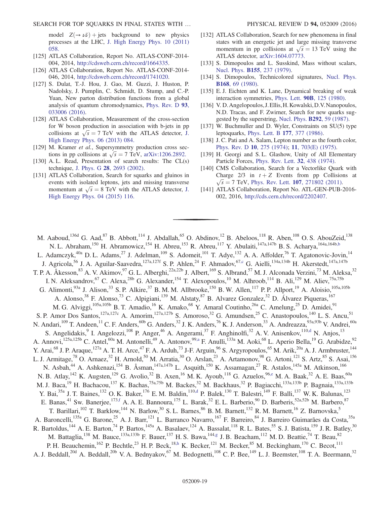model  $Z(\rightarrow \nu\bar{\nu})$  + jets background to new physics processes at the LHC, [J. High Energy Phys. 10 \(2011\)](http://dx.doi.org/10.1007/JHEP10(2011)058) [058.](http://dx.doi.org/10.1007/JHEP10(2011)058)

- [125] ATLAS Collaboration, Report No. ATLAS-CONF-2014-004, 2014, [http://cdsweb.cern.ch/record/1664335.](http://cdsweb.cern.ch/record/1664335)
- [126] ATLAS Collaboration, Report No. ATLAS-CONF-2014- 046, 2014, [http://cdsweb.cern.ch/record/1741020.](http://cdsweb.cern.ch/record/1741020)
- [127] S. Dulat, T.-J. Hou, J. Gao, M. Guzzi, J. Huston, P. Nadolsky, J. Pumplin, C. Schmidt, D. Stump, and C.-P. Yuan, New parton distribution functions from a global analysis of quantum chromodynamics, [Phys. Rev. D](http://dx.doi.org/10.1103/PhysRevD.93.033006) 93, [033006 \(2016\).](http://dx.doi.org/10.1103/PhysRevD.93.033006)
- [128] ATLAS Collaboration, Measurement of the cross-section for W boson production in association with b-jets in pp collisions at  $\sqrt{s} = 7$  TeV with the ATLAS detector, [J.](http://dx.doi.org/10.1007/JHEP06(2013)084) [High Energy Phys. 06 \(2013\) 084.](http://dx.doi.org/10.1007/JHEP06(2013)084)
- [129] M. Kramer et al., Supersymmetry production cross sections in pp collisions at  $\sqrt{s} = 7$  TeV, [arXiv:1206.2892.](http://arXiv.org/abs/1206.2892)
- [130] A.L. Read, Presentation of search results: The CL(s) technique, J. Phys. G 28[, 2693 \(2002\)](http://dx.doi.org/10.1088/0954-3899/28/10/313).
- [131] ATLAS Collaboration, Search for squarks and gluinos in events with isolated leptons, jets and missing transverse momentum at  $\sqrt{s} = 8$  TeV with the ATLAS detector, [J.](http://dx.doi.org/10.1007/JHEP04(2015)116) [High Energy Phys. 04 \(2015\) 116.](http://dx.doi.org/10.1007/JHEP04(2015)116)
- [132] ATLAS Collaboration, Search for new phenomena in final states with an energetic jet and large missing transverse momentum in pp collisions at  $\sqrt{s} = 13$  TeV using the ATLAS detector, [arXiv:1604.07773.](http://arXiv.org/abs/1604.07773)
- [133] S. Dimopoulos and L. Susskind, Mass without scalars, Nucl. Phys. B155[, 237 \(1979\).](http://dx.doi.org/10.1016/0550-3213(79)90364-X)
- [134] S. Dimopoulos, Technicolored signatures, [Nucl. Phys.](http://dx.doi.org/10.1016/0550-3213(80)90277-1) B168[, 69 \(1980\).](http://dx.doi.org/10.1016/0550-3213(80)90277-1)
- [135] E.J. Eichten and K. Lane, Dynamical breaking of weak interaction symmetries, Phys. Lett. 90B[, 125 \(1980\)](http://dx.doi.org/10.1016/0370-2693(80)90065-9).
- [136] V. D. Angelopoulos, J. Ellis, H. Kowalski, D. V. Nanopoulos, N.D. Tracas, and F. Zwirner, Search for new quarks suggested by the superstring, [Nucl. Phys.](http://dx.doi.org/10.1016/0550-3213(87)90637-7) B292, 59 (1987).
- [137] W. Buchmuller and D. Wyler, Constraints on SU(5) type leptoquarks, [Phys. Lett. B](http://dx.doi.org/10.1016/0370-2693(86)90771-9) 177, 377 (1986).
- [138] J. C. Pati and A. Salam, Lepton number as the fourth color, [Phys. Rev. D](http://dx.doi.org/10.1103/PhysRevD.10.275) 10, 275 (1974); 11[, 703\(E\) \(1975\).](http://dx.doi.org/10.1103/PhysRevD.11.703.2)
- [139] H. Georgi and S. L. Glashow, Unity of All Elementary Particle Forces, [Phys. Rev. Lett.](http://dx.doi.org/10.1103/PhysRevLett.32.438) 32, 438 (1974).
- [140] CMS Collaboration, Search for a Vectorlike Quark with Charge  $2/3$  in  $t + Z$  Events from pp Collisions at  $\sqrt{s}$  = 7 TeV, Phys. Rev. Lett. 107[, 271802 \(2011\).](http://dx.doi.org/10.1103/PhysRevLett.107.271802)
- [141] ATLAS Collaboration, Report No. ATL-GEN-PUB-2016- 002, 2016, <http://cds.cern.ch/record/2202407>.

<span id="page-19-4"></span><span id="page-19-3"></span><span id="page-19-2"></span><span id="page-19-1"></span><span id="page-19-0"></span>M. Aaboud,<sup>136d</sup> G. Aad,<sup>87</sup> B. Abbott,<sup>114</sup> J. Abdallah,<sup>65</sup> O. Abdinov,<sup>12</sup> B. Abeloos,<sup>118</sup> R. Aben,<sup>108</sup> O. S. AbouZeid,<sup>138</sup> N. L. Abraham,<sup>150</sup> H. Abramowicz,<sup>154</sup> H. Abreu,<sup>153</sup> R. Abreu,<sup>117</sup> Y. Abulaiti,<sup>147a,147b</sup> B. S. Acharya,<sup>164a,164b[,b](#page-30-0)</sup> L. Adamczyk,<sup>40a</sup> D. L. Adams,<sup>27</sup> J. Adelman,<sup>109</sup> S. Adomeit,<sup>101</sup> T. Adye,<sup>132</sup> A. A. Affolder,<sup>76</sup> T. Agatonovic-Jovin,<sup>14</sup> J. Agricola,<sup>56</sup> J. A. Aguilar-Saavedra,<sup>127a,127f</sup> S. P. Ahlen,<sup>24</sup> F. Ahmadov,<sup>67[,c](#page-30-1)</sup> G. Aielli,<sup>134a,134b</sup> H. Akerstedt,<sup>147a,147b</sup> T. P. A. Åkesson, <sup>83</sup> A. V. Akimov, <sup>97</sup> G. L. Alberghi, <sup>22a, 22b</sup> J. Albert, <sup>169</sup> S. Albrand, <sup>57</sup> M. J. Alconada Verzini, <sup>73</sup> M. Aleksa, <sup>32</sup> I. N. Aleksandrov,<sup>67</sup> C. Alexa,<sup>28b</sup> G. Alexander,<sup>154</sup> T. Alexopoulos,<sup>10</sup> M. Alhroob,<sup>114</sup> B. Ali,<sup>129</sup> M. Aliev,<sup>75a,75b</sup> G. Alimonti,<sup>93a</sup> J. Alison,<sup>33</sup> S. P. Alkire,<sup>37</sup> B. M. M. Allbrooke,<sup>150</sup> B. W. Allen,<sup>117</sup> P. P. Allport,<sup>19</sup> A. Aloisio,<sup>105a,105b</sup> A. Alonso,<sup>38</sup> F. Alonso,<sup>73</sup> C. Alpigiani,<sup>139</sup> M. Alstaty,<sup>87</sup> B. Alvarez Gonzalez,<sup>32</sup> D. Álvarez Piqueras,<sup>167</sup> M. G. Alviggi,<sup>105a,105b</sup> B. T. Amadio,<sup>16</sup> K. Amako,<sup>68</sup> Y. Amaral Coutinho,<sup>26a</sup> C. Amelung,<sup>25</sup> D. Amidei,<sup>91</sup> S. P. Amor Dos Santos,<sup>127a,127c</sup> A. Amorim,<sup>127a,127b</sup> S. Amoroso,<sup>32</sup> G. Amundsen,<sup>25</sup> C. Anastopoulos,<sup>140</sup> L. S. Ancu,<sup>51</sup> N. Andari,<sup>109</sup> T. Andeen,<sup>11</sup> C. F. Anders,<sup>60b</sup> G. Anders,<sup>32</sup> J. K. Anders,<sup>76</sup> K. J. Anderson,<sup>33</sup> A. Andreazza,<sup>93a,93b</sup> V. Andrei,<sup>60a</sup> S. Angelidakis, <sup>9</sup> I. Angelozzi,<sup>108</sup> P. Anger,<sup>46</sup> A. Angerami,<sup>37</sup> F. Anghinolfi,<sup>32</sup> A. V. Anisenkov,<sup>110[,d](#page-30-2)</sup> N. Anjos,<sup>13</sup> A. Annovi,<sup>125a,125b</sup> C. Antel,<sup>60a</sup> M. Antonelli,<sup>49</sup> A. Antonov,<sup>9[9,a](#page-30-3)</sup> F. Anulli,<sup>133a</sup> M. Aoki,<sup>68</sup> L. Aperio Bella,<sup>19</sup> G. Arabidze,<sup>92</sup> Y. Arai,<sup>68</sup> J. P. Araque,<sup>127a</sup> A. T. H. Arce,<sup>47</sup> F. A. Arduh,<sup>73</sup> J-F. Arguin,<sup>96</sup> S. Argyropoulos,<sup>65</sup> M. Arik,<sup>20a</sup> A. J. Armbruster,<sup>144</sup> L. J. Armitage,<sup>78</sup> O. Arnaez,<sup>32</sup> H. Arnold,<sup>50</sup> M. Arratia,<sup>30</sup> O. Arslan,<sup>23</sup> A. Artamonov,<sup>98</sup> G. Artoni,<sup>121</sup> S. Artz,<sup>85</sup> S. Asai,<sup>156</sup> N. Asbah,<sup>44</sup> A. Ashkenazi,<sup>154</sup> B. Åsman,<sup>147a,147b</sup> L. Asquith,<sup>150</sup> K. Assamagan,<sup>27</sup> R. Astalos,<sup>145a</sup> M. Atkinson,<sup>166</sup> N. B. Atlay,  $^{142}$  K. Augsten,  $^{129}$  G. Avolio,  $^{32}$  B. Axen,  $^{16}$  M. K. Ayoub,  $^{118}$  G. Azuelos,  $^{96,e}$  $^{96,e}$  $^{96,e}$  M. A. Baak,  $^{32}$  A. E. Baas,  $^{60a}$ M. J. Baca,<sup>19</sup> H. Bachacou,<sup>137</sup> K. Bachas,<sup>75a,75b</sup> M. Backes,<sup>32</sup> M. Backhaus,<sup>32</sup> P. Bagiacchi,<sup>133a,133b</sup> P. Bagnaia,<sup>133a,133b</sup> Y. Bai,<sup>35a</sup> J. T. Baines,<sup>132</sup> O. K. Baker,<sup>176</sup> E. M. Baldin,<sup>110[,d](#page-30-2)</sup> P. Balek,<sup>130</sup> T. Balestri,<sup>149</sup> F. Balli,<sup>137</sup> W. K. Balunas,<sup>123</sup> E. Banas,<sup>41</sup> Sw. Banerjee,<sup>173[,f](#page-30-5)</sup> A. A. E. Bannoura,<sup>175</sup> L. Barak,<sup>32</sup> E. L. Barberio,<sup>90</sup> D. Barberis,<sup>52a,52b</sup> M. Barbero,<sup>87</sup> T. Barillari,<sup>102</sup> T. Barklow,<sup>144</sup> N. Barlow,<sup>30</sup> S. L. Barnes,<sup>86</sup> B. M. Barnett,<sup>132</sup> R. M. Barnett,<sup>16</sup> Z. Barnovska,<sup>5</sup> A. Baroncelli,<sup>135a</sup> G. Barone,<sup>25</sup> A. J. Barr,<sup>121</sup> L. Barranco Navarro,<sup>167</sup> F. Barreiro,<sup>84</sup> J. Barreiro Guimarães da Costa,<sup>35a</sup> R. Bartoldus,<sup>144</sup> A. E. Barton,<sup>74</sup> P. Bartos,<sup>145a</sup> A. Basalaev,<sup>124</sup> A. Bassalat,<sup>118</sup> R. L. Bates,<sup>55</sup> S. J. Batista,<sup>159</sup> J. R. Batley,<sup>30</sup> M. Battaglia,<sup>138</sup> M. Bauce,<sup>133a,133b</sup> F. Bauer,<sup>137</sup> H. S. Bawa,<sup>144[,g](#page-30-6)</sup> J. B. Beacham,<sup>112</sup> M. D. Beattie,<sup>74</sup> T. Beau,<sup>82</sup> P. H. Beauchemin,<sup>162</sup> P. Bechtle,<sup>23</sup> H. P. Beck,<sup>18[,h](#page-30-7)</sup> K. Becker,<sup>121</sup> M. Becker,<sup>85</sup> M. Beckingham,<sup>170</sup> C. Becot,<sup>111</sup> A. J. Beddall,<sup>20d</sup> A. Beddall,<sup>20b</sup> V. A. Bednyakov,<sup>67</sup> M. Bedognetti,<sup>108</sup> C. P. Bee,<sup>149</sup> L. J. Beemster,<sup>108</sup> T. A. Beermann,<sup>32</sup>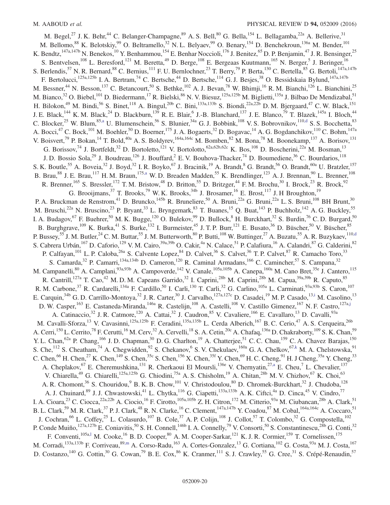<span id="page-20-2"></span><span id="page-20-1"></span><span id="page-20-0"></span>M. Begel,<sup>27</sup> J. K. Behr,<sup>44</sup> C. Belanger-Champagne,<sup>89</sup> A. S. Bell,<sup>80</sup> G. Bella,<sup>154</sup> L. Bellagamba,<sup>22a</sup> A. Bellerive,<sup>31</sup> M. Bellomo,<sup>88</sup> K. Belotskiy,<sup>99</sup> O. Beltramello,<sup>32</sup> N. L. Belyaev,<sup>99</sup> O. Benary,<sup>154</sup> D. Benchekroun,<sup>136a</sup> M. Bender,<sup>101</sup> K. Bendtz,<sup>147a,147b</sup> N. Benekos,<sup>10</sup> Y. Benhammou,<sup>154</sup> E. Benhar Noccioli,<sup>176</sup> J. Benitez,<sup>65</sup> D. P. Benjamin,<sup>47</sup> J. R. Bensinger,<sup>25</sup> S. Bentvelsen, <sup>108</sup> L. Beresford, <sup>121</sup> M. Beretta, <sup>49</sup> D. Berge, <sup>108</sup> E. Bergeaas Kuutmann, <sup>165</sup> N. Berger, <sup>5</sup> J. Beringer, <sup>16</sup> S. Berlendis,<sup>57</sup> N. R. Bernard,<sup>88</sup> C. Bernius,<sup>111</sup> F. U. Bernlochner,<sup>23</sup> T. Berry,<sup>79</sup> P. Berta,<sup>130</sup> C. Bertella,<sup>85</sup> G. Bertoli,<sup>147a,147b</sup> F. Bertolucci,<sup>125a,125b</sup> I. A. Bertram,<sup>74</sup> C. Bertsche,<sup>44</sup> D. Bertsche,<sup>114</sup> G. J. Besjes,<sup>38</sup> O. Bessidskaia Bylund,<sup>147a,147b</sup> M. Bessner,<sup>44</sup> N. Besson,<sup>137</sup> C. Betancourt,<sup>50</sup> S. Bethke,<sup>102</sup> A. J. Bevan,<sup>78</sup> W. Bhimji,<sup>16</sup> R. M. Bianchi,<sup>126</sup> L. Bianchini,<sup>25</sup> M. Bianco,<sup>32</sup> O. Biebel,<sup>101</sup> D. Biedermann,<sup>17</sup> R. Bielski,<sup>86</sup> N. V. Biesuz,<sup>125a,125b</sup> M. Biglietti,<sup>135a</sup> J. Bilbao De Mendizabal,<sup>51</sup> H. Bilokon,<sup>49</sup> M. Bindi,<sup>56</sup> S. Binet,<sup>118</sup> A. Bingul,<sup>20b</sup> C. Bini,<sup>133a,133b</sup> S. Biondi,<sup>22a,22b</sup> D. M. Bjergaard,<sup>47</sup> C. W. Black,<sup>151</sup> J. E. Black,<sup>144</sup> K. M. Black,<sup>24</sup> D. Blackburn,<sup>139</sup> R. E. Blair,<sup>6</sup> J.-B. Blanchard,<sup>137</sup> J. E. Blanco,<sup>79</sup> T. Blazek,<sup>145a</sup> I. Bloch,<sup>44</sup> C. Blocker,<sup>25</sup> W. Blum,<sup>85[,a](#page-30-3)</sup> U. Blumenschein,<sup>56</sup> S. Blunier,<sup>34a</sup> G. J. Bobbink,<sup>108</sup> V. S. Bobrovnikov,<sup>110[,d](#page-30-2)</sup> S. S. Bocchetta,<sup>83</sup> A. Bocci,<sup>47</sup> C. Bock,<sup>101</sup> M. Boehler,<sup>50</sup> D. Boerner,<sup>175</sup> J. A. Bogaerts,<sup>32</sup> D. Bogavac,<sup>14</sup> A. G. Bogdanchikov,<sup>110</sup> C. Bohm,<sup>147a</sup> V. Boisvert,<sup>79</sup> P. Bokan,<sup>14</sup> T. Bold,<sup>40a</sup> A. S. Boldyrev,<sup>164a,164c</sup> M. Bomben,<sup>82</sup> M. Bona,<sup>78</sup> M. Boonekamp,<sup>137</sup> A. Borisov,<sup>131</sup> G. Borissov,<sup>74</sup> J. Bortfeldt,<sup>32</sup> D. Bortoletto,<sup>121</sup> V. Bortolotto,<sup>62a,62b,62c</sup> K. Bos,<sup>108</sup> D. Boscherini,<sup>22a</sup> M. Bosman,<sup>13</sup> J. D. Bossio Sola,<sup>29</sup> J. Boudreau,<sup>126</sup> J. Bouffard,<sup>2</sup> E.V. Bouhova-Thacker,<sup>74</sup> D. Boumediene,<sup>36</sup> C. Bourdarios,<sup>118</sup> S. K. Boutle,<sup>55</sup> A. Boveia,<sup>32</sup> J. Boyd,<sup>32</sup> I. R. Boyko,<sup>67</sup> J. Bracinik,<sup>19</sup> A. Brandt,<sup>8</sup> G. Brandt,<sup>56</sup> O. Brandt,<sup>60a</sup> U. Bratzler,<sup>157</sup> B. Brau, <sup>88</sup> J. E. Brau, <sup>117</sup> H. M. Braun, <sup>175[,a](#page-30-3)</sup> W. D. Breaden Madden, <sup>55</sup> K. Brendlinger, <sup>123</sup> A. J. Brennan, <sup>90</sup> L. Brenner, <sup>108</sup> R. Brenner,<sup>165</sup> S. Bressler,<sup>172</sup> T. M. Bristow,<sup>48</sup> D. Britton,<sup>55</sup> D. Britzger,<sup>44</sup> F. M. Brochu,<sup>30</sup> I. Brock,<sup>23</sup> R. Brock,<sup>92</sup> G. Brooijmans,  $37$  T. Brooks,  $79$  W. K. Brooks,  $34b$  J. Brosamer,  $16$  E. Brost,  $117$  J. H Broughton,  $19$ P. A. Bruckman de Renstrom,<sup>41</sup> D. Bruncko,<sup>145b</sup> R. Bruneliere,<sup>50</sup> A. Bruni,<sup>22a</sup> G. Bruni,<sup>22a</sup> L. S. Bruni,<sup>108</sup> BH Brunt,<sup>30</sup> M. Bruschi,<sup>22a</sup> N. Bruscino,<sup>23</sup> P. Bryant,<sup>33</sup> L. Bryngemark,<sup>83</sup> T. Buanes,<sup>15</sup> Q. Buat,<sup>143</sup> P. Buchholz,<sup>142</sup> A. G. Buckley,<sup>55</sup> I. A. Budagov,<sup>67</sup> F. Buehrer,<sup>50</sup> M. K. Bugge,<sup>120</sup> O. Bulekov,<sup>99</sup> D. Bullock, <sup>8</sup> H. Burckhart,<sup>32</sup> S. Burdin,<sup>76</sup> C. D. Burgard,<sup>50</sup> B. Burghgrave,<sup>109</sup> K. Burka,<sup>41</sup> S. Burke,<sup>132</sup> I. Burmeister,<sup>45</sup> J. T. P. Burr,<sup>121</sup> E. Busato,<sup>36</sup> D. Büscher,<sup>50</sup> V. Büscher,<sup>85</sup> P. Bussey,<sup>55</sup> J. M. Butler,<sup>24</sup> C. M. Buttar,<sup>55</sup> J. M. Butterworth,<sup>80</sup> P. Butti,<sup>108</sup> W. Buttinger,<sup>27</sup> A. Buzatu,<sup>55</sup> A. R. Buzykaev,<sup>110[,d](#page-30-2)</sup> S. Cabrera Urbán,<sup>167</sup> D. Caforio,<sup>129</sup> V. M. Cairo,<sup>39a,39b</sup> O. Cakir,<sup>4a</sup> N. Calace,<sup>51</sup> P. Calafiura,<sup>16</sup> A. Calandri,<sup>87</sup> G. Calderini,<sup>82</sup> P. Calfayan,<sup>101</sup> L. P. Caloba,<sup>26a</sup> S. Calvente Lopez,<sup>84</sup> D. Calvet,<sup>36</sup> S. Calvet,<sup>36</sup> T. P. Calvet,<sup>87</sup> R. Camacho Toro,<sup>33</sup> S. Camarda,<sup>32</sup> P. Camarri,<sup>134a,134b</sup> D. Cameron,<sup>120</sup> R. Caminal Armadans,<sup>166</sup> C. Camincher,<sup>57</sup> S. Campana,<sup>32</sup> M. Campanelli,<sup>80</sup> A. Camplani,<sup>93a,93b</sup> A. Campoverde,<sup>142</sup> V. Canale,<sup>105a,105b</sup> A. Canepa,<sup>160a</sup> M. Cano Bret,<sup>35e</sup> J. Cantero,<sup>115</sup> R. Cantrill,<sup>127a</sup> T. Cao,<sup>42</sup> M. D. M. Capeans Garrido,<sup>32</sup> I. Caprini,<sup>28b</sup> M. Caprini,<sup>28b</sup> M. Capua,<sup>39a,39b</sup> R. Caputo,<sup>85</sup> R. M. Carbone,<sup>37</sup> R. Cardarelli,<sup>134a</sup> F. Cardillo,<sup>50</sup> I. Carli,<sup>130</sup> T. Carli,<sup>32</sup> G. Carlino,<sup>105a</sup> L. Carminati,<sup>93a,93b</sup> S. Caron,<sup>107</sup> E. Carquin,<sup>34b</sup> G. D. Carrillo-Montoya,<sup>32</sup> J. R. Carter,<sup>30</sup> J. Carvalho,<sup>127a,127c</sup> D. Casadei,<sup>19</sup> M. P. Casado,<sup>1[3,i](#page-30-8)</sup> M. Casolino,<sup>13</sup> D. W. Casper,<sup>163</sup> E. Castaneda-Miranda,<sup>146a</sup> R. Castelijn,<sup>108</sup> A. Castelli,<sup>108</sup> V. Castillo Gimenez,<sup>167</sup> N. F. Castro,<sup>127[a,j](#page-30-9)</sup> A. Catinaccio,<sup>32</sup> J. R. Catmore,<sup>120</sup> A. Cattai,<sup>32</sup> J. Caudron,<sup>85</sup> V. Cavaliere,<sup>166</sup> E. Cavallaro,<sup>13</sup> D. Cavalli,<sup>93a</sup> M. Cavalli-Sforza,<sup>13</sup> V. Cavasinni,<sup>125a,125b</sup> F. Ceradini,<sup>135a,135b</sup> L. Cerda Alberich,<sup>167</sup> B. C. Cerio,<sup>47</sup> A. S. Cerqueira,<sup>26b</sup> A. Cerri,<sup>150</sup> L. Cerrito,<sup>78</sup> F. Cerutti,<sup>16</sup> M. Cerv,<sup>32</sup> A. Cervelli,<sup>18</sup> S. A. Cetin,<sup>20c</sup> A. Chafaq,<sup>136a</sup> D. Chakraborty,<sup>109</sup> S. K. Chan,<sup>59</sup> Y. L. Chan, <sup>62a</sup> P. Chang, <sup>166</sup> J. D. Chapman, <sup>30</sup> D. G. Charlton, <sup>19</sup> A. Chatterjee, <sup>51</sup> C. C. Chau, <sup>159</sup> C. A. Chavez Barajas, <sup>150</sup> S. Che, <sup>112</sup> S. Cheatham, <sup>74</sup> A. Chegwidden, <sup>92</sup> S. Chekanov, <sup>6</sup> S. V. Chekulaev, <sup>160a</sup> G. A. Chelkov, <sup>6[7,k](#page-30-10)</sup> M. A. Chelstowska, <sup>91</sup> C. Chen,<sup>66</sup> H. Chen,<sup>27</sup> K. Chen,<sup>149</sup> S. Chen,<sup>35c</sup> S. Chen,<sup>156</sup> X. Chen,<sup>35f</sup> Y. Chen,<sup>69</sup> H. C. Cheng,<sup>91</sup> H. J Cheng,<sup>35a</sup> Y. Cheng,<sup>33</sup> A. Cheplakov,  $^{67}$  E. Cheremushkina,  $^{131}$  R. Cherkaoui El Moursli,  $^{136}$  V. Chernyatin,  $^{27,a}$  $^{27,a}$  $^{27,a}$  E. Cheu,  $^{7}$  L. Chevalier,  $^{137}$ V. Chiarella,<sup>49</sup> G. Chiarelli,<sup>125a,125b</sup> G. Chiodini,<sup>75a</sup> A. S. Chisholm,<sup>19</sup> A. Chitan,<sup>28b</sup> M. V. Chizhov,<sup>67</sup> K. Choi,<sup>63</sup> A. R. Chomont,<sup>36</sup> S. Chouridou,<sup>9</sup> B. K. B. Chow,<sup>101</sup> V. Christodoulou,<sup>80</sup> D. Chromek-Burckhart,<sup>32</sup> J. Chudoba,<sup>128</sup> A. J. Chuinard,<sup>89</sup> J. J. Chwastowski,<sup>41</sup> L. Chytka,<sup>116</sup> G. Ciapetti,<sup>133a,133b</sup> A. K. Ciftci,<sup>4a</sup> D. Cinca,<sup>45</sup> V. Cindro,<sup>77</sup> I. A. Cioara,<sup>23</sup> C. Ciocca,<sup>22a,22b</sup> A. Ciocio,<sup>16</sup> F. Cirotto,<sup>105a,105b</sup> Z. H. Citron,<sup>172</sup> M. Citterio,<sup>93a</sup> M. Ciubancan,<sup>28b</sup> A. Clark,<sup>51</sup> B. L. Clark,<sup>59</sup> M. R. Clark,<sup>37</sup> P. J. Clark,<sup>48</sup> R. N. Clarke,<sup>16</sup> C. Clement,<sup>147a,147b</sup> Y. Coadou,<sup>87</sup> M. Cobal,<sup>164a,164c</sup> A. Coccaro,<sup>51</sup> J. Cochran,<sup>66</sup> L. Coffey,<sup>25</sup> L. Colasurdo,<sup>107</sup> B. Cole,<sup>37</sup> A. P. Colijn,<sup>108</sup> J. Collot,<sup>57</sup> T. Colombo,<sup>32</sup> G. Compostella,<sup>102</sup> P. Conde Muiño, $127a,127b$  E. Coniavitis,<sup>50</sup> S. H. Connell,<sup>146b</sup> I. A. Connelly,<sup>79</sup> V. Consorti,<sup>50</sup> S. Constantinescu,<sup>28b</sup> G. Conti,<sup>32</sup> F. Conventi, <sup>105a[,l](#page-30-11)</sup> M. Cooke, <sup>16</sup> B. D. Cooper, <sup>80</sup> A. M. Cooper-Sarkar, <sup>121</sup> K. J. R. Cormier, <sup>159</sup> T. Cornelissen, <sup>175</sup> M. Corradi, <sup>133a,133b</sup> F. Corriveau, <sup>89[,m](#page-30-12)</sup> A. Corso-Radu, <sup>163</sup> A. Cortes-Gonzalez, <sup>13</sup> G. Cortiana, <sup>102</sup> G. Costa, <sup>93a</sup> M. J. Costa, <sup>167</sup> D. Costanzo,<sup>140</sup> G. Cottin,<sup>30</sup> G. Cowan,<sup>79</sup> B. E. Cox,<sup>86</sup> K. Cranmer,<sup>111</sup> S. J. Crawley,<sup>55</sup> G. Cree,<sup>31</sup> S. Crépé-Renaudin,<sup>57</sup>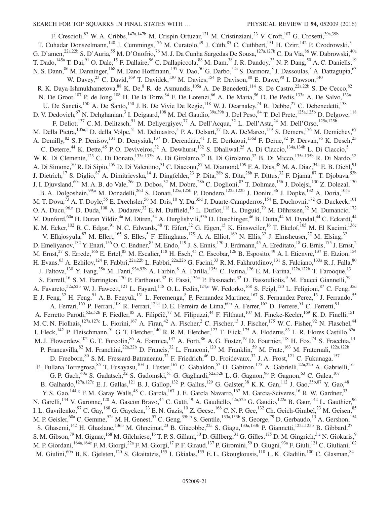<span id="page-21-7"></span><span id="page-21-6"></span><span id="page-21-5"></span><span id="page-21-4"></span><span id="page-21-3"></span><span id="page-21-2"></span><span id="page-21-1"></span><span id="page-21-0"></span>F. Crescioli,<sup>82</sup> W. A. Cribbs,<sup>147a,147b</sup> M. Crispin Ortuzar,<sup>121</sup> M. Cristinziani,<sup>23</sup> V. Croft,<sup>107</sup> G. Crosetti,<sup>39a,39b</sup> T. Cuhadar Donszelmann,<sup>140</sup> J. Cummings,<sup>176</sup> M. Curatolo,<sup>49</sup> J. Cúth,<sup>85</sup> C. Cuthbert,<sup>151</sup> H. Czirr,<sup>142</sup> P. Czodrowski,<sup>3</sup> G. D'amen,<sup>22a,22b</sup> S. D'Auria,<sup>55</sup> M. D'Onofrio,<sup>76</sup> M. J. Da Cunha Sargedas De Sousa,<sup>127a,127b</sup> C. Da Via,<sup>86</sup> W. Dabrowski,<sup>40a</sup> T. Dado,  $^{145a}$  T. Dai,  $^{91}$  O. Dale,  $^{15}$  F. Dallaire,  $^{96}$  C. Dallapiccola,  $^{88}$  M. Dam,  $^{38}$  J. R. Dandoy,  $^{33}$  N. P. Dang,  $^{50}$  A. C. Daniells,  $^{19}$ N. S. Dann,  $86$  M. Danninger,  $^{168}$  M. Dano Hoffmann,  $^{137}$  V. Dao,  $^{50}$  G. Darbo,  $^{52a}$  S. Darmora,  $^8$  J. Dassoulas,  $^3$  A. Dattagupta,  $^{63}$ W. Davey,<sup>23</sup> C. David,<sup>169</sup> T. Davidek,<sup>130</sup> M. Davies,<sup>154</sup> P. Davison,<sup>80</sup> E. Dawe,<sup>90</sup> I. Dawson,<sup>140</sup> R. K. Daya-Ishmukhametova,  $88$  K. De,  $8$  R. de Asmundis,  $105a$  A. De Benedetti,  $114$  S. De Castro,  $22a,22b$  S. De Cecco,  $82a$ N. De Groot,<sup>107</sup> P. de Jong,<sup>108</sup> H. De la Torre,<sup>84</sup> F. De Lorenzi,<sup>66</sup> A. De Maria,<sup>56</sup> D. De Pedis,<sup>133a</sup> A. De Salvo,<sup>133a</sup> U. De Sanctis,<sup>150</sup> A. De Santo,<sup>150</sup> J. B. De Vivie De Regie,<sup>118</sup> W. J. Dearnaley,<sup>74</sup> R. Debbe,<sup>27</sup> C. Debenedetti,<sup>138</sup> D. V. Dedovich,<sup>67</sup> N. Dehghanian,<sup>3</sup> I. Deigaard,<sup>108</sup> M. Del Gaudio,<sup>39a,39b</sup> J. Del Peso,<sup>84</sup> T. Del Prete,<sup>125a,125b</sup> D. Delgove,<sup>118</sup> F. Deliot,<sup>137</sup> C. M. Delitzsch,<sup>51</sup> M. Deliyergiyev,<sup>77</sup> A. Dell'Acqua,<sup>32</sup> L. Dell'Asta,<sup>24</sup> M. Dell'Orso,<sup>125a,125b</sup> M. Della Pietra, <sup>105a,1</sup> D. della Volpe, <sup>51</sup> M. Delmastro, <sup>5</sup> P. A. Delsart, <sup>57</sup> D. A. DeMarco, <sup>159</sup> S. Demers, <sup>176</sup> M. Demichev, <sup>67</sup> A. Demilly, <sup>82</sup> S. P. Denisov, <sup>131</sup> D. Denysiuk, <sup>137</sup> D. Derendarz, <sup>41</sup> J. E. Derkaoui, <sup>136d</sup> F. Derue, <sup>82</sup> P. Dervan, <sup>76</sup> K. Desch, <sup>23</sup> C. Deterre,<sup>44</sup> K. Dette,<sup>45</sup> P. O. Deviveiros,<sup>32</sup> A. Dewhurst,<sup>132</sup> S. Dhaliwal,<sup>25</sup> A. Di Ciaccio,<sup>134a,134b</sup> L. Di Ciaccio,<sup>5</sup> W. K. Di Clemente,<sup>123</sup> C. Di Donato,<sup>133a,133b</sup> A. Di Girolamo,<sup>32</sup> B. Di Girolamo,<sup>32</sup> B. Di Micco,<sup>135a,135b</sup> R. Di Nardo,<sup>32</sup> A. Di Simone,<sup>50</sup> R. Di Sipio,<sup>159</sup> D. Di Valentino,<sup>31</sup> C. Diaconu,<sup>87</sup> M. Diamond,<sup>159</sup> F. A. Dias,<sup>48</sup> M. A. Diaz,<sup>34a</sup> E. B. Diehl,<sup>91</sup> J. Dietrich,<sup>17</sup> S. Diglio,<sup>87</sup> A. Dimitrievska,<sup>14</sup> J. Dingfelder,<sup>23</sup> P. Dita,<sup>28b</sup> S. Dita,<sup>28b</sup> F. Dittus,<sup>32</sup> F. Djama,<sup>87</sup> T. Djobava,<sup>53b</sup> J. I. Djuvsland,<sup>60a</sup> M. A. B. do Vale,<sup>26c</sup> D. Dobos,<sup>32</sup> M. Dobre,<sup>28b</sup> C. Doglioni,<sup>83</sup> T. Dohmae,<sup>156</sup> J. Dolejsi,<sup>130</sup> Z. Dolezal,<sup>130</sup> B. A. Dolgoshein,<sup>99[,a](#page-30-3)</sup> M. Donadelli,<sup>26d</sup> S. Donati,<sup>125a,125b</sup> P. Dondero,<sup>122a,122b</sup> J. Donini,<sup>36</sup> J. Dopke,<sup>132</sup> A. Doria,<sup>105a</sup> M. T. Dova,<sup>73</sup> A. T. Doyle,<sup>55</sup> E. Drechsler,<sup>56</sup> M. Dris,<sup>10</sup> Y. Du,<sup>35d</sup> J. Duarte-Campderros,<sup>154</sup> E. Duchovni,<sup>172</sup> G. Duckeck,<sup>101</sup> O. A. Ducu,  $96, n$  D. Duda,  $108$  A. Dudarev,  $32$  E. M. Duffield,  $16$  L. Duflot,  $118$  L. Duguid,  $79$  M. Dührssen,  $32$  M. Dumancic,  $172$ M. Dunford,<sup>60a</sup> H. Duran Yildiz,<sup>4a</sup> M. Düren,<sup>54</sup> A. Durglishvili,<sup>53b</sup> D. Duschinger,<sup>46</sup> B. Dutta,<sup>44</sup> M. Dyndal,<sup>44</sup> C. Eckardt,<sup>44</sup> K. M. Ecker,<sup>102</sup> R. C. Edgar,<sup>91</sup> N. C. Edwards,<sup>48</sup> T. Eifert,<sup>32</sup> G. Eigen,<sup>15</sup> K. Einsweiler,<sup>16</sup> T. Ekelof,<sup>165</sup> M. El Kacimi,<sup>136c</sup> V. Ellajosyula,  $87$  M. Ellert,  $165$  S. Elles,  $5$  F. Ellinghaus,  $175$  A. A. Elliot,  $169$  N. Ellis,  $32$  J. Elmsheuser,  $27$  M. Elsing,  $32$ D. Emeliyanov,<sup>132</sup> Y. Enari,<sup>156</sup> O. C. Endner,<sup>85</sup> M. Endo,<sup>119</sup> J. S. Ennis,<sup>170</sup> J. Erdmann,<sup>45</sup> A. Ereditato,<sup>18</sup> G. Ernis,<sup>175</sup> J. Ernst,<sup>2</sup> M. Ernst,<sup>27</sup> S. Errede,<sup>166</sup> E. Ertel,<sup>85</sup> M. Escalier,<sup>118</sup> H. Esch,<sup>45</sup> C. Escobar,<sup>126</sup> B. Esposito,<sup>49</sup> A. I. Etienvre,<sup>137</sup> E. Etzion,<sup>154</sup> H. Evans, <sup>63</sup> A. Ezhilov, <sup>124</sup> F. Fabbri, <sup>22a, 22b</sup> L. Fabbri, <sup>22a, 22b</sup> G. Facini, <sup>33</sup> R. M. Fakhrutdinov, <sup>131</sup> S. Falciano, <sup>133a</sup> R. J. Falla, <sup>80</sup> J. Faltova,<sup>130</sup> Y. Fang,<sup>35a</sup> M. Fanti,<sup>93a,93b</sup> A. Farbin,<sup>8</sup> A. Farilla,<sup>135a</sup> C. Farina,<sup>126</sup> E. M. Farina,<sup>122a,122b</sup> T. Farooque,<sup>13</sup> S. Farrell,<sup>16</sup> S. M. Farrington,<sup>170</sup> P. Farthouat,<sup>32</sup> F. Fassi,<sup>136e</sup> P. Fassnacht,<sup>32</sup> D. Fassouliotis,<sup>9</sup> M. Faucci Giannelli,<sup>79</sup> A. Favareto,<sup>52a,52b</sup> W. J. Fawcett,<sup>121</sup> L. Fayard,<sup>118</sup> O. L. Fedin,<sup>124[,o](#page-30-14)</sup> W. Fedorko,<sup>168</sup> S. Feigl,<sup>120</sup> L. Feligioni,<sup>87</sup> C. Feng,<sup>35d</sup> E. J. Feng,<sup>32</sup> H. Feng,<sup>91</sup> A. B. Fenyuk,<sup>131</sup> L. Feremenga, <sup>8</sup> P. Fernandez Martinez,<sup>167</sup> S. Fernandez Perez,<sup>13</sup> J. Ferrando,<sup>55</sup> A. Ferrari,<sup>165</sup> P. Ferrari,<sup>108</sup> R. Ferrari,<sup>122a</sup> D. E. Ferreira de Lima,<sup>60b</sup> A. Ferrer,<sup>167</sup> D. Ferrere,<sup>51</sup> C. Ferretti,<sup>91</sup> A. Ferretto Parodi,<sup>52a,52b</sup> F. Fiedler,<sup>85</sup> A. Filipčič,<sup>77</sup> M. Filipuzzi,<sup>44</sup> F. Filthaut,<sup>107</sup> M. Fincke-Keeler,<sup>169</sup> K.D. Finelli,<sup>151</sup> M. C. N. Fiolhais,<sup>127a,127c</sup> L. Fiorini,<sup>167</sup> A. Firan,<sup>42</sup> A. Fischer,<sup>2</sup> C. Fischer,<sup>13</sup> J. Fischer,<sup>175</sup> W. C. Fisher,<sup>92</sup> N. Flaschel,<sup>44</sup> I. Fleck,<sup>142</sup> P. Fleischmann,<sup>91</sup> G. T. Fletcher,<sup>140</sup> R. R. M. Fletcher,<sup>123</sup> T. Flick,<sup>175</sup> A. Floderus,<sup>83</sup> L. R. Flores Castillo,<sup>62a</sup> M. J. Flowerdew,<sup>102</sup> G. T. Forcolin,<sup>86</sup> A. Formica,<sup>137</sup> A. Forti,<sup>86</sup> A. G. Foster,<sup>19</sup> D. Fournier,<sup>118</sup> H. Fox,<sup>74</sup> S. Fracchia,<sup>13</sup> P. Francavilla,<sup>82</sup> M. Franchini,<sup>22a,22b</sup> D. Francis,<sup>32</sup> L. Franconi,<sup>120</sup> M. Franklin,<sup>59</sup> M. Frate,<sup>163</sup> M. Fraternali,<sup>122a,122b</sup> D. Freeborn,  $80$  S. M. Fressard-Batraneanu,  $32$  F. Friedrich,  $46$  D. Froidevaux,  $32$  J. A. Frost,  $121$  C. Fukunaga,  $157$ E. Fullana Torregrosa,<sup>85</sup> T. Fusayasu,<sup>103</sup> J. Fuster,<sup>167</sup> C. Gabaldon,<sup>57</sup> O. Gabizon,<sup>175</sup> A. Gabrielli,<sup>22a,22b</sup> A. Gabrielli,<sup>16</sup> G. P. Gach,<sup>40a</sup> S. Gadatsch,<sup>32</sup> S. Gadomski,<sup>51</sup> G. Gagliardi,<sup>52a,52b</sup> L. G. Gagnon,<sup>96</sup> P. Gagnon,<sup>63</sup> C. Galea,<sup>107</sup> B. Galhardo,<sup>127a,127c</sup> E. J. Gallas,<sup>121</sup> B. J. Gallop,<sup>132</sup> P. Gallus,<sup>129</sup> G. Galster,<sup>38</sup> K. K. Gan,<sup>112</sup> J. Gao,<sup>35b,87</sup> Y. Gao,<sup>48</sup> Y. S. Gao,<sup>144[,g](#page-30-6)</sup> F. M. Garay Walls,<sup>48</sup> C. García,<sup>167</sup> J. E. García Navarro,<sup>167</sup> M. Garcia-Sciveres,<sup>16</sup> R. W. Gardner,<sup>33</sup> N. Garelli,<sup>144</sup> V. Garonne,<sup>120</sup> A. Gascon Bravo,<sup>44</sup> C. Gatti,<sup>49</sup> A. Gaudiello,<sup>52a,52b</sup> G. Gaudio,<sup>122a</sup> B. Gaur,<sup>142</sup> L. Gauthier,<sup>96</sup> I. L. Gavrilenko,  $97$  C. Gay,  $^{168}$  G. Gaycken,  $^{23}$  E. N. Gazis,  $^{10}$  Z. Gecse,  $^{168}$  C. N. P. Gee,  $^{132}$  Ch. Geich-Gimbel,  $^{23}$  M. Geisen,  $^{85}$ M. P. Geisler,<sup>60a</sup> C. Gemme,<sup>52a</sup> M. H. Genest,<sup>57</sup> C. Geng,<sup>35b[,p](#page-30-15)</sup> S. Gentile,<sup>133a,133b</sup> S. George,<sup>79</sup> D. Gerbaudo,<sup>13</sup> A. Gershon,<sup>154</sup> S. Ghasemi, <sup>142</sup> H. Ghazlane, <sup>136b</sup> M. Ghneimat, <sup>23</sup> B. Giacobbe, <sup>22a</sup> S. Giagu, <sup>133a, 133b</sup> P. Giannetti, <sup>125a, 125b</sup> B. Gibbard, <sup>27</sup> S. M. Gibson,<sup>79</sup> M. Gignac,<sup>168</sup> M. Gilchriese,<sup>16</sup> T. P. S. Gillam,<sup>30</sup> D. Gillberg,<sup>31</sup> G. Gilles,<sup>175</sup> D. M. Gingrich,<sup>3[,e](#page-30-4)</sup> N. Giokaris,<sup>9</sup> M. P. Giordani,<sup>164a,164c</sup> F. M. Giorgi,<sup>22a</sup> F. M. Giorgi,<sup>17</sup> P. F. Giraud,<sup>137</sup> P. Giromini,<sup>59</sup> D. Giugni,<sup>93a</sup> F. Giuli,<sup>121</sup> C. Giuliani,<sup>102</sup> M. Giulini,<sup>60b</sup> B. K. Gjelsten,<sup>120</sup> S. Gkaitatzis,<sup>155</sup> I. Gkialas,<sup>155</sup> E. L. Gkougkousis,<sup>118</sup> L. K. Gladilin,<sup>100</sup> C. Glasman,<sup>84</sup>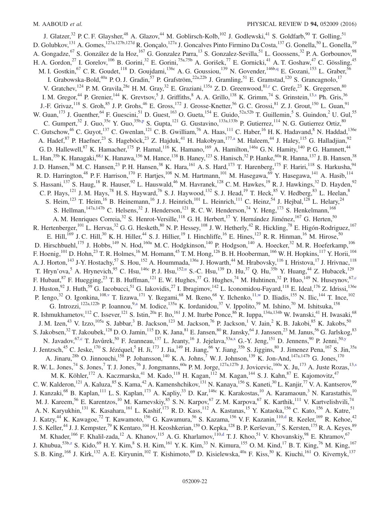<span id="page-22-3"></span><span id="page-22-2"></span><span id="page-22-1"></span><span id="page-22-0"></span>J. Glatzer,<sup>32</sup> P. C. F. Glaysher,<sup>48</sup> A. Glazov,<sup>44</sup> M. Goblirsch-Kolb,<sup>102</sup> J. Godlewski,<sup>41</sup> S. Goldfarb,<sup>90</sup> T. Golling,<sup>51</sup> D. Golubkov, $^{131}$  A. Gomes,  $^{127a,127b,127d}$  R. Gonçalo, $^{127a}$  J. Goncalves Pinto Firmino Da Costa, $^{137}$  G. Gonella, $^{50}$  L. Gonella, $^{19}$ A. Gongadze,<sup>67</sup> S. González de la Hoz,<sup>167</sup> G. Gonzalez Parra,<sup>13</sup> S. Gonzalez-Sevilla,<sup>51</sup> L. Goossens,<sup>32</sup> P. A. Gorbounov,<sup>98</sup> H. A. Gordon,<sup>27</sup> I. Gorelov,<sup>106</sup> B. Gorini,<sup>32</sup> E. Gorini,<sup>75a,75b</sup> A. Gorišek,<sup>77</sup> E. Gornicki,<sup>41</sup> A. T. Goshaw,<sup>47</sup> C. Gössling,<sup>45</sup> M. I. Gostkin,<sup>67</sup> C. R. Goudet,<sup>118</sup> D. Goujdami,<sup>136c</sup> A. G. Goussiou,<sup>139</sup> N. Govender,<sup>146[b,q](#page-30-16)</sup> E. Gozani,<sup>153</sup> L. Graber,<sup>56</sup> I. Grabowska-Bold,<sup>40a</sup> P. O. J. Gradin,<sup>57</sup> P. Grafström,<sup>22a,22b</sup> J. Gramling,<sup>51</sup> E. Gramstad,<sup>120</sup> S. Grancagnolo,<sup>17</sup> V. Gratchev,  $^{124}$  P. M. Gravila,  $^{28e}$  H. M. Gray,  $^{32}$  E. Graziani,  $^{135a}$  Z. D. Greenwood,  $^{81,r}$  $^{81,r}$  $^{81,r}$  C. Grefe,  $^{23}$  K. Gregersen,  $^{80}$ I. M. Gregor,<sup>44</sup> P. Grenier,<sup>144</sup> K. Grevtsov,<sup>5</sup> J. Griffiths,<sup>8</sup> A. A. Grillo,<sup>138</sup> K. Grimm,<sup>74</sup> S. Grinstein,<sup>13[,s](#page-31-1)</sup> Ph. Gris,<sup>36</sup> J.-F. Grivaz,<sup>118</sup> S. Groh,<sup>85</sup> J. P. Grohs,<sup>46</sup> E. Gross,<sup>172</sup> J. Grosse-Knetter,<sup>56</sup> G. C. Grossi,<sup>81</sup> Z. J. Grout,<sup>150</sup> L. Guan,<sup>91</sup> W. Guan, <sup>173</sup> J. Guenther, <sup>64</sup> F. Guescini, <sup>51</sup> D. Guest, <sup>163</sup> O. Gueta, <sup>154</sup> E. Guido, <sup>52a, 52b</sup> T. Guillemin, <sup>5</sup> S. Guindon, <sup>2</sup> U. Gul, <sup>55</sup> C. Gumpert,<sup>32</sup> J. Guo,<sup>35e</sup> Y. Guo,<sup>35b[,p](#page-30-15)</sup> S. Gupta,<sup>121</sup> G. Gustavino,<sup>133a,133b</sup> P. Gutierrez,<sup>114</sup> N. G. Gutierrez Ortiz,<sup>80</sup> C. Gutschow, <sup>46</sup> C. Guyot, <sup>137</sup> C. Gwenlan, <sup>121</sup> C. B. Gwilliam, <sup>76</sup> A. Haas, <sup>111</sup> C. Haber, <sup>16</sup> H. K. Hadavand, <sup>8</sup> N. Haddad, <sup>136e</sup> A. Hadef, <sup>87</sup> P. Haefner,<sup>23</sup> S. Hageböck,<sup>23</sup> Z. Hajduk,<sup>41</sup> H. Hakobyan,<sup>17[7,a](#page-30-3)</sup> M. Haleem,<sup>44</sup> J. Haley,<sup>115</sup> G. Halladjian,<sup>92</sup> G. D. Hallewell,<sup>87</sup> K. Hamacher,<sup>175</sup> P. Hamal,<sup>116</sup> K. Hamano,<sup>169</sup> A. Hamilton,<sup>146a</sup> G. N. Hamity,<sup>140</sup> P. G. Hamnett,<sup>44</sup> L. Han,  $^{35b}$  K. Hanagaki,  $^{68,t}$  $^{68,t}$  $^{68,t}$  K. Hanawa,  $^{156}$  M. Hance,  $^{138}$  B. Haney,  $^{123}$  S. Hanisch,  $^{32}$  P. Hanke,  $^{60a}$  R. Hanna,  $^{137}$  J. B. Hansen,  $^{38}$ J. D. Hansen,<sup>38</sup> M. C. Hansen,<sup>23</sup> P. H. Hansen,<sup>38</sup> K. Hara,<sup>161</sup> A. S. Hard,<sup>173</sup> T. Harenberg,<sup>175</sup> F. Hariri,<sup>118</sup> S. Harkusha,<sup>94</sup> R. D. Harrington,<sup>48</sup> P. F. Harrison,<sup>170</sup> F. Hartjes,<sup>108</sup> N. M. Hartmann,<sup>101</sup> M. Hasegawa,<sup>69</sup> Y. Hasegawa,<sup>141</sup> A. Hasib,<sup>114</sup> S. Hassani,<sup>137</sup> S. Haug,<sup>18</sup> R. Hauser,<sup>92</sup> L. Hauswald,<sup>46</sup> M. Havranek,<sup>128</sup> C. M. Hawkes,<sup>19</sup> R. J. Hawkings,<sup>32</sup> D. Hayden,<sup>92</sup> C. P. Hays,<sup>121</sup> J. M. Hays,<sup>78</sup> H. S. Hayward,<sup>76</sup> S. J. Haywood,<sup>132</sup> S. J. Head,<sup>19</sup> T. Heck,<sup>85</sup> V. Hedberg,<sup>83</sup> L. Heelan,<sup>8</sup> S. Heim,<sup>123</sup> T. Heim,<sup>16</sup> B. Heinemann,<sup>16</sup> J. J. Heinrich,<sup>101</sup> L. Heinrich,<sup>111</sup> C. Heinz,<sup>54</sup> J. Hejbal,<sup>128</sup> L. Helary,<sup>24</sup> S. Hellman,<sup>147a,147b</sup> C. Helsens,<sup>32</sup> J. Henderson,<sup>121</sup> R. C. W. Henderson,<sup>74</sup> Y. Heng,<sup>173</sup> S. Henkelmann,<sup>168</sup> A. M. Henriques Correia,<sup>32</sup> S. Henrot-Versille,<sup>118</sup> G. H. Herbert,<sup>17</sup> Y. Hernández Jiménez,<sup>167</sup> G. Herten,<sup>50</sup> R. Hertenberger,  $^{101}$  L. Hervas,  $^{32}$  G. G. Hesketh,  $^{80}$  N. P. Hessey,  $^{108}$  J. W. Hetherly,  $^{42}$  R. Hickling,  $^{78}$  E. Higón-Rodriguez,  $^{167}$ E. Hill,<sup>169</sup> J. C. Hill,<sup>30</sup> K. H. Hiller,<sup>44</sup> S. J. Hillier,<sup>19</sup> I. Hinchliffe,<sup>16</sup> E. Hines,<sup>123</sup> R. R. Hinman,<sup>16</sup> M. Hirose,<sup>50</sup> D. Hirschbuehl,<sup>175</sup> J. Hobbs,<sup>149</sup> N. Hod,<sup>160a</sup> M. C. Hodgkinson,<sup>140</sup> P. Hodgson,<sup>140</sup> A. Hoecker,<sup>32</sup> M. R. Hoeferkamp,<sup>106</sup> F. Hoenig,  $^{101}$  D. Hohn,  $^{23}$  T. R. Holmes,  $^{16}$  M. Homann,  $^{45}$  T. M. Hong,  $^{126}$  B. H. Hooberman,  $^{166}$  W. H. Hopkins,  $^{117}$  Y. Horii,  $^{104}$ A. J. Horton,<sup>143</sup> J-Y. Hostachy,<sup>57</sup> S. Hou,<sup>152</sup> A. Hoummada,<sup>136a</sup> J. Howarth,<sup>44</sup> M. Hrabovsky,<sup>116</sup> I. Hristova,<sup>17</sup> J. Hrivnac,<sup>118</sup> T. Hryn'ova,<sup>5</sup> A. Hrynevich,<sup>95</sup> C. Hsu,<sup>146c</sup> P. J. Hsu,<sup>15[2,u](#page-31-3)</sup> S.-C. Hsu,<sup>139</sup> D. Hu,<sup>37</sup> Q. Hu,<sup>35b</sup> Y. Huang,<sup>44</sup> Z. Hubacek,<sup>129</sup> F. Hubaut,<sup>87</sup> F. Huegging,<sup>23</sup> T. B. Huffman,<sup>121</sup> E. W. Hughes,<sup>37</sup> G. Hughes,<sup>74</sup> M. Huhtinen,<sup>32</sup> P. Huo,<sup>149</sup> N. Huseynov,<sup>6[7,c](#page-30-1)</sup> J. Huston,<sup>92</sup> J. Huth,<sup>59</sup> G. Iacobucci,<sup>51</sup> G. Iakovidis,<sup>27</sup> I. Ibragimov,<sup>142</sup> L. Iconomidou-Fayard,<sup>118</sup> E. Ideal,<sup>176</sup> Z. Idrissi,<sup>136e</sup> P. Iengo,<sup>32</sup> O. Igonkina,<sup>108[,v](#page-31-4)</sup> T. Iizawa,<sup>171</sup> Y. Ikegami,<sup>68</sup> M. Ikeno,<sup>68</sup> Y. Ilchenko,<sup>11[,w](#page-31-5)</sup> D. Iliadis,<sup>155</sup> N. Ilic,<sup>144</sup> T. Ince,<sup>102</sup> G. Introzzi,<sup>122a,122b</sup> P. Ioannou,<sup>[9,a](#page-30-3)</sup> M. Iodice,<sup>135a</sup> K. Iordanidou,<sup>37</sup> V. Ippolito,<sup>59</sup> M. Ishino,<sup>70</sup> M. Ishitsuka,<sup>158</sup> R. Ishmukhametov,<sup>112</sup> C. Issever,<sup>121</sup> S. Istin,<sup>20a</sup> F. Ito,<sup>161</sup> J. M. Iturbe Ponce,<sup>86</sup> R. Iuppa,<sup>134a,134b</sup> W. Iwanski,<sup>41</sup> H. Iwasaki,<sup>68</sup> J. M. Izen,<sup>43</sup> V. Izzo,<sup>105a</sup> S. Jabbar,<sup>3</sup> B. Jackson,<sup>123</sup> M. Jackson,<sup>76</sup> P. Jackson,<sup>1</sup> V. Jain,<sup>2</sup> K. B. Jakobi,<sup>85</sup> K. Jakobs,<sup>50</sup> S. Jakobsen,<sup>32</sup> T. Jakoubek,<sup>128</sup> D. O. Jamin,<sup>115</sup> D. K. Jana,<sup>81</sup> E. Jansen,<sup>80</sup> R. Jansky,<sup>64</sup> J. Janssen,<sup>23</sup> M. Janus,<sup>56</sup> G. Jarlskog,<sup>83</sup> N. Javadov, <sup>67, c</sup> T. Javůrek, <sup>50</sup> F. Jeanneau, <sup>137</sup> L. Jeanty, <sup>16</sup> J. Jejelava, <sup>53a[,x](#page-31-6)</sup> G.-Y. Jeng, <sup>151</sup> D. Jennens, <sup>90</sup> P. Jenni, <sup>50, y</sup> J. Jentzsch,<sup>45</sup> C. Jeske,<sup>170</sup> S. Jézéquel,<sup>5</sup> H. Ji,<sup>173</sup> J. Jia,<sup>149</sup> H. Jiang,<sup>66</sup> Y. Jiang,<sup>35b</sup> S. Jiggins,<sup>80</sup> J. Jimenez Pena,<sup>167</sup> S. Jin,<sup>35a</sup> A. Jinaru,<sup>28b</sup> O. Jinnouchi,<sup>158</sup> P. Johansson,<sup>140</sup> K. A. Johns,<sup>7</sup> W. J. Johnson,<sup>139</sup> K. Jon-And,<sup>147a,147b</sup> G. Jones,<sup>170</sup> R. W. L. Jones,  $^{74}$  S. Jones,  $^{7}$  T. J. Jones,  $^{76}$  J. Jongmanns,  $^{60a}$  P. M. Jorge,  $^{127a,127b}$  J. Jovicevic,  $^{160a}$  X. Ju,  $^{173}$  A. Juste Rozas,  $^{13, s}$ M. K. Köhler,<sup>172</sup> A. Kaczmarska,<sup>41</sup> M. Kado,<sup>118</sup> H. Kagan,<sup>112</sup> M. Kagan,<sup>144</sup> S. J. Kahn,<sup>87</sup> E. Kajomovitz,<sup>47</sup> C. W. Kalderon,<sup>121</sup> A. Kaluza,<sup>85</sup> S. Kama,<sup>42</sup> A. Kamenshchikov,<sup>131</sup> N. Kanaya,<sup>156</sup> S. Kaneti,<sup>30</sup> L. Kanjir,<sup>77</sup> V. A. Kantserov,<sup>99</sup> J. Kanzaki,<sup>68</sup> B. Kaplan,<sup>111</sup> L. S. Kaplan,<sup>173</sup> A. Kapliy,<sup>33</sup> D. Kar,<sup>146c</sup> K. Karakostas,<sup>10</sup> A. Karamaoun,<sup>3</sup> N. Karastathis,<sup>10</sup> M. J. Kareem,<sup>56</sup> E. Karentzos,<sup>10</sup> M. Karnevskiy,<sup>85</sup> S. N. Karpov,<sup>67</sup> Z. M. Karpova,<sup>67</sup> K. Karthik,<sup>111</sup> V. Kartvelishvili,<sup>74</sup> A. N. Karyukhin,<sup>131</sup> K. Kasahara,<sup>161</sup> L. Kashif,<sup>173</sup> R. D. Kass,<sup>112</sup> A. Kastanas,<sup>15</sup> Y. Kataoka,<sup>156</sup> C. Kato,<sup>156</sup> A. Katre,<sup>51</sup> J. Katzy,<sup>44</sup> K. Kawagoe,<sup>72</sup> T. Kawamoto,<sup>156</sup> G. Kawamura,<sup>56</sup> S. Kazama,<sup>156</sup> V. F. Kazanin,<sup>110[,d](#page-30-2)</sup> R. Keeler,<sup>169</sup> R. Kehoe,<sup>42</sup> J. S. Keller,<sup>44</sup> J. J. Kempster,<sup>79</sup> K Kentaro, <sup>104</sup> H. Keoshkerian, <sup>159</sup> O. Kepka, <sup>128</sup> B. P. Kerševan, <sup>77</sup> S. Kersten, <sup>175</sup> R. A. Keyes, <sup>89</sup> M. Khader,<sup>166</sup> F. Khalil-zada,<sup>12</sup> A. Khanov,<sup>115</sup> A. G. Kharlamov,<sup>110[,d](#page-30-2)</sup> T. J. Khoo,<sup>51</sup> V. Khovanskiy,<sup>98</sup> E. Khramov,<sup>67</sup> J. Khubua,<sup>53[b,z](#page-31-8)</sup> S. Kido,<sup>69</sup> H. Y. Kim,<sup>8</sup> S. H. Kim,<sup>161</sup> Y. K. Kim,<sup>33</sup> N. Kimura,<sup>155</sup> O. M. Kind,<sup>17</sup> B. T. King,<sup>76</sup> M. King,<sup>167</sup> S. B. King,<sup>168</sup> J. Kirk,<sup>132</sup> A. E. Kiryunin,<sup>102</sup> T. Kishimoto,<sup>69</sup> D. Kisielewska,<sup>40a</sup> F. Kiss,<sup>50</sup> K. Kiuchi,<sup>161</sup> O. Kivernyk,<sup>137</sup>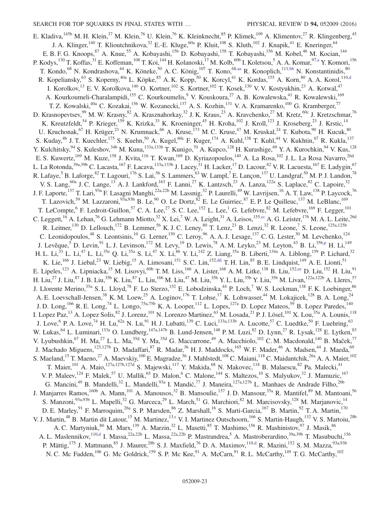<span id="page-23-3"></span><span id="page-23-2"></span><span id="page-23-1"></span><span id="page-23-0"></span>E. Kladiva, <sup>145b</sup> M. H. Klein,<sup>37</sup> M. Klein,<sup>76</sup> U. Klein,<sup>76</sup> K. Kleinknecht,<sup>85</sup> P. Klimek,<sup>109</sup> A. Klimentov,<sup>27</sup> R. Klingenberg,<sup>45</sup> J. A. Klinger,<sup>140</sup> T. Klioutchnikova,<sup>32</sup> E.-E. Kluge,<sup>60a</sup> P. Kluit,<sup>108</sup> S. Kluth,<sup>102</sup> J. Knapik,<sup>41</sup> E. Kneringer,<sup>64</sup> E. B. F. G. Knoops, 87 A. Knue, 55 A. Kobayashi, <sup>156</sup> D. Kobayashi, <sup>158</sup> T. Kobayashi, <sup>156</sup> M. Kobel, <sup>46</sup> M. Kocian, <sup>144</sup> P. Kodys,<sup>130</sup> T. Koffas,<sup>31</sup> E. Koffeman,<sup>108</sup> T. Koi,<sup>144</sup> H. Kolanoski,<sup>17</sup> M. Kolb,<sup>60b</sup> I. Koletsou,<sup>5</sup> A. A. Komar,<sup>97[,a](#page-30-3)</sup> Y. Komori,<sup>156</sup> T. Kondo,<sup>68</sup> N. Kondrashova,<sup>44</sup> K. Köneke,<sup>50</sup> A. C. König,<sup>107</sup> T. Kono,<sup>68[,aa](#page-31-9)</sup> R. Konoplich,<sup>111[,bb](#page-31-10)</sup> N. Konstantinidis,<sup>80</sup> R. Kopeliansky,<sup>63</sup> S. Koperny,<sup>40a</sup> L. Köpke,<sup>85</sup> A. K. Kopp,<sup>50</sup> K. Korcyl,<sup>41</sup> K. Kordas,<sup>155</sup> A. Korn,<sup>80</sup> A. A. Korol,<sup>11[0,d](#page-30-2)</sup> I. Korolkov,<sup>13</sup> E. V. Korolkova,<sup>140</sup> O. Kortner,<sup>102</sup> S. Kortner,<sup>102</sup> T. Kosek,<sup>130</sup> V. V. Kostyukhin,<sup>23</sup> A. Kotwal,<sup>47</sup> A. Kourkoumeli-Charalampidi,<sup>155</sup> C. Kourkoumelis, <sup>9</sup> V. Kouskoura, <sup>27</sup> A. B. Kowalewska, <sup>41</sup> R. Kowalewski, <sup>169</sup> T. Z. Kowalski,<sup>40a</sup> C. Kozakai,<sup>156</sup> W. Kozanecki,<sup>137</sup> A. S. Kozhin,<sup>131</sup> V. A. Kramarenko,<sup>100</sup> G. Kramberger,<sup>77</sup> D. Krasnopevtsev,<sup>99</sup> M. W. Krasny,<sup>82</sup> A. Krasznahorkay,<sup>32</sup> J. K. Kraus,<sup>23</sup> A. Kravchenko,<sup>27</sup> M. Kretz,<sup>60c</sup> J. Kretzschmar,<sup>76</sup> K. Kreutzfeldt,<sup>54</sup> P. Krieger,<sup>159</sup> K. Krizka,<sup>33</sup> K. Kroeninger,<sup>45</sup> H. Kroha,<sup>102</sup> J. Kroll,<sup>123</sup> J. Kroseberg,<sup>23</sup> J. Krstic,<sup>14</sup> U. Kruchonak,<sup>67</sup> H. Krüger,<sup>23</sup> N. Krumnack,<sup>66</sup> A. Kruse,<sup>173</sup> M. C. Kruse,<sup>47</sup> M. Kruskal,<sup>24</sup> T. Kubota,<sup>90</sup> H. Kucuk,<sup>80</sup> S. Kuday,<sup>4b</sup> J. T. Kuechler,<sup>175</sup> S. Kuehn,<sup>50</sup> A. Kugel,<sup>60c</sup> F. Kuger,<sup>174</sup> A. Kuhl,<sup>138</sup> T. Kuhl,<sup>44</sup> V. Kukhtin,<sup>67</sup> R. Kukla,<sup>137</sup> Y. Kulchitsky,  $94$  S. Kuleshov,  $34$ b M. Kuna,  $133a,133b$  T. Kunigo,  $70$  A. Kupco,  $128$  H. Kurashige,  $9$  Y. A. Kurochkin,  $94$  V. Kus,  $128$ E. S. Kuwertz,<sup>169</sup> M. Kuze,<sup>158</sup> J. Kvita,<sup>116</sup> T. Kwan,<sup>169</sup> D. Kyriazopoulos,<sup>140</sup> A. La Rosa,<sup>102</sup> J. L. La Rosa Navarro,<sup>26d</sup> L. La Rotonda,<sup>39a,39b</sup> C. Lacasta,<sup>167</sup> F. Lacava,<sup>133a,133b</sup> J. Lacey,<sup>31</sup> H. Lacker,<sup>17</sup> D. Lacour,<sup>82</sup> V. R. Lacuesta,<sup>167</sup> E. Ladygin,<sup>67</sup> R. Lafaye,<sup>5</sup> B. Laforge,<sup>82</sup> T. Lagouri,<sup>176</sup> S. Lai,<sup>56</sup> S. Lammers,<sup>63</sup> W. Lampl,<sup>7</sup> E. Lançon,<sup>137</sup> U. Landgraf,<sup>50</sup> M. P. J. Landon,<sup>78</sup> V. S. Lang,<sup>60a</sup> J. C. Lange,<sup>13</sup> A. J. Lankford,<sup>163</sup> F. Lanni,<sup>27</sup> K. Lantzsch,<sup>23</sup> A. Lanza,<sup>122a</sup> S. Laplace,<sup>82</sup> C. Lapoire,<sup>32</sup> J. F. Laporte,<sup>137</sup> T. Lari,<sup>93a</sup> F. Lasagni Manghi,<sup>22a,22b</sup> M. Lassnig,<sup>32</sup> P. Laurelli,<sup>49</sup> W. Lavrijsen,<sup>16</sup> A. T. Law,<sup>138</sup> P. Laycock,<sup>76</sup> T. Lazovich,<sup>59</sup> M. Lazzaroni,<sup>93a,93b</sup> B. Le,<sup>90</sup> O. Le Dortz,<sup>82</sup> E. Le Guirriec,<sup>87</sup> E. P. Le Quilleuc,<sup>137</sup> M. LeBlanc,<sup>169</sup> T. LeCompte, <sup>6</sup> F. Ledroit-Guillon,  $^{57}$  C. A. Lee,  $^{27}$  S. C. Lee,  $^{152}$  L. Lee, <sup>1</sup> G. Lefebvre,  $^{82}$  M. Lefebvre,  $^{169}$  F. Legger,  $^{101}$ C. Leggett,<sup>16</sup> A. Lehan,<sup>76</sup> G. Lehmann Miotto,<sup>32</sup> X. Lei,<sup>7</sup> W. A. Leight,<sup>31</sup> A. Leisos,<sup>15[5,cc](#page-31-11)</sup> A. G. Leister,<sup>176</sup> M. A. L. Leite,<sup>26d</sup> R. Leitner,<sup>130</sup> D. Lellouch,<sup>172</sup> B. Lemmer,<sup>56</sup> K. J. C. Leney,<sup>80</sup> T. Lenz,<sup>23</sup> B. Lenzi,<sup>32</sup> R. Leone,<sup>7</sup> S. Leone,<sup>125a,125b</sup> C. Leonidopoulos,<sup>48</sup> S. Leontsinis,<sup>10</sup> G. Lerner,<sup>150</sup> C. Leroy,<sup>96</sup> A. A. J. Lesage,<sup>137</sup> C. G. Lester,<sup>30</sup> M. Levchenko,<sup>124</sup> J. Levêque,<sup>5</sup> D. Levin,<sup>91</sup> L. J. Levinson,<sup>172</sup> M. Levy,<sup>19</sup> D. Lewis,<sup>78</sup> A. M. Leyko,<sup>23</sup> M. Leyton,<sup>43</sup> B. Li,<sup>35[b,p](#page-30-15)</sup> H. Li,<sup>149</sup> H. L. Li,<sup>33</sup> L. Li,<sup>47</sup> L. Li,<sup>35e</sup> Q. Li,<sup>35a</sup> S. Li,<sup>47</sup> X. Li,<sup>86</sup> Y. Li,<sup>142</sup> Z. Liang,<sup>35a</sup> B. Liberti,<sup>134a</sup> A. Liblong,<sup>159</sup> P. Lichard,<sup>32</sup> K. Lie,<sup>166</sup> J. Liebal,<sup>23</sup> W. Liebig,<sup>15</sup> A. Limosani,<sup>151</sup> S. C. Lin,<sup>15[2,dd](#page-31-12)</sup> T. H. Lin,<sup>85</sup> B. E. Lindquist,<sup>149</sup> A. E. Lionti,<sup>51</sup> E. Lipeles,<sup>123</sup> A. Lipniacka,<sup>15</sup> M. Lisovyi,<sup>60b</sup> T. M. Liss,<sup>166</sup> A. Lister,<sup>168</sup> A. M. Litke,<sup>138</sup> B. Liu,<sup>152[,ee](#page-31-13)</sup> D. Liu,<sup>152</sup> H. Liu,<sup>91</sup> H. Liu,<sup>27</sup> J. Liu,<sup>87</sup> J. B. Liu,<sup>35b</sup> K. Liu,<sup>87</sup> L. Liu,<sup>166</sup> M. Liu,<sup>47</sup> M. Liu,<sup>35b</sup> Y. L. Liu,<sup>35b</sup> Y. Liu,<sup>35b</sup> M. Livan,<sup>122a,122b</sup> A. Lleres,<sup>57</sup> J. Llorente Merino,<sup>35a</sup> S. L. Lloyd,<sup>78</sup> F. Lo Sterzo,<sup>152</sup> E. Lobodzinska,<sup>44</sup> P. Loch,<sup>7</sup> W. S. Lockman,<sup>138</sup> F. K. Loebinger,<sup>86</sup> A. E. Loevschall-Jensen,<sup>38</sup> K. M. Loew,<sup>25</sup> A. Loginov,<sup>176</sup> T. Lohse,<sup>17</sup> K. Lohwasser,<sup>44</sup> M. Lokajicek,<sup>128</sup> B. A. Long,<sup>24</sup> J. D. Long,<sup>166</sup> R. E. Long,<sup>74</sup> L. Longo,<sup>75a,75b</sup> K. A. Looper,<sup>112</sup> L. Lopes,<sup>127a</sup> D. Lopez Mateos,<sup>59</sup> B. Lopez Paredes,<sup>140</sup> I. Lopez Paz,<sup>13</sup> A. Lopez Solis,<sup>82</sup> J. Lorenz,<sup>101</sup> N. Lorenzo Martinez,<sup>63</sup> M. Losada,<sup>21</sup> P. J. Lösel,<sup>101</sup> X. Lou,<sup>35a</sup> A. Lounis,<sup>118</sup> J. Love, <sup>6</sup> P. A. Love,<sup>74</sup> H. Lu,<sup>62a</sup> N. Lu,<sup>91</sup> H. J. Lubatti,<sup>139</sup> C. Luci,<sup>133a,133b</sup> A. Lucotte,<sup>57</sup> C. Luedtke,<sup>50</sup> F. Luehring,<sup>63</sup> W. Lukas, <sup>64</sup> L. Luminari, <sup>133a</sup> O. Lundberg, <sup>147a, 147b</sup> B. Lund-Jensen, <sup>148</sup> P. M. Luzi, <sup>82</sup> D. Lynn, <sup>27</sup> R. Lysak, <sup>128</sup> E. Lytken, <sup>83</sup> V. Lyubushkin, <sup>67</sup> H. Ma, <sup>27</sup> L. L. Ma, <sup>35d</sup> Y. Ma, <sup>35d</sup> G. Maccarrone, <sup>49</sup> A. Macchiolo, <sup>102</sup> C. M. Macdonald, <sup>140</sup> B. Maček, <sup>77</sup> J. Machado Miguens,<sup>123,127b</sup> D. Madaffari,<sup>87</sup> R. Madar,<sup>36</sup> H. J. Maddocks,<sup>165</sup> W. F. Mader,<sup>46</sup> A. Madsen,<sup>44</sup> J. Maeda,<sup>69</sup> S. Maeland,<sup>15</sup> T. Maeno,<sup>27</sup> A. Maevskiy,<sup>100</sup> E. Magradze,<sup>56</sup> J. Mahlstedt,<sup>108</sup> C. Maiani,<sup>118</sup> C. Maidantchik,<sup>26a</sup> A. A. Maier,<sup>102</sup> T. Maier,<sup>101</sup> A. Maio,<sup>127a,127b,127d</sup> S. Majewski,<sup>117</sup> Y. Makida,<sup>68</sup> N. Makovec,<sup>118</sup> B. Malaescu,<sup>82</sup> Pa. Malecki,<sup>41</sup> V. P. Maleev,<sup>124</sup> F. Malek,<sup>57</sup> U. Mallik,<sup>65</sup> D. Malon,<sup>6</sup> C. Malone,<sup>144</sup> S. Maltezos,<sup>10</sup> S. Malyukov,<sup>32</sup> J. Mamuzic,<sup>167</sup> G. Mancini,<sup>49</sup> B. Mandelli,<sup>32</sup> L. Mandelli,<sup>93a</sup> I. Mandić,<sup>77</sup> J. Maneira,<sup>127a,127b</sup> L. Manhaes de Andrade Filho,<sup>26b</sup> J. Manjarres Ramos,<sup>160b</sup> A. Mann,<sup>101</sup> A. Manousos,<sup>32</sup> B. Mansoulie,<sup>137</sup> J. D. Mansour,<sup>35a</sup> R. Mantifel,<sup>89</sup> M. Mantoani,<sup>56</sup> S. Manzoni,  $93a,93b$  L. Mapelli,  $32$  G. Marceca,  $29$  L. March,  $51$  G. Marchiori,  $82$  M. Marcisovsky,  $128$  M. Marjanovic,  $14$ D. E. Marley,<sup>91</sup> F. Marroquim,<sup>26a</sup> S. P. Marsden,<sup>86</sup> Z. Marshall,<sup>16</sup> S. Marti-Garcia,<sup>167</sup> B. Martin,<sup>92</sup> T. A. Martin,<sup>170</sup> V. J. Martin,<sup>48</sup> B. Martin dit Latour,<sup>15</sup> M. Martinez,<sup>1[3,s](#page-31-1)</sup> V. I. Martinez Outschoorn,<sup>166</sup> S. Martin-Haugh,<sup>132</sup> V. S. Martoiu,<sup>28b</sup> A. C. Martyniuk,<sup>80</sup> M. Marx,<sup>139</sup> A. Marzin,<sup>32</sup> L. Masetti,<sup>85</sup> T. Mashimo,<sup>156</sup> R. Mashinistov,<sup>97</sup> J. Masik,<sup>86</sup> A. L. Maslennikov,<sup>110[,d](#page-30-2)</sup> I. Massa,<sup>22a,22b</sup> L. Massa,<sup>22a,22b</sup> P. Mastrandrea,<sup>5</sup> A. Mastroberardino,<sup>39a,39b</sup> T. Masubuchi,<sup>156</sup> P. Mättig,<sup>175</sup> J. Mattmann,<sup>85</sup> J. Maurer,<sup>28b</sup> S. J. Maxfield,<sup>76</sup> D. A. Maximov,<sup>110[,d](#page-30-2)</sup> R. Mazini,<sup>152</sup> S. M. Mazza,<sup>93a,93b</sup> N. C. Mc Fadden,<sup>106</sup> G. Mc Goldrick,<sup>159</sup> S. P. Mc Kee,<sup>91</sup> A. McCarn,<sup>91</sup> R. L. McCarthy,<sup>149</sup> T. G. McCarthy,<sup>102</sup>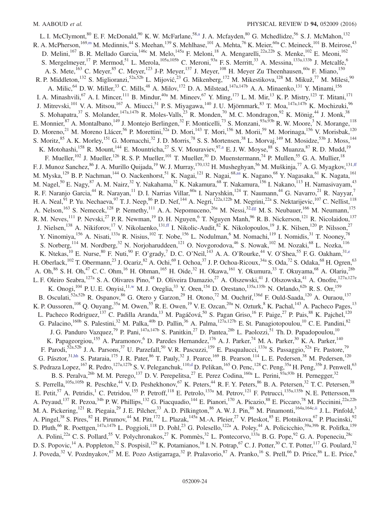<span id="page-24-4"></span><span id="page-24-3"></span><span id="page-24-2"></span><span id="page-24-1"></span><span id="page-24-0"></span>L. I. McClymont, <sup>80</sup> E. F. McDonald, <sup>90</sup> K. W. McFarlane, <sup>5[8,a](#page-30-3)</sup> J. A. Mcfayden, <sup>80</sup> G. Mchedlidze, <sup>56</sup> S. J. McMahon, <sup>132</sup> R. A. McPherson,<sup>169[,m](#page-30-12)</sup> M. Medinnis,<sup>44</sup> S. Meehan,<sup>139</sup> S. Mehlhase,<sup>101</sup> A. Mehta,<sup>76</sup> K. Meier,<sup>60a</sup> C. Meineck,<sup>101</sup> B. Meirose,<sup>43</sup> D. Melini,<sup>167</sup> B. R. Mellado Garcia,<sup>146c</sup> M. Melo,<sup>145a</sup> F. Meloni,<sup>18</sup> A. Mengarelli,<sup>22a,22b</sup> S. Menke,<sup>102</sup> E. Meoni,<sup>162</sup> S. Mergelmeyer,<sup>17</sup> P. Mermod,<sup>51</sup> L. Merola,<sup>105a,105b</sup> C. Meroni,<sup>93a</sup> F. S. Merritt,<sup>33</sup> A. Messina,<sup>133a,133b</sup> J. Metcalfe,<sup>6</sup> A. S. Mete,<sup>163</sup> C. Meyer,<sup>85</sup> C. Meyer,<sup>123</sup> J-P. Meyer,<sup>137</sup> J. Meyer,<sup>108</sup> H. Meyer Zu Theenhausen,<sup>60a</sup> F. Miano,<sup>150</sup> R. P. Middleton,  $^{132}$  S. Miglioranzi,  $^{52a,52b}$  L. Mijović,  $^{23}$  G. Mikenberg,  $^{172}$  M. Mikestikova,  $^{128}$  M. Mikuž,  $^{77}$  M. Milesi,  $^{90}$ A. Milic, <sup>64</sup> D. W. Miller, <sup>33</sup> C. Mills, <sup>48</sup> A. Milov, <sup>172</sup> D. A. Milstead, <sup>147a, 147b</sup> A. A. Minaenko, <sup>131</sup> Y. Minami, <sup>156</sup> I. A. Minashvili,<sup>67</sup> A. I. Mincer,<sup>111</sup> B. Mindur,<sup>40a</sup> M. Mineev,<sup>67</sup> Y. Ming,<sup>173</sup> L. M. Mir,<sup>13</sup> K. P. Mistry,<sup>123</sup> T. Mitani,<sup>171</sup> J. Mitrevski,<sup>101</sup> V. A. Mitsou,<sup>167</sup> A. Miucci,<sup>51</sup> P. S. Miyagawa,<sup>140</sup> J. U. Mjörnmark,<sup>83</sup> T. Moa,<sup>147a,147b</sup> K. Mochizuki,<sup>96</sup> S. Mohapatra,<sup>37</sup> S. Molander,<sup>147a,147b</sup> R. Moles-Valls,<sup>23</sup> R. Monden,<sup>70</sup> M. C. Mondragon,<sup>92</sup> K. Mönig,<sup>44</sup> J. Monk,<sup>38</sup> E. Monnier, <sup>87</sup> A. Montalbano, <sup>149</sup> J. Montejo Berlingen, <sup>32</sup> F. Monticelli, <sup>73</sup> S. Monzani, <sup>93a, 93b</sup> R. W. Moore, <sup>3</sup> N. Morange, <sup>118</sup> D. Moreno,<sup>21</sup> M. Moreno Llácer,<sup>56</sup> P. Morettini,<sup>52a</sup> D. Mori,<sup>143</sup> T. Mori,<sup>156</sup> M. Morii,<sup>59</sup> M. Morinaga,<sup>156</sup> V. Morisbak,<sup>120</sup> S. Moritz, <sup>85</sup> A. K. Morley, <sup>151</sup> G. Mornacchi, <sup>32</sup> J. D. Morris, <sup>78</sup> S. S. Mortensen, <sup>38</sup> L. Morvaj, <sup>149</sup> M. Mosidze, <sup>53b</sup> J. Moss, <sup>144</sup> K. Motohashi,<sup>158</sup> R. Mount,<sup>144</sup> E. Mountricha,<sup>27</sup> S. V. Mouraviev,<sup>9[7,a](#page-30-3)</sup> E. J. W. Moyse,<sup>88</sup> S. Muanza,<sup>87</sup> R. D. Mudd,<sup>19</sup> F. Mueller,<sup>102</sup> J. Mueller,<sup>126</sup> R. S. P. Mueller,<sup>101</sup> T. Mueller,<sup>30</sup> D. Muenstermann,<sup>74</sup> P. Mullen,<sup>55</sup> G. A. Mullier,<sup>18</sup> F. J. Munoz Sanchez, <sup>86</sup> J. A. Murillo Quijada, <sup>19</sup> W. J. Murray, <sup>170,132</sup> H. Musheghyan, <sup>56</sup> M. Muškinja, <sup>77</sup> A. G. Myagkov, <sup>131, ff</sup> M. Myska,<sup>129</sup> B. P. Nachman,<sup>144</sup> O. Nackenhorst,<sup>51</sup> K. Nagai,<sup>121</sup> R. Nagai,<sup>68[,aa](#page-31-9)</sup> K. Nagano,<sup>68</sup> Y. Nagasaka,<sup>61</sup> K. Nagata,<sup>161</sup> M. Nagel,<sup>50</sup> E. Nagy,<sup>87</sup> A. M. Nairz,<sup>32</sup> Y. Nakahama,<sup>32</sup> K. Nakamura,<sup>68</sup> T. Nakamura,<sup>156</sup> I. Nakano,<sup>113</sup> H. Namasivayam,<sup>43</sup> R. F. Naranjo Garcia,<sup>44</sup> R. Narayan,<sup>11</sup> D. I. Narrias Villar,<sup>60a</sup> I. Naryshkin,<sup>124</sup> T. Naumann,<sup>44</sup> G. Navarro,<sup>21</sup> R. Nayyar,<sup>7</sup> H. A. Neal,  $91$  P. Yu. Nechaeva,  $97$  T. J. Neep,  $86$  P. D. Nef,  $^{144}$  A. Negri,  $^{122a,122b}$  M. Negrini, $^{22a}$  S. Nektarijevic,  $^{107}$  C. Nellist,  $^{118}$ A. Nelson,<sup>163</sup> S. Nemecek,<sup>128</sup> P. Nemethy,<sup>111</sup> A. A. Nepomuceno,<sup>26a</sup> M. Nessi,<sup>32[,gg](#page-31-15)</sup> M. S. Neubauer,<sup>166</sup> M. Neumann,<sup>175</sup> R. M. Neves, <sup>111</sup> P. Nevski, <sup>27</sup> P. R. Newman, <sup>19</sup> D. H. Nguyen, <sup>6</sup> T. Nguyen Manh, <sup>96</sup> R. B. Nickerson, <sup>121</sup> R. Nicolaidou, <sup>137</sup> J. Nielsen,<sup>138</sup> A. Nikiforov,<sup>17</sup> V. Nikolaenko,<sup>13[1,ff](#page-31-14)</sup> I. Nikolic-Audit,<sup>82</sup> K. Nikolopoulos,<sup>19</sup> J. K. Nilsen,<sup>120</sup> P. Nilsson,<sup>27</sup> Y. Ninomiya,<sup>156</sup> A. Nisati,<sup>133a</sup> R. Nisius,<sup>102</sup> T. Nobe,<sup>156</sup> L. Nodulman,<sup>6</sup> M. Nomachi,<sup>119</sup> I. Nomidis,<sup>31</sup> T. Nooney,<sup>78</sup> S. Norberg,<sup>114</sup> M. Nordberg,<sup>32</sup> N. Norjoharuddeen,<sup>121</sup> O. Novgorodova,<sup>46</sup> S. Nowak,<sup>102</sup> M. Nozaki,<sup>68</sup> L. Nozka,<sup>116</sup> K. Ntekas,<sup>10</sup> E. Nurse,<sup>80</sup> F. Nuti,<sup>90</sup> F. O'grady,<sup>7</sup> D. C. O'Neil,<sup>143</sup> A. A. O'Rourke,<sup>44</sup> V. O'Shea,<sup>55</sup> F. G. Oakham,<sup>31[,e](#page-30-4)</sup> H. Oberlack,<sup>102</sup> T. Obermann,<sup>23</sup> J. Ocariz,<sup>82</sup> A. Ochi,<sup>69</sup> I. Ochoa,<sup>37</sup> J. P. Ochoa-Ricoux,<sup>34a</sup> S. Oda,<sup>72</sup> S. Odaka,<sup>68</sup> H. Ogren,<sup>63</sup> A. Oh, <sup>86</sup> S. H. Oh, <sup>47</sup> C. C. Ohm, <sup>16</sup> H. Ohman, <sup>165</sup> H. Oide, <sup>32</sup> H. Okawa, <sup>161</sup> Y. Okumura, <sup>33</sup> T. Okuyama, <sup>68</sup> A. Olariu, <sup>28b</sup> L. F. Oleiro Seabra,<sup>127a</sup> S. A. Olivares Pino,<sup>48</sup> D. Oliveira Damazio,<sup>27</sup> A. Olszewski,<sup>41</sup> J. Olszowska,<sup>41</sup> A. Onofre,<sup>127a,127e</sup> K. Onogi,<sup>104</sup> P. U. E. Onyisi,<sup>1[1,w](#page-31-5)</sup> M. J. Oreglia,<sup>33</sup> Y. Oren,<sup>154</sup> D. Orestano,<sup>135a,135b</sup> N. Orlando,<sup>62b</sup> R. S. Orr,<sup>159</sup> B. Osculati, <sup>52a,52b</sup> R. Ospanov, <sup>86</sup> G. Otero y Garzon, <sup>29</sup> H. Otono, <sup>72</sup> M. Ouchrif, <sup>136d</sup> F. Ould-Saada, <sup>120</sup> A. Ouraou, <sup>137</sup> K. P. Oussoren,<sup>108</sup> Q. Ouyang,<sup>35a</sup> M. Owen,<sup>55</sup> R. E. Owen,<sup>19</sup> V. E. Ozcan,<sup>20a</sup> N. Ozturk,<sup>8</sup> K. Pachal,<sup>143</sup> A. Pacheco Pages,<sup>13</sup> L. Pacheco Rodriguez,<sup>137</sup> C. Padilla Aranda,<sup>13</sup> M. Pagáčová,<sup>50</sup> S. Pagan Griso,<sup>16</sup> F. Paige,<sup>27</sup> P. Pais,<sup>88</sup> K. Pajchel,<sup>120</sup> G. Palacino,<sup>160b</sup> S. Palestini,<sup>32</sup> M. Palka,<sup>40b</sup> D. Pallin,<sup>36</sup> A. Palma,<sup>127a,127b</sup> E. St. Panagiotopoulou,<sup>10</sup> C. E. Pandini,<sup>82</sup> J. G. Panduro Vazquez,<sup>79</sup> P. Pani,<sup>147a,147b</sup> S. Panitkin,<sup>27</sup> D. Pantea,<sup>28b</sup> L. Paolozzi,<sup>51</sup> Th. D. Papadopoulou,<sup>10</sup> K. Papageorgiou,<sup>155</sup> A. Paramonov,<sup>6</sup> D. Paredes Hernandez,<sup>176</sup> A. J. Parker,<sup>74</sup> M. A. Parker,<sup>30</sup> K. A. Parker,<sup>140</sup> F. Parodi,<sup>52a,52b</sup> J. A. Parsons,<sup>37</sup> U. Parzefall,<sup>50</sup> V. R. Pascuzzi,<sup>159</sup> E. Pasqualucci,<sup>133a</sup> S. Passaggio,<sup>52a</sup> Fr. Pastore,<sup>79</sup> G. Pásztor, 31, hh S. Pataraia,  $^{175}$  J. R. Pater,  $^{86}$  T. Pauly,  $^{32}$  J. Pearce,  $^{169}$  B. Pearson,  $^{114}$  L. E. Pedersen,  $^{38}$  M. Pedersen,  $^{120}$ S. Pedraza Lopez,<sup>167</sup> R. Pedro,<sup>127a,127b</sup> S. V. Peleganchuk,<sup>11[0,d](#page-30-2)</sup> D. Pelikan,<sup>165</sup> O. Penc,<sup>128</sup> C. Peng,<sup>35a</sup> H. Peng,<sup>35b</sup> J. Penwell,<sup>63</sup> B. S. Peralva,<sup>26b</sup> M. M. Perego,<sup>137</sup> D. V. Perepelitsa,<sup>27</sup> E. Perez Codina,<sup>160a</sup> L. Perini,<sup>93a,93b</sup> H. Pernegger,<sup>32</sup> S. Perrella,<sup>105a,105b</sup> R. Peschke,<sup>44</sup> V.D. Peshekhonov,<sup>67</sup> K. Peters,<sup>44</sup> R. F. Y. Peters,<sup>86</sup> B. A. Petersen,<sup>32</sup> T. C. Petersen,<sup>38</sup> E. Petit,<sup>57</sup> A. Petridis,<sup>1</sup> C. Petridou,<sup>155</sup> P. Petroff,<sup>118</sup> E. Petrolo,<sup>133a</sup> M. Petrov,<sup>121</sup> F. Petrucci,<sup>135a,135b</sup> N. E. Pettersson,<sup>88</sup> A. Peyaud,<sup>137</sup> R. Pezoa,<sup>34b</sup> P. W. Phillips,<sup>132</sup> G. Piacquadio,<sup>144</sup> E. Pianori,<sup>170</sup> A. Picazio,<sup>88</sup> E. Piccaro,<sup>78</sup> M. Piccinini,<sup>22a,22b</sup> M. A. Pickering,<sup>121</sup> R. Piegaia,<sup>29</sup> J. E. Pilcher,<sup>33</sup> A. D. Pilkington,<sup>86</sup> A. W. J. Pin,<sup>86</sup> M. Pinamonti,<sup>164a,164c[,ii](#page-31-17)</sup> J. L. Pinfold,<sup>3</sup> A. Pingel,<sup>38</sup> S. Pires,<sup>82</sup> H. Pirumov,<sup>44</sup> M. Pitt,<sup>172</sup> L. Plazak,<sup>145a</sup> M.-A. Pleier,<sup>27</sup> V. Pleskot,<sup>85</sup> E. Plotnikova,<sup>67</sup> P. Plucinski,<sup>92</sup> D. Pluth,<sup>66</sup> R. Poettgen,<sup>147a,147b</sup> L. Poggioli,<sup>118</sup> D. Pohl,<sup>23</sup> G. Polesello,<sup>122a</sup> A. Poley,<sup>44</sup> A. Policicchio,<sup>39a,39b</sup> R. Polifka,<sup>159</sup> A. Polini,<sup>22a</sup> C. S. Pollard,<sup>55</sup> V. Polychronakos,<sup>27</sup> K. Pommès,<sup>32</sup> L. Pontecorvo,<sup>133a</sup> B. G. Pope,<sup>92</sup> G. A. Popeneciu,<sup>28c</sup> D. S. Popovic,<sup>14</sup> A. Poppleton,<sup>32</sup> S. Pospisil,<sup>129</sup> K. Potamianos,<sup>16</sup> I. N. Potrap,<sup>67</sup> C. J. Potter,<sup>30</sup> C. T. Potter,<sup>117</sup> G. Poulard,<sup>32</sup> J. Poveda,<sup>32</sup> V. Pozdnyakov,<sup>67</sup> M. E. Pozo Astigarraga,<sup>32</sup> P. Pralavorio,<sup>87</sup> A. Pranko,<sup>16</sup> S. Prell,<sup>66</sup> D. Price,<sup>86</sup> L. E. Price,<sup>6</sup>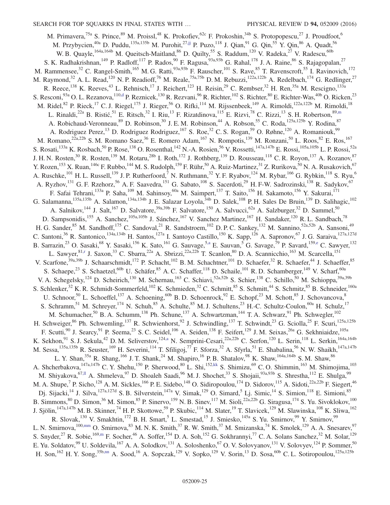<span id="page-25-2"></span><span id="page-25-1"></span><span id="page-25-0"></span>M. Primavera,<sup>75a</sup> S. Prince,<sup>89</sup> M. Proissl,<sup>48</sup> K. Prokofiev,<sup>62c</sup> F. Prokoshin,<sup>34b</sup> S. Protopopescu,<sup>27</sup> J. Proudfoot,<sup>6</sup> M. Przybycien,<sup>40a</sup> D. Puddu,<sup>135a,135b</sup> M. Purohit,<sup>27[,jj](#page-31-18)</sup> P. Puzo,<sup>118</sup> J. Qian,<sup>91</sup> G. Qin,<sup>55</sup> Y. Qin,<sup>86</sup> A. Quadt,<sup>56</sup> W. B. Quayle,<sup>164a,164b</sup> M. Queitsch-Maitland,<sup>86</sup> D. Quilty,<sup>55</sup> S. Raddum,<sup>120</sup> V. Radeka,<sup>27</sup> V. Radescu,<sup>60b</sup> S. K. Radhakrishnan,<sup>149</sup> P. Radloff,<sup>117</sup> P. Rados,<sup>90</sup> F. Ragusa,<sup>93a,93b</sup> G. Rahal,<sup>178</sup> J. A. Raine,<sup>86</sup> S. Rajagopalan,<sup>27</sup> M. Rammensee,<sup>32</sup> C. Rangel-Smith,<sup>165</sup> M. G. Ratti,<sup>93a,93b</sup> F. Rauscher,<sup>101</sup> S. Rave,<sup>85</sup> T. Ravenscroft,<sup>55</sup> I. Ravinovich,<sup>172</sup> M. Raymond,<sup>32</sup> A. L. Read,<sup>120</sup> N. P. Readioff,<sup>76</sup> M. Reale,<sup>75a,75b</sup> D. M. Rebuzzi,<sup>122a,122b</sup> A. Redelbach,<sup>174</sup> G. Redlinger,<sup>27</sup> R. Reece,<sup>138</sup> K. Reeves,<sup>43</sup> L. Rehnisch,<sup>17</sup> J. Reichert,<sup>123</sup> H. Reisin,<sup>29</sup> C. Rembser,<sup>32</sup> H. Ren,<sup>35a</sup> M. Rescigno,<sup>133a</sup> S. Resconi,<sup>93a</sup> O. L. Rezanova,<sup>11[0,d](#page-30-2)</sup> P. Reznicek,<sup>130</sup> R. Rezvani,<sup>96</sup> R. Richter,<sup>102</sup> S. Richter,<sup>80</sup> E. Richter-Was,<sup>40b</sup> O. Ricken,<sup>23</sup> M. Ridel,<sup>82</sup> P. Rieck,<sup>17</sup> C. J. Riegel,<sup>175</sup> J. Rieger,<sup>56</sup> O. Rifki,<sup>114</sup> M. Rijssenbeek,<sup>149</sup> A. Rimoldi,<sup>122a,122b</sup> M. Rimoldi,<sup>18</sup> L. Rinaldi,<sup>22a</sup> B. Ristić,<sup>51</sup> E. Ritsch,<sup>32</sup> I. Riu,<sup>13</sup> F. Rizatdinova,<sup>115</sup> E. Rizvi,<sup>78</sup> C. Rizzi,<sup>13</sup> S. H. Robertson,<sup>89[,m](#page-30-12)</sup> A. Robichaud-Veronneau,<sup>89</sup> D. Robinson,<sup>30</sup> J. E. M. Robinson,<sup>44</sup> A. Robson,<sup>55</sup> C. Roda,<sup>125a,125b</sup> Y. Rodina,<sup>87</sup> A. Rodriguez Perez,<sup>13</sup> D. Rodriguez Rodriguez,<sup>167</sup> S. Roe,<sup>32</sup> C. S. Rogan,<sup>59</sup> O. Røhne,<sup>120</sup> A. Romaniouk,<sup>99</sup> M. Romano,<sup>22a,22b</sup> S. M. Romano Saez,<sup>36</sup> E. Romero Adam,<sup>167</sup> N. Rompotis,<sup>139</sup> M. Ronzani,<sup>50</sup> L. Roos,<sup>82</sup> E. Ros,<sup>167</sup> S. Rosati,<sup>133a</sup> K. Rosbach,<sup>50</sup> P. Rose,<sup>138</sup> O. Rosenthal,<sup>142</sup> N.-A. Rosien,<sup>56</sup> V. Rossetti,<sup>147a,147b</sup> E. Rossi,<sup>105a,105b</sup> L. P. Rossi,<sup>52a</sup> J. H. N. Rosten,<sup>30</sup> R. Rosten,<sup>139</sup> M. Rotaru,<sup>28b</sup> I. Roth,<sup>172</sup> J. Rothberg,<sup>139</sup> D. Rousseau,<sup>118</sup> C. R. Royon,<sup>137</sup> A. Rozanov,<sup>87</sup> Y. Rozen,<sup>153</sup> X. Ruan,<sup>146c</sup> F. Rubbo,<sup>144</sup> M. S. Rudolph,<sup>159</sup> F. Rühr,<sup>50</sup> A. Ruiz-Martinez,<sup>31</sup> Z. Rurikova,<sup>50</sup> N. A. Rusakovich,<sup>67</sup> A. Ruschke,<sup>101</sup> H. L. Russell,<sup>139</sup> J. P. Rutherfoord,<sup>7</sup> N. Ruthmann,<sup>32</sup> Y. F. Ryabov,<sup>124</sup> M. Rybar,<sup>166</sup> G. Rybkin,<sup>118</sup> S. Ryu,<sup>6</sup> A. Ryzhov,<sup>131</sup> G. F. Rzehorz,<sup>56</sup> A. F. Saavedra,<sup>151</sup> G. Sabato,<sup>108</sup> S. Sacerdoti,<sup>29</sup> H. F-W. Sadrozinski,<sup>138</sup> R. Sadykov,<sup>67</sup> F. Safai Tehrani,<sup>133a</sup> P. Saha,<sup>109</sup> M. Sahinsoy,<sup>60a</sup> M. Saimpert,<sup>137</sup> T. Saito,<sup>156</sup> H. Sakamoto,<sup>156</sup> Y. Sakurai,<sup>171</sup> G. Salamanna,<sup>135a,135b</sup> A. Salamon,<sup>134a,134b</sup> J. E. Salazar Loyola,<sup>34b</sup> D. Salek,<sup>108</sup> P. H. Sales De Bruin,<sup>139</sup> D. Salihagic,<sup>102</sup> A. Salnikov,<sup>144</sup> J. Salt,<sup>167</sup> D. Salvatore,<sup>39a,39b</sup> F. Salvatore,<sup>150</sup> A. Salvucci,<sup>62a</sup> A. Salzburger,<sup>32</sup> D. Sammel,<sup>50</sup> D. Sampsonidis,<sup>155</sup> A. Sanchez,<sup>105a,105b</sup> J. Sánchez,<sup>167</sup> V. Sanchez Martinez,<sup>167</sup> H. Sandaker,<sup>120</sup> R. L. Sandbach,<sup>78</sup> H. G. Sander,<sup>85</sup> M. Sandhoff,<sup>175</sup> C. Sandoval,<sup>21</sup> R. Sandstroem,<sup>102</sup> D. P. C. Sankey,<sup>132</sup> M. Sannino,<sup>52a,52b</sup> A. Sansoni,<sup>49</sup> C. Santoni,<sup>36</sup> R. Santonico,<sup>134a,134b</sup> H. Santos,<sup>127a</sup> I. Santoyo Castillo,<sup>150</sup> K. Sapp,<sup>126</sup> A. Sapronov,<sup>67</sup> J. G. Saraiva,<sup>127a,127d</sup> B. Sarrazin,<sup>23</sup> O. Sasaki,<sup>68</sup> Y. Sasaki,<sup>156</sup> K. Sato,<sup>161</sup> G. Sauvage,<sup>[5,a](#page-30-3)</sup> E. Sauvan,<sup>5</sup> G. Savage,<sup>79</sup> P. Savard,<sup>159[,e](#page-30-4)</sup> C. Sawyer,<sup>132</sup> L. Sawyer,<sup>81[,r](#page-31-0)</sup> J. Saxon,<sup>33</sup> C. Sbarra,<sup>22a</sup> A. Sbrizzi,<sup>22a,22b</sup> T. Scanlon,<sup>80</sup> D. A. Scannicchio,<sup>163</sup> M. Scarcella,<sup>151</sup> V. Scarfone,<sup>39a,39b</sup> J. Schaarschmidt,<sup>172</sup> P. Schacht,<sup>102</sup> B. M. Schachtner,<sup>101</sup> D. Schaefer,<sup>32</sup> R. Schaefer,<sup>44</sup> J. Schaeffer,<sup>85</sup> S. Schaepe,<sup>23</sup> S. Schaetzel,<sup>60b</sup> U. Schäfer,<sup>85</sup> A. C. Schaffer,<sup>118</sup> D. Schaile,<sup>101</sup> R. D. Schamberger,<sup>149</sup> V. Scharf,<sup>60a</sup> V. A. Schegelsky,<sup>124</sup> D. Scheirich,<sup>130</sup> M. Schernau,<sup>163</sup> C. Schiavi,<sup>52a,52b</sup> S. Schier,<sup>138</sup> C. Schillo,<sup>50</sup> M. Schioppa,<sup>39a,39b</sup> S. Schlenker,<sup>32</sup> K. R. Schmidt-Sommerfeld,<sup>102</sup> K. Schmieden,<sup>32</sup> C. Schmitt,<sup>85</sup> S. Schmitt,<sup>44</sup> S. Schmitz,<sup>85</sup> B. Schneider,<sup>160a</sup> U. Schnoor,<sup>50</sup> L. Schoeffel,<sup>137</sup> A. Schoening,<sup>60b</sup> B. D. Schoenrock,<sup>92</sup> E. Schopf,<sup>23</sup> M. Schott,<sup>85</sup> J. Schovancova,<sup>8</sup> S. Schramm,<sup>51</sup> M. Schreyer,<sup>174</sup> N. Schuh,<sup>85</sup> A. Schulte,<sup>85</sup> M. J. Schultens,<sup>23</sup> H.-C. Schultz-Coulon,<sup>60a</sup> H. Schulz,<sup>17</sup> M. Schumacher,<sup>50</sup> B. A. Schumm,<sup>138</sup> Ph. Schune,<sup>137</sup> A. Schwartzman,<sup>144</sup> T. A. Schwarz,<sup>91</sup> Ph. Schwegler,<sup>102</sup> H. Schweiger,<sup>86</sup> Ph. Schwemling,<sup>137</sup> R. Schwienhorst,<sup>92</sup> J. Schwindling,<sup>137</sup> T. Schwindt,<sup>23</sup> G. Sciolla,<sup>25</sup> F. Scuri,<sup>125a,125b</sup> F. Scutti,  $90$  J. Searcy,  $91$  P. Seema,  $23$  S. C. Seidel,  $106$  A. Seiden,  $138$  F. Seifert,  $129$  J. M. Seixas,  $26a$  G. Sekhniaidze,  $105a$ K. Sekhon, <sup>91</sup> S. J. Sekula, <sup>42</sup> D. M. Seliverstov, <sup>124[,a](#page-30-3)</sup> N. Semprini-Cesari, <sup>22a, 22b</sup> C. Serfon, <sup>120</sup> L. Serin, <sup>118</sup> L. Serkin, <sup>164a, 164b</sup> M. Sessa,<sup>135a,135b</sup> R. Seuster,<sup>169</sup> H. Severini,<sup>114</sup> T. Sfiligoj,<sup>77</sup> F. Sforza,<sup>32</sup> A. Sfyrla,<sup>51</sup> E. Shabalina,<sup>56</sup> N. W. Shaikh,<sup>147a,147b</sup> L. Y. Shan,<sup>35a</sup> R. Shang,<sup>166</sup> J. T. Shank,<sup>24</sup> M. Shapiro,<sup>16</sup> P. B. Shatalov,<sup>98</sup> K. Shaw,<sup>164a,164b</sup> S. M. Shaw,<sup>86</sup> A. Shcherbakova,<sup>147a,147b</sup> C. Y. Shehu,<sup>150</sup> P. Sherwood,<sup>80</sup> L. Shi,<sup>15[2,kk](#page-31-19)</sup> S. Shimizu,<sup>69</sup> C. O. Shimmin,<sup>163</sup> M. Shimojima,<sup>103</sup> M. Shiyakova, <sup>67,11</sup> A. Shmeleva, <sup>97</sup> D. Shoaleh Saadi, <sup>96</sup> M. J. Shochet, <sup>33</sup> S. Shojaii, <sup>93a, 93b</sup> S. Shrestha, <sup>112</sup> E. Shulga, <sup>99</sup> M. A. Shupe,<sup>7</sup> P. Sicho,<sup>128</sup> A. M. Sickles,<sup>166</sup> P. E. Sidebo,<sup>148</sup> O. Sidiropoulou,<sup>174</sup> D. Sidorov,<sup>115</sup> A. Sidoti,<sup>22a,22b</sup> F. Siegert,<sup>46</sup> Dj. Sijacki, <sup>14</sup> J. Silva, <sup>127a,127d</sup> S. B. Silverstein, <sup>147a</sup> V. Simak, <sup>129</sup> O. Simard, <sup>5</sup> Lj. Simic, <sup>14</sup> S. Simion, <sup>118</sup> E. Simioni, <sup>85</sup> B. Simmons,  ${}^{80}$  D. Simon,  ${}^{36}$  M. Simon,  ${}^{85}$  P. Sinervo,  ${}^{159}$  N. B. Sinev,  ${}^{117}$  M. Sioli,  ${}^{22a,22b}$  G. Siragusa,  ${}^{174}$  S. Yu. Sivoklokov,  ${}^{100}$ J. Sjölin,<sup>147a,147b</sup> M. B. Skinner,<sup>74</sup> H. P. Skottowe,<sup>59</sup> P. Skubic,<sup>114</sup> M. Slater,<sup>19</sup> T. Slavicek,<sup>129</sup> M. Slawinska,<sup>108</sup> K. Sliwa,<sup>162</sup> R. Slovak,<sup>130</sup> V. Smakhtin,<sup>172</sup> B. H. Smart,<sup>5</sup> L. Smestad,<sup>15</sup> J. Smiesko,<sup>145a</sup> S. Yu. Smirnov,<sup>99</sup> Y. Smirnov,<sup>99</sup> L. N. Smirnova,<sup>100[,mm](#page-31-21)</sup> O. Smirnova,<sup>83</sup> M. N. K. Smith,<sup>37</sup> R. W. Smith,<sup>37</sup> M. Smizanska,<sup>74</sup> K. Smolek,<sup>129</sup> A. A. Snesarev,<sup>97</sup> S. Snyder,<sup>27</sup> R. Sobie,<sup>169[,m](#page-30-12)</sup> F. Socher,<sup>46</sup> A. Soffer,<sup>154</sup> D. A. Soh,<sup>152</sup> G. Sokhrannyi,<sup>77</sup> C. A. Solans Sanchez,<sup>32</sup> M. Solar,<sup>129</sup> E. Yu. Soldatov,<sup>99</sup> U. Soldevila,<sup>167</sup> A. A. Solodkov,<sup>131</sup> A. Soloshenko,<sup>67</sup> O. V. Solovyanov,<sup>131</sup> V. Solovyev,<sup>124</sup> P. Sommer,<sup>50</sup> H. Son,<sup>162</sup> H. Y. Song,<sup>35b[,nn](#page-31-22)</sup> A. Sood,<sup>16</sup> A. Sopczak,<sup>129</sup> V. Sopko,<sup>129</sup> V. Sorin,<sup>13</sup> D. Sosa,<sup>60b</sup> C. L. Sotiropoulou,<sup>125a,125b</sup>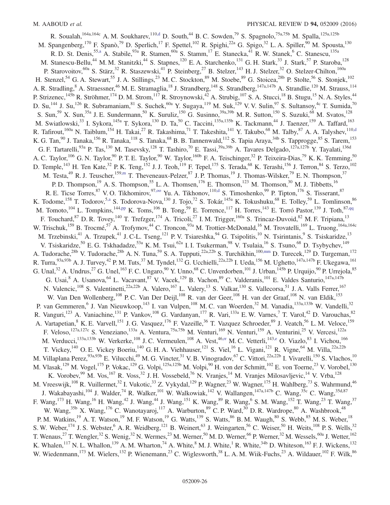<span id="page-26-1"></span><span id="page-26-0"></span>R. Soualah,<sup>164a,164c</sup> A. M. Soukharev,<sup>11[0,d](#page-30-2)</sup> D. South,<sup>44</sup> B. C. Sowden,<sup>79</sup> S. Spagnolo,<sup>75a,75b</sup> M. Spalla,<sup>125a,125b</sup> M. Spangenberg,<sup>170</sup> F. Spanò,<sup>79</sup> D. Sperlich,<sup>17</sup> F. Spettel,<sup>102</sup> R. Spighi,<sup>22a</sup> G. Spigo,<sup>32</sup> L. A. Spiller,<sup>90</sup> M. Spousta,<sup>130</sup> R. D. St. Denis,<sup>5[5,a](#page-30-3)</sup> A. Stabile,<sup>93a</sup> R. Stamen,<sup>60a</sup> S. Stamm,<sup>17</sup> E. Stanecka,<sup>41</sup> R. W. Stanek,<sup>6</sup> C. Stanescu,<sup>135a</sup> M. Stanescu-Bellu,<sup>44</sup> M. M. Stanitzki,<sup>44</sup> S. Stapnes,<sup>120</sup> E. A. Starchenko,<sup>131</sup> G. H. Stark,<sup>33</sup> J. Stark,<sup>57</sup> P. Staroba,<sup>128</sup> P. Starovoitov,<sup>60a</sup> S. Stärz,<sup>32</sup> R. Staszewski,<sup>41</sup> P. Steinberg,<sup>27</sup> B. Stelzer,<sup>143</sup> H. J. Stelzer,<sup>32</sup> O. Stelzer-Chilton,<sup>160a</sup> H. Stenzel,<sup>54</sup> G. A. Stewart,<sup>55</sup> J. A. Stillings,<sup>23</sup> M. C. Stockton,<sup>89</sup> M. Stoebe,<sup>89</sup> G. Stoicea,<sup>28b</sup> P. Stolte,<sup>56</sup> S. Stonjek,<sup>102</sup> A. R. Stradling,<sup>8</sup> A. Straessner,<sup>46</sup> M. E. Stramaglia,<sup>18</sup> J. Strandberg,<sup>148</sup> S. Strandberg,<sup>147a,147b</sup> A. Strandlie,<sup>120</sup> M. Strauss,<sup>114</sup> P. Strizenec,<sup>145b</sup> R. Ströhmer,<sup>174</sup> D. M. Strom,<sup>117</sup> R. Stroynowski,<sup>42</sup> A. Strubig,<sup>107</sup> S. A. Stucci,<sup>18</sup> B. Stugu,<sup>15</sup> N. A. Styles,<sup>44</sup> D. Su,<sup>144</sup> J. Su,<sup>126</sup> R. Subramaniam, <sup>81</sup> S. Suchek, <sup>60a</sup> Y. Sugaya, <sup>119</sup> M. Suk, <sup>129</sup> V. V. Sulin, <sup>97</sup> S. Sultansoy, <sup>4c</sup> T. Sumida, <sup>70</sup> S. Sun,<sup>59</sup> X. Sun,<sup>35a</sup> J. E. Sundermann,<sup>50</sup> K. Suruliz,<sup>150</sup> G. Susinno,<sup>39a,39b</sup> M. R. Sutton,<sup>150</sup> S. Suzuki,<sup>68</sup> M. Svatos,<sup>128</sup> M. Swiatlowski,<sup>33</sup> I. Sykora,<sup>145a</sup> T. Sykora,<sup>130</sup> D. Ta,<sup>50</sup> C. Taccini,<sup>135a,135b</sup> K. Tackmann,<sup>44</sup> J. Taenzer,<sup>159</sup> A. Taffard,<sup>163</sup> R. Tafirout,<sup>160a</sup> N. Taiblum,<sup>154</sup> H. Takai,<sup>27</sup> R. Takashima,<sup>71</sup> T. Takeshita,<sup>141</sup> Y. Takubo,<sup>68</sup> M. Talby,<sup>87</sup> A. A. Talyshev,<sup>110[,d](#page-30-2)</sup> K. G. Tan,<sup>90</sup> J. Tanaka,<sup>156</sup> R. Tanaka,<sup>118</sup> S. Tanaka,<sup>68</sup> B. B. Tannenwald,<sup>112</sup> S. Tapia Araya,<sup>34b</sup> S. Tapprogge,<sup>85</sup> S. Tarem,<sup>153</sup> G. F. Tartarelli,<sup>93a</sup> P. Tas,<sup>130</sup> M. Tasevsky,<sup>128</sup> T. Tashiro,<sup>70</sup> E. Tassi,<sup>39a,39b</sup> A. Tavares Delgado,<sup>127a,127b</sup> Y. Tayalati,<sup>136d</sup> A. C. Taylor,<sup>106</sup> G. N. Taylor,<sup>90</sup> P. T. E. Taylor,<sup>90</sup> W. Taylor,<sup>160b</sup> F. A. Teischinger,<sup>32</sup> P. Teixeira-Dias,<sup>79</sup> K. K. Temming,<sup>50</sup> D. Temple,<sup>143</sup> H. Ten Kate,<sup>32</sup> P. K. Teng,<sup>152</sup> J. J. Teoh,<sup>119</sup> F. Tepel,<sup>175</sup> S. Terada,<sup>68</sup> K. Terashi,<sup>156</sup> J. Terron,<sup>84</sup> S. Terzo,<sup>102</sup> M. Testa,<sup>49</sup> R. J. Teuscher,<sup>15[9,m](#page-30-12)</sup> T. Theveneaux-Pelzer,<sup>87</sup> J. P. Thomas,<sup>19</sup> J. Thomas-Wilsker,<sup>79</sup> E. N. Thompson,<sup>37</sup> P. D. Thompson,<sup>19</sup> A. S. Thompson,<sup>55</sup> L. A. Thomsen,<sup>176</sup> E. Thomson,<sup>123</sup> M. Thomson,<sup>30</sup> M. J. Tibbetts,<sup>16</sup> R. E. Ticse Torres,  $87$  V. O. Tikhomirov,  $97,00$  Yu. A. Tikhonov,  $110, d$  S. Timoshenko,  $99$  P. Tipton,  $176$  S. Tisserant,  $87$ K. Todome,<sup>158</sup> T. Todorov,<sup>5[,a](#page-30-3)</sup> S. Todorova-Nova,<sup>130</sup> J. Tojo,<sup>72</sup> S. Tokár,<sup>145a</sup> K. Tokushuku,<sup>68</sup> E. Tolley,<sup>59</sup> L. Tomlinson,<sup>86</sup> M. Tomoto,  $^{104}$  L. Tompkins,  $^{144,pp}$  $^{144,pp}$  $^{144,pp}$  K. Toms,  $^{106}$  B. Tong,  $^{59}$  E. Torrence,  $^{117}$  H. Torres,  $^{143}$  E. Torró Pastor,  $^{139}$  J. Toth,  $^{87,qq}$  $^{87,qq}$  $^{87,qq}$ F. Touchard, <sup>87</sup> D. R. Tovey, <sup>140</sup> T. Trefzger, <sup>174</sup> A. Tricoli, <sup>27</sup> I. M. Trigger, <sup>160a</sup> S. Trincaz-Duvoid, <sup>82</sup> M. F. Tripiana, <sup>13</sup> W. Trischuk,<sup>159</sup> B. Trocmé,<sup>57</sup> A. Trofymov,<sup>44</sup> C. Troncon,<sup>93a</sup> M. Trottier-McDonald,<sup>16</sup> M. Trovatelli,<sup>169</sup> L. Truong,<sup>164a,164c</sup> M. Trzebinski,<sup>41</sup> A. Trzupek,<sup>41</sup> J. C-L. Tseng,<sup>121</sup> P. V. Tsiareshka,<sup>94</sup> G. Tsipolitis,<sup>10</sup> N. Tsirintanis,<sup>9</sup> S. Tsiskaridze,<sup>13</sup> V. Tsiskaridze,<sup>50</sup> E. G. Tskhadadze,<sup>53a</sup> K. M. Tsui,<sup>62a</sup> I. I. Tsukerman,<sup>98</sup> V. Tsulaia,<sup>16</sup> S. Tsuno,<sup>68</sup> D. Tsybychev,<sup>149</sup> A. Tudorache,<sup>28b</sup> V. Tudorache,<sup>28b</sup> A. N. Tuna,<sup>59</sup> S. A. Tupputi,<sup>22a,22b</sup> S. Turchikhin,<sup>10[0,mm](#page-31-21)</sup> D. Turecek,<sup>129</sup> D. Turgeman,<sup>172</sup> R. Turra,  $^{93a,93b}$  A. J. Turvey,  $^{42}$  P. M. Tuts,  $^{37}$  M. Tyndel,  $^{132}$  G. Ucchielli,  $^{22a,22b}$  I. Ueda,  $^{156}$  M. Ughetto,  $^{147a,147b}$  F. Ukegawa,  $^{161}$ G. Unal,<sup>32</sup> A. Undrus,<sup>27</sup> G. Unel,<sup>163</sup> F. C. Ungaro,<sup>90</sup> Y. Unno,<sup>68</sup> C. Unverdorben,<sup>101</sup> J. Urban,<sup>145b</sup> P. Urquijo,<sup>90</sup> P. Urrejola,<sup>85</sup> G. Usai,<sup>8</sup> A. Usanova,<sup>64</sup> L. Vacavant,<sup>87</sup> V. Vacek,<sup>129</sup> B. Vachon,<sup>89</sup> C. Valderanis,<sup>101</sup> E. Valdes Santurio,<sup>147a,147b</sup> N. Valencic,<sup>108</sup> S. Valentinetti,<sup>22a,22b</sup> A. Valero,<sup>167</sup> L. Valery,<sup>13</sup> S. Valkar,<sup>130</sup> S. Vallecorsa,<sup>51</sup> J. A. Valls Ferrer,<sup>167</sup> W. Van Den Wollenberg,<sup>108</sup> P. C. Van Der Deijl,<sup>108</sup> R. van der Geer,<sup>108</sup> H. van der Graaf,<sup>108</sup> N. van Eldik,<sup>153</sup> P. van Gemmeren, <sup>6</sup> J. Van Nieuwkoop, <sup>143</sup> I. van Vulpen, <sup>108</sup> M. C. van Woerden, <sup>32</sup> M. Vanadia, <sup>133a, 133b</sup> W. Vandelli, <sup>32</sup> R. Vanguri,<sup>123</sup> A. Vaniachine,<sup>131</sup> P. Vankov,<sup>108</sup> G. Vardanyan,<sup>177</sup> R. Vari,<sup>133a</sup> E. W. Varnes,<sup>7</sup> T. Varol,<sup>42</sup> D. Varouchas,<sup>82</sup> A. Vartapetian, <sup>8</sup> K. E. Varvell, <sup>151</sup> J. G. Vasquez, <sup>176</sup> F. Vazeille, <sup>36</sup> T. Vazquez Schroeder, <sup>89</sup> J. Veatch, <sup>56</sup> L. M. Veloce, <sup>159</sup> F. Veloso,<sup>127a,127c</sup> S. Veneziano,<sup>133a</sup> A. Ventura,<sup>75a,75b</sup> M. Venturi,<sup>169</sup> N. Venturi,<sup>159</sup> A. Venturini,<sup>25</sup> V. Vercesi,<sup>122a</sup> M. Verducci,<sup>133a,133b</sup> W. Verkerke,<sup>108</sup> J. C. Vermeulen,<sup>108</sup> A. Vest,<sup>4[6,rr](#page-31-26)</sup> M. C. Vetterli,<sup>14[3,e](#page-30-4)</sup> O. Viazlo,<sup>83</sup> I. Vichou,<sup>166</sup> T. Vickey,<sup>140</sup> O. E. Vickey Boeriu,<sup>140</sup> G. H. A. Viehhauser,<sup>121</sup> S. Viel,<sup>16</sup> L. Vigani,<sup>121</sup> R. Vigne,<sup>64</sup> M. Villa,<sup>22a,22b</sup> M. Villaplana Perez, <sup>93a, 93b</sup> E. Vilucchi, <sup>49</sup> M. G. Vincter, <sup>31</sup> V. B. Vinogradov, <sup>67</sup> C. Vittori, <sup>22a, 22b</sup> I. Vivarelli, <sup>150</sup> S. Vlachos, <sup>10</sup> M. Vlasak,<sup>129</sup> M. Vogel,<sup>175</sup> P. Vokac,<sup>129</sup> G. Volpi,<sup>125a,125b</sup> M. Volpi,<sup>90</sup> H. von der Schmitt,<sup>102</sup> E. von Toerne,<sup>23</sup> V. Vorobel,<sup>130</sup> K. Vorobev,<sup>99</sup> M. Vos,<sup>167</sup> R. Voss,<sup>32</sup> J. H. Vossebeld,<sup>76</sup> N. Vranjes,<sup>14</sup> M. Vranjes Milosavljevic,<sup>14</sup> V. Vrba,<sup>128</sup> M. Vreeswijk,<sup>108</sup> R. Vuillermet,<sup>32</sup> I. Vukotic,<sup>33</sup> Z. Vykydal,<sup>129</sup> P. Wagner,<sup>23</sup> W. Wagner,<sup>175</sup> H. Wahlberg,<sup>73</sup> S. Wahrmund,<sup>46</sup> J. Wakabayashi,<sup>104</sup> J. Walder,<sup>74</sup> R. Walker,<sup>101</sup> W. Walkowiak,<sup>142</sup> V. Wallangen,<sup>147a,147b</sup> C. Wang,<sup>35c</sup> C. Wang,<sup>35d,87</sup> F. Wang,<sup>173</sup> H. Wang,<sup>16</sup> H. Wang,<sup>42</sup> J. Wang,<sup>44</sup> J. Wang,<sup>151</sup> K. Wang,<sup>89</sup> R. Wang,<sup>6</sup> S. M. Wang,<sup>152</sup> T. Wang,<sup>23</sup> T. Wang,<sup>37</sup> W. Wang,<sup>35b</sup> X. Wang,<sup>176</sup> C. Wanotayaroj,<sup>117</sup> A. Warburton,<sup>89</sup> C. P. Ward,<sup>30</sup> D. R. Wardrope,<sup>80</sup> A. Washbrook,<sup>48</sup> P. M. Watkins,<sup>19</sup> A. T. Watson,<sup>19</sup> M. F. Watson,<sup>19</sup> G. Watts,<sup>139</sup> S. Watts,<sup>86</sup> B. M. Waugh,<sup>80</sup> S. Webb,<sup>85</sup> M. S. Weber,<sup>18</sup> S. W. Weber, <sup>174</sup> J. S. Webster,  $6$  A. R. Weidberg,  $^{121}$  B. Weinert,  $^{63}$  J. Weingarten,  $^{56}$  C. Weiser,  $^{50}$  H. Weits,  $^{108}$  P. S. Wells,  $^{32}$ T. Wenaus,<sup>27</sup> T. Wengler,<sup>32</sup> S. Wenig,<sup>32</sup> N. Wermes,<sup>23</sup> M. Werner,<sup>50</sup> M. D. Werner,<sup>66</sup> P. Werner,<sup>32</sup> M. Wessels,<sup>60a</sup> J. Wetter,<sup>162</sup> K. Whalen,<sup>117</sup> N. L. Whallon,<sup>139</sup> A. M. Wharton,<sup>74</sup> A. White,<sup>8</sup> M. J. White,<sup>1</sup> R. White,<sup>34b</sup> D. Whiteson,<sup>163</sup> F. J. Wickens,<sup>132</sup> W. Wiedenmann,<sup>173</sup> M. Wielers,<sup>132</sup> P. Wienemann,<sup>23</sup> C. Wiglesworth,<sup>38</sup> L. A. M. Wiik-Fuchs,<sup>23</sup> A. Wildauer,<sup>102</sup> F. Wilk,<sup>86</sup>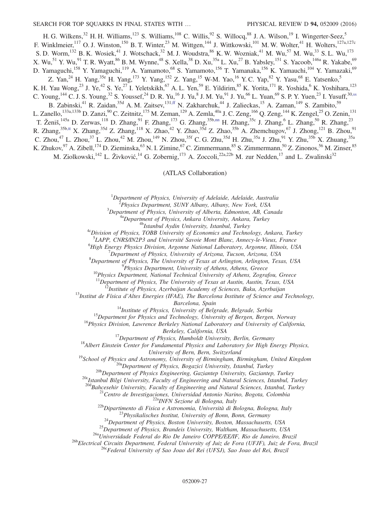H. G. Wilkens,<sup>32</sup> H. H. Williams,<sup>123</sup> S. Williams,<sup>108</sup> C. Willis,<sup>92</sup> S. Willocq,<sup>88</sup> J. A. Wilson,<sup>19</sup> I. Wingerter-Seez,<sup>5</sup> F. Winklmeier,<sup>117</sup> O. J. Winston,<sup>150</sup> B. T. Winter,<sup>23</sup> M. Wittgen,<sup>144</sup> J. Wittkowski,<sup>101</sup> M. W. Wolter,<sup>41</sup> H. Wolters,<sup>127a,127c</sup> S. D. Worm,  $^{132}$  B. K. Wosiek,  $^{41}$  J. Wotschack,  $^{32}$  M. J. Woudstra,  $^{86}$  K. W. Wozniak,  $^{41}$  M. Wu,  $^{57}$  M. Wu,  $^{33}$  S. L. Wu,  $^{173}$ X. Wu,<sup>51</sup> Y. Wu,<sup>91</sup> T. R. Wyatt,<sup>86</sup> B. M. Wynne,<sup>48</sup> S. Xella,<sup>38</sup> D. Xu,<sup>35a</sup> L. Xu,<sup>27</sup> B. Yabsley,<sup>151</sup> S. Yacoob,<sup>146a</sup> R. Yakabe,<sup>69</sup> D. Yamaguchi,<sup>158</sup> Y. Yamaguchi,<sup>119</sup> A. Yamamoto,<sup>68</sup> S. Yamamoto,<sup>156</sup> T. Yamanaka,<sup>156</sup> K. Yamauchi,<sup>104</sup> Y. Yamazaki,<sup>69</sup> Z. Yan,<sup>24</sup> H. Yang,<sup>35e</sup> H. Yang,<sup>173</sup> Y. Yang,<sup>152</sup> Z. Yang,<sup>15</sup> W-M. Yao,<sup>16</sup> Y. C. Yap,<sup>82</sup> Y. Yasu,<sup>68</sup> E. Yatsenko,<sup>5</sup> K. H. Yau Wong,<sup>23</sup> J. Ye,<sup>42</sup> S. Ye,<sup>27</sup> I. Yeletskikh,<sup>67</sup> A. L. Yen,<sup>59</sup> E. Yildirim,<sup>85</sup> K. Yorita,<sup>171</sup> R. Yoshida,<sup>6</sup> K. Yoshihara,<sup>123</sup> C. Young,  $^{144}$  C. J. S. Young,  $^{32}$  S. Youssef,  $^{24}$  D. R. Yu,  $^{16}$  J. Yu,  $^{8}$  J. M. Yu,  $^{91}$  J. Yu,  $^{66}$  L. Yuan,  $^{69}$  S. P. Y. Yuen,  $^{23}$  I. Yusuff,  $^{30,ss}$  $^{30,ss}$  $^{30,ss}$ B. Zabinski,<sup>41</sup> R. Zaidan,<sup>35d</sup> A. M. Zaitsev,<sup>13[1,ff](#page-31-14)</sup> N. Zakharchuk,<sup>44</sup> J. Zalieckas,<sup>15</sup> A. Zaman,<sup>149</sup> S. Zambito,<sup>59</sup> L. Zanello,<sup>133a,133b</sup> D. Zanzi,<sup>90</sup> C. Zeitnitz,<sup>175</sup> M. Zeman,<sup>129</sup> A. Zemla,<sup>40a</sup> J. C. Zeng,<sup>166</sup> Q. Zeng,<sup>144</sup> K. Zengel,<sup>25</sup> O. Zenin,<sup>131</sup> T. Ženiš,<sup>145a</sup> D. Zerwas,<sup>118</sup> D. Zhang,<sup>91</sup> F. Zhang,<sup>173</sup> G. Zhang,<sup>35[b,nn](#page-31-22)</sup> H. Zhang,<sup>35c</sup> J. Zhang,<sup>6</sup> L. Zhang,<sup>50</sup> R. Zhang,<sup>23</sup> R. Zhang,<sup>35[b,tt](#page-31-28)</sup> X. Zhang,<sup>35d</sup> Z. Zhang,<sup>118</sup> X. Zhao,<sup>42</sup> Y. Zhao,<sup>35d</sup> Z. Zhao,<sup>35b</sup> A. Zhemchugov,<sup>67</sup> J. Zhong,<sup>121</sup> B. Zhou,<sup>91</sup> C. Zhou,<sup>47</sup> L. Zhou,<sup>37</sup> L. Zhou,<sup>42</sup> M. Zhou,<sup>149</sup> N. Zhou,<sup>35f</sup> C. G. Zhu,<sup>35d</sup> H. Zhu,<sup>35a</sup> J. Zhu,<sup>91</sup> Y. Zhu,<sup>35b</sup> X. Zhuang,<sup>35a</sup> K. Zhukov, <sup>97</sup> A. Zibell, <sup>174</sup> D. Zieminska, <sup>63</sup> N. I. Zimine, <sup>67</sup> C. Zimmermann, <sup>85</sup> S. Zimmermann, <sup>50</sup> Z. Zinonos, <sup>56</sup> M. Zinser, <sup>85</sup> M. Ziolkowski, <sup>142</sup> L. Živković, <sup>14</sup> G. Zobernig, <sup>173</sup> A. Zoccoli, <sup>22a, 22b</sup> M. zur Nedden, <sup>17</sup> and L. Zwalinski<sup>32</sup>

## (ATLAS Collaboration)

 ${}^{1}$ Department of Physics, University of Adelaide, Adelaide, Australia

<sup>2</sup>Physics Department, SUNY Albany, Albany, New York, USA

 $3$ Department of Physics, University of Alberta, Edmonton, AB, Canada

<sup>4a</sup>Department of Physics, Ankara University, Ankara, Turkey

<sup>4b</sup>Istanbul Aydin University, Istanbul, Turkey

<sup>4c</sup>Division of Physics, TOBB University of Economics and Technology, Ankara, Turkey

<sup>5</sup>LAPP, CNRS/IN2P3 and Université Savoie Mont Blanc, Annecy-le-Vieux, France

<sup>6</sup>High Energy Physics Division, Argonne National Laboratory, Argonne, Illinois, USA

 $^7$ Department of Physics, University of Arizona, Tucson, Arizona, USA

<sup>8</sup>Department of Physics, The University of Texas at Arlington, Arlington, Texas, USA <sup>9</sup>Physics Department, University of Athens, Athens, Greece

 $10P$ hysics Department, National Technical University of Athens, Zografou, Greece

Department of Physics, The University of Texas at Austin, Austin, Texas, USA

 $12$ Institute of Physics, Azerbaijan Academy of Sciences, Baku, Azerbaijan

 $^{13}$ Institut de Física d'Altes Energies (IFAE), The Barcelona Institute of Science and Technology,

Barcelona, Spain

<sup>14</sup>Institute of Physics, University of Belgrade, Belgrade, Serbia

<sup>15</sup>Department for Physics and Technology, University of Bergen, Bergen, Norway

<sup>16</sup>Physics Division, Lawrence Berkeley National Laboratory and University of California,

Berkeley, California, USA

 $17$ Department of Physics, Humboldt University, Berlin, Germany

<sup>18</sup> Albert Einstein Center for Fundamental Physics and Laboratory for High Energy Physics,

University of Bern, Bern, Switzerland

<sup>19</sup>School of Physics and Astronomy, University of Birmingham, Birmingham, United Kingdom  $^{20a}$ Department of Physics, Bogazici University, Istanbul, Turkey

<sup>20b</sup>Department of Physics Engineering, Gaziantep University, Gaziantep, Turkey

 $20c$ Istanbul Bilgi University, Faculty of Engineering and Natural Sciences, Istanbul, Turkey

 $^{20d}$ Bahcesehir University, Faculty of Engineering and Natural Sciences, Istanbul, Turkey

<sup>21</sup> Centro de Investigaciones, Universidad Antonio Narino, Bogota, Colombia <sup>22a</sup>INFN Sezione di Bologna, Italy

 $2^{2b}$ Dipartimento di Fisica e Astronomia, Università di Bologna, Bologna, Italy

 $^{23}$ Physikalisches Institut, University of Bonn, Bonn, Germany

 $^{24}$ Department of Physics, Boston University, Boston, Massachusetts, USA

 $^{25}$ Department of Physics, Brandeis University, Waltham, Massachusetts, USA

<sup>26a</sup>Universidade Federal do Rio De Janeiro COPPE/EE/IF, Rio de Janeiro, Brazil

<sup>26b</sup>Electrical Circuits Department, Federal University of Juiz de Fora (UFJF), Juiz de Fora, Brazil

<sup>26c</sup>Federal University of Sao Joao del Rei (UFSJ), Sao Joao del Rei, Brazil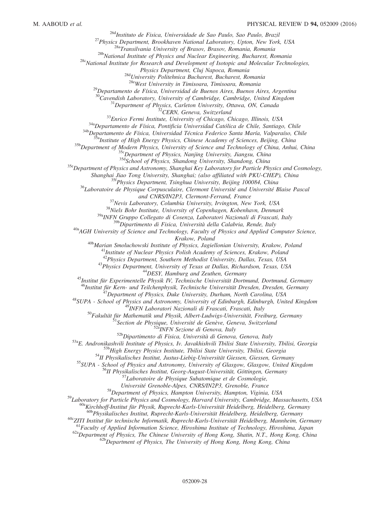<sup>26d</sup>Instituto de Fisica, Universidade de Sao Paulo, Sao Paulo, Brazil

<sup>27</sup>Physics Department, Brookhaven National Laboratory, Upton, New York, USA

<sup>28a</sup>Transilvania University of Brasov, Brasov, Romania, Romania

<sup>28b</sup>National Institute of Physics and Nuclear Engineering, Bucharest, Romania

<sup>28c</sup>National Institute for Research and Development of Isotopic and Molecular Technologies,

Physics Department, Cluj Napoca, Romania

 $^{28d}$ University Politehnica Bucharest, Bucharest, Romania

<sup>28e</sup>West University in Timisoara, Timisoara, Romania

<sup>29</sup>Departamento de Física, Universidad de Buenos Aires, Buenos Aires, Argentina

 $30$ Cavendish Laboratory, University of Cambridge, Cambridge, United Kingdom

 $31$ Department of Physics, Carleton University, Ottawa, ON, Canada

<sup>32</sup>CERN, Geneva, Switzerland

 $33$ Enrico Fermi Institute, University of Chicago, Chicago, Illinois, USA

<sup>34a</sup>Departamento de Física, Pontificia Universidad Católica de Chile, Santiago, Chile

<sup>34b</sup>Departamento de Física, Universidad Técnica Federico Santa María, Valparaíso, Chile

 $\alpha$ <sup>a</sup>Institute of High Energy Physics, Chinese Academy of Sciences, Beijing, China

<sup>35b</sup>Department of Modern Physics, University of Science and Technology of China, Anhui, China

<sup>35c</sup>Department of Physics, Nanjing University, Jiangsu, China

35d School of Physics, Shandong University, Shandong, China

<sup>35e</sup>Department of Physics and Astronomy, Shanghai Key Laboratory for Particle Physics and Cosmology,

Shanghai Jiao Tong University, Shanghai; (also affiliated with PKU-CHEP), China

<sup>35f</sup>Physics Department, Tsinghua University, Beijing 100084, China

<sup>36</sup>Laboratoire de Physique Corpusculaire, Clermont Université and Université Blaise Pascal

and CNRS/IN2P3, Clermont-Ferrand, France

 $37$ Nevis Laboratory, Columbia University, Irvington, New York, USA

<sup>38</sup>Niels Bohr Institute, University of Copenhagen, Kobenhavn, Denmark

<sup>39a</sup>INFN Gruppo Collegato di Cosenza, Laboratori Nazionali di Frascati, Italy

<sup>39b</sup>Dipartimento di Fisica, Università della Calabria, Rende, Italy

 $40a$ <sub>AGH</sub> University of Science and Technology, Faculty of Physics and Applied Computer Science,

Krakow, Poland

<sup>40b</sup>Marian Smoluchowski Institute of Physics, Jagiellonian University, Krakow, Poland

<sup>41</sup>Institute of Nuclear Physics Polish Academy of Sciences, Krakow, Poland

<sup>42</sup>Physics Department, Southern Methodist University, Dallas, Texas, USA

<sup>43</sup>Physics Department, University of Texas at Dallas, Richardson, Texas, USA

<sup>44</sup>DESY, Hamburg and Zeuthen, Germany

<sup>45</sup>Institut für Experimentelle Physik IV, Technische Universität Dortmund, Dortmund, Germany

<sup>46</sup>Institut für Kern- und Teilchenphysik, Technische Universität Dresden, Dresden, Germany

<sup>47</sup>Department of Physics, Duke University, Durham, North Carolina, USA

<sup>48</sup>SUPA - School of Physics and Astronomy, University of Edinburgh, Edinburgh, United Kingdom <sup>49</sup>INFN Laboratori Nazionali di Frascati, Frascati, Italy

<sup>50</sup>Fakultät für Mathematik und Physik, Albert-Ludwigs-Universität, Freiburg, Germany

<sup>51</sup>Section de Physique, Université de Genève, Geneva, Switzerland

52<sup>a</sup>INFN Sezione di Genova, Italy

52b Dipartimento di Fisica, Università di Genova, Genova, Italy

53aE. Andronikashvili Institute of Physics, Iv. Javakhishvili Tbilisi State University, Tbilisi, Georgia

53b<sub>High</sub> Energy Physics Institute, Tbilisi State University, Tbilisi, Georgia

<sup>54</sup>II Physikalisches Institut, Justus-Liebig-Universität Giessen, Giessen, Germany

<sup>55</sup>SUPA - School of Physics and Astronomy, University of Glasgow, Glasgow, United Kingdom

<sup>56</sup>II Physikalisches Institut, Georg-August-Universität, Göttingen, Germany

 $57$ Laboratoire de Physique Subatomique et de Cosmologie,

Université Grenoble-Alpes, CNRS/IN2P3, Grenoble, France

<sup>58</sup>Department of Physics, Hampton University, Hampton, Viginia, USA

<sup>59</sup>Laboratory for Particle Physics and Cosmology, Harvard University, Cambridge, Massachusetts, USA

<sup>60a</sup>Kirchhoff-Institut für Physik, Ruprecht-Karls-Universität Heidelberg, Heidelberg, Germany

60bPhysikalisches Institut, Ruprecht-Karls-Universität Heidelberg, Heidelberg, Germany

<sup>60c</sup>ZITI Institut für technische Informatik, Ruprecht-Karls-Universität Heidelberg, Mannheim, Germany

 $<sup>61</sup>Faculty$  of Applied Information Science, Hiroshima Institute of Technology, Hiroshima, Japan</sup>

62aDepartment of Physics, The Chinese University of Hong Kong, Shatin, N.T., Hong Kong, China

 $^{62b}$ Department of Physics, The University of Hong Kong, Hong Kong, China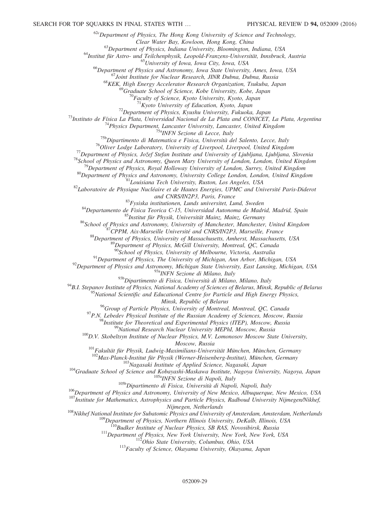$62c$ Department of Physics, The Hong Kong University of Science and Technology,

Clear Water Bay, Kowloon, Hong Kong, China

<sup>63</sup>Department of Physics, Indiana University, Bloomington, Indiana, USA

<sup>64</sup>Institut für Astro- und Teilchenphysik, Leopold-Franzens-Universität, Innsbruck, Austria

<sup>65</sup>University of Iowa, Iowa City, Iowa, USA

<sup>66</sup>Department of Physics and Astronomy, Iowa State University, Ames, Iowa, USA

<sup>67</sup>Joint Institute for Nuclear Research, JINR Dubna, Dubna, Russia

<sup>68</sup>KEK, High Energy Accelerator Research Organization, Tsukuba, Japan

<sup>69</sup>Graduate School of Science, Kobe University, Kobe, Japan

Faculty of Science, Kyoto University, Kyoto, Japan

 $71$ Kyoto University of Education, Kyoto, Japan

 $12$ Department of Physics, Kyushu University, Fukuoka, Japan

 $^{73}$ Instituto de Física La Plata, Universidad Nacional de La Plata and CONICET, La Plata, Argentina

 $^{74}$ Physics Department, Lancaster University, Lancaster, United Kingdom

75aINFN Sezione di Lecce, Italy

 $^{75b}$ Dipartimento di Matematica e Fisica, Università del Salento, Lecce, Italy

 $76$ Oliver Lodge Laboratory, University of Liverpool, Liverpool, United Kingdom

 $^{77}$ Department of Physics, Jožef Stefan Institute and University of Ljubljana, Ljubljana, Slovenia

 $^{78}$ School of Physics and Astronomy, Queen Mary University of London, London, United Kingdom

 $^{79}$ Department of Physics, Royal Holloway University of London, Surrey, United Kingdom

80 Department of Physics and Astronomy, University College London, London, United Kingdom

<sup>81</sup>Louisiana Tech University, Ruston, Los Angeles, USA

 $82$ Laboratoire de Physique Nucléaire et de Hautes Energies, UPMC and Université Paris-Diderot

and CNRS/IN2P3, Paris, France

 $83$ Fysiska institutionen, Lunds universitet, Lund, Sweden

<sup>84</sup>Departamento de Fisica Teorica C-15, Universidad Autonoma de Madrid, Madrid, Spain

<sup>85</sup>Institut für Physik, Universität Mainz, Mainz, Germany

<sup>86</sup>School of Physics and Astronomy, University of Manchester, Manchester, United Kingdom

 $87$ CPPM, Aix-Marseille Université and CNRS/IN2P3, Marseille, France

 $88$ Department of Physics, University of Massachusetts, Amherst, Massachusetts, USA

 $^{89}$ Department of Physics, McGill University, Montreal, QC, Canada

 $^{90}$ School of Physics, University of Melbourne, Victoria, Australia

 $91$ Department of Physics, The University of Michigan, Ann Arbor, Michigan, USA

 $92$ Department of Physics and Astronomy, Michigan State University, East Lansing, Michigan, USA

<sup>93a</sup>INFN Sezione di Milano, Italy

93bDipartimento di Fisica, Università di Milano, Milano, Italy

 $94$ B.I. Stepanov Institute of Physics, National Academy of Sciences of Belarus, Minsk, Republic of Belarus

 $^{95}$ National Scientific and Educational Centre for Particle and High Energy Physics,

Minsk, Republic of Belarus

 $96$ Group of Particle Physics, University of Montreal, Montreal, QC, Canada

 $97$ P.N. Lebedev Physical Institute of the Russian Academy of Sciences, Moscow, Russia

 $98$ Institute for Theoretical and Experimental Physics (ITEP), Moscow, Russia

<sup>99</sup>National Research Nuclear University MEPhI, Moscow, Russia

 $100$ D.V. Skobeltsyn Institute of Nuclear Physics, M.V. Lomonosov Moscow State University,

Moscow, Russia

 $101$ Fakultät für Physik, Ludwig-Maximilians-Universität München, München, Germany

<sup>102</sup>Max-Planck-Institut für Physik (Werner-Heisenberg-Institut), München, Germany

<sup>103</sup>Nagasaki Institute of Applied Science, Nagasaki, Japan

<sup>104</sup>Graduate School of Science and Kobayashi-Maskawa Institute, Nagoya University, Nagoya, Japan <sup>105a</sup>INFN Sezione di Napoli, Italy

105b Dipartimento di Fisica, Università di Napoli, Napoli, Italy

<sup>106</sup>Department of Physics and Astronomy, University of New Mexico, Albuquerque, New Mexico, USA

 $107$ Institute for Mathematics, Astrophysics and Particle Physics, Radboud University Nijmegen/Nikhef, Nijmegen, Netherlands

<sup>108</sup>Nikhef National Institute for Subatomic Physics and University of Amsterdam, Amsterdam, Netherlands

<sup>109</sup>Department of Physics, Northern Illinois University, DeKalb, Illinois, USA

<sup>110</sup>Budker Institute of Nuclear Physics, SB RAS, Novosibirsk, Russia

<sup>111</sup>Department of Physics, New York University, New York, New York, USA

 $112$ Ohio State University, Columbus, Ohio, USA

<sup>113</sup>Faculty of Science, Okayama University, Okayama, Japan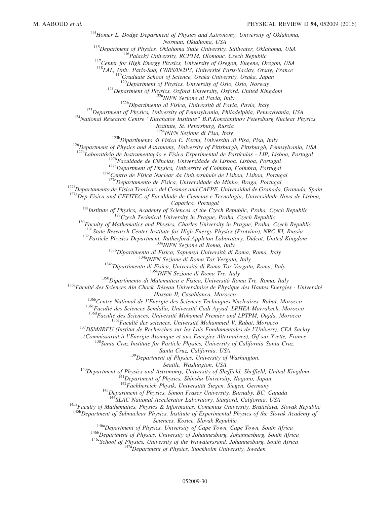$114$ Homer L. Dodge Department of Physics and Astronomy, University of Oklahoma,

Norman, Oklahoma, USA

<sup>115</sup>Department of Physics, Oklahoma State University, Stillwater, Oklahoma, USA

 $116$ Palacký University, RCPTM, Olomouc, Czech Republic

<sup>117</sup>Center for High Energy Physics, University of Oregon, Eugene, Oregon, USA

<sup>118</sup>LAL, Univ. Paris-Sud, CNRS/IN2P3, Université Paris-Saclay, Orsay, France

 $119$ Graduate School of Science, Osaka University, Osaka, Japan

 $120$ Department of Physics, University of Oslo, Oslo, Norway

 $121$ Department of Physics, Oxford University, Oxford, United Kingdom

<sup>122a</sup>INFN Sezione di Pavia, Italy

<sup>122b</sup>Dipartimento di Fisica, Università di Pavia, Pavia, Italy

 $^{123}$ Department of Physics, University of Pennsylvania, Philadelphia, Pennsylvania, USA

<sup>124</sup>National Research Centre "Kurchatov Institute" B.P.Konstantinov Petersburg Nuclear Physics

Institute, St. Petersburg, Russia

<sup>125a</sup>INFN Sezione di Pisa, Italy

<sup>125b</sup>Dipartimento di Fisica E. Fermi, Università di Pisa, Pisa, Italy

<sup>126</sup>Department of Physics and Astronomy, University of Pittsburgh, Pittsburgh, Pennsylvania, USA

 $127a$ Laboratório de Instrumentação e Física Experimental de Partículas - LIP, Lisboa, Portugal

<sup>127b</sup>Faculdade de Ciências, Universidade de Lisboa, Lisboa, Portugal

<sup>127c</sup>Department of Physics, University of Coimbra, Coimbra, Portugal

<sup>127d</sup>Centro de Física Nuclear da Universidade de Lisboa, Lisboa, Portugal

<sup>127e</sup>Departamento de Fisica, Universidade do Minho, Braga, Portugal

 $127f$ Departamento de Fisica Teorica y del Cosmos and CAFPE, Universidad de Granada, Granada, Spain

 $127\frac{g}{p}$ ep Fisica and CEFITEC of Faculdade de Ciencias e Tecnologia, Universidade Nova de Lisboa,

Caparica, Portugal

 $128$ Institute of Physics, Academy of Sciences of the Czech Republic, Praha, Czech Republic  $129C$ zech Technical University in Prague, Praha, Czech Republic

 $130$ Faculty of Mathematics and Physics, Charles University in Prague, Praha, Czech Republic

<sup>131</sup>State Research Center Institute for High Energy Physics (Protvino), NRC KI, Russia

<sup>132</sup> Particle Physics Department, Rutherford Appleton Laboratory, Didcot, United Kingdom 133a<sub>INFN</sub> Sezione di Roma, Italy

<sup>133b</sup>Dipartimento di Fisica, Sapienza Università di Roma, Roma, Italy

134a<sub>INFN</sub> Sezione di Roma Tor Vergata, Italy

<sup>134b</sup>Dipartimento di Fisica, Università di Roma Tor Vergata, Roma, Italy

<sup>135a</sup>INFN Sezione di Roma Tre, Italy

 $135b$ Dipartimento di Matematica e Fisica, Università Roma Tre, Roma, Italy

<sup>136a</sup>Faculté des Sciences Ain Chock, Réseau Universitaire de Physique des Hautes Energies - Université

Hassan II, Casablanca, Morocco

<sup>136b</sup>Centre National de l'Energie des Sciences Techniques Nucleaires, Rabat, Morocco

136c Faculté des Sciences Semlalia, Université Cadi Ayyad, LPHEA-Marrakech, Morocco

<sup>136d</sup>Faculté des Sciences, Université Mohamed Premier and LPTPM, Oujda, Morocco

<sup>136e</sup>Faculté des sciences, Université Mohammed V, Rabat, Morocco

<span id="page-30-3"></span><span id="page-30-1"></span><span id="page-30-0"></span> $137$ DSM/IRFU (Institut de Recherches sur les Lois Fondamentales de l'Univers), CEA Saclay

(Commissariat à l'Energie Atomique et aux Energies Alternatives), Gif-sur-Yvette, France

<sup>138</sup>Santa Cruz Institute for Particle Physics, University of California Santa Cruz,

Santa Cruz, California, USA

 $139$ Department of Physics, University of Washington,

Seattle, Washington, USA

<span id="page-30-6"></span><span id="page-30-5"></span><span id="page-30-4"></span><span id="page-30-2"></span><sup>140</sup>Department of Physics and Astronomy, University of Sheffield, Sheffield, United Kingdom

<sup>141</sup>Department of Physics, Shinshu University, Nagano, Japan

 $142$ Fachbereich Physik, Universität Siegen, Siegen, Germany

<sup>143</sup>Department of Physics, Simon Fraser University, Burnaby, BC, Canada

<sup>144</sup>SLAC National Accelerator Laboratory, Stanford, California, USA

<span id="page-30-13"></span><span id="page-30-12"></span><span id="page-30-11"></span><span id="page-30-10"></span><span id="page-30-9"></span><span id="page-30-8"></span><span id="page-30-7"></span> $145a$ Faculty of Mathematics, Physics & Informatics, Comenius University, Bratislava, Slovak Republic

<span id="page-30-16"></span><span id="page-30-15"></span><span id="page-30-14"></span><sup>145b</sup>Department of Subnuclear Physics, Institute of Experimental Physics of the Slovak Academy of

Sciences, Kosice, Slovak Republic

 $146a$ Department of Physics, University of Cape Town, Cape Town, South Africa

146b Department of Physics, University of Johannesburg, Johannesburg, South Africa

146cSchool of Physics, University of the Witwatersrand, Johannesburg, South Africa

 $147a$ Department of Physics, Stockholm University, Sweden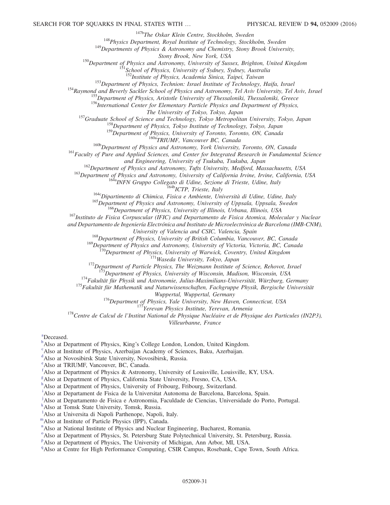<sup>147b</sup>The Oskar Klein Centre, Stockholm, Sweden

 $148$ Physics Department, Royal Institute of Technology, Stockholm, Sweden

<sup>149</sup>Departments of Physics & Astronomy and Chemistry, Stony Brook University,

Stony Brook, New York, USA

<span id="page-31-3"></span><span id="page-31-2"></span><span id="page-31-1"></span><span id="page-31-0"></span><sup>150</sup>Department of Physics and Astronomy, University of Sussex, Brighton, United Kingdom

<sup>151</sup>School of Physics, University of Sydney, Sydney, Australia

<sup>152</sup>Institute of Physics, Academia Sinica, Taipei, Taiwan

<sup>153</sup>Department of Physics, Technion: Israel Institute of Technology, Haifa, Israel

<span id="page-31-11"></span><span id="page-31-10"></span><span id="page-31-9"></span><span id="page-31-8"></span><span id="page-31-7"></span><span id="page-31-6"></span><span id="page-31-5"></span><span id="page-31-4"></span><sup>154</sup>Raymond and Beverly Sackler School of Physics and Astronomy, Tel Aviv University, Tel Aviv, Israel

<sup>155</sup>Department of Physics, Aristotle University of Thessaloniki, Thessaloniki, Greece

<sup>156</sup>International Center for Elementary Particle Physics and Department of Physics,

The University of Tokyo, Tokyo, Japan

<span id="page-31-12"></span><sup>157</sup>Graduate School of Science and Technology, Tokyo Metropolitan University, Tokyo, Japan

<sup>158</sup>Department of Physics, Tokyo Institute of Technology, Tokyo, Japan

<sup>159</sup>Department of Physics, University of Toronto, Toronto, ON, Canada

<sup>160a</sup>TRIUMF, Vancouver BC, Canada

<sup>160b</sup>Department of Physics and Astronomy, York University, Toronto, ON, Canada

<span id="page-31-19"></span><span id="page-31-18"></span><span id="page-31-17"></span><span id="page-31-16"></span><span id="page-31-15"></span><span id="page-31-14"></span><span id="page-31-13"></span><sup>161</sup> Faculty of Pure and Applied Sciences, and Center for Integrated Research in Fundamental Science

and Engineering, University of Tsukuba, Tsukuba, Japan

<sup>162</sup>Department of Physics and Astronomy, Tufts University, Medford, Massachusetts, USA

<span id="page-31-21"></span><span id="page-31-20"></span><sup>163</sup>Department of Physics and Astronomy, University of California Irvine, Irvine, California, USA

<sup>164a</sup>INFN Gruppo Collegato di Udine, Sezione di Trieste, Udine, Italy

<sup>164b</sup>ICTP, Trieste, Italy

<sup>164c</sup>Dipartimento di Chimica, Fisica e Ambiente, Università di Udine, Udine, Italy

<sup>165</sup>Department of Physics and Astronomy, University of Uppsala, Uppsala, Sweden

<sup>166</sup>Department of Physics, University of Illinois, Urbana, Illinois, USA

<span id="page-31-24"></span><span id="page-31-23"></span><span id="page-31-22"></span><sup>167</sup>Instituto de Fisica Corpuscular (IFIC) and Departamento de Fisica Atomica, Molecular y Nuclear

<span id="page-31-28"></span><span id="page-31-27"></span><span id="page-31-26"></span><span id="page-31-25"></span>and Departamento de Ingeniería Electrónica and Instituto de Microelectrónica de Barcelona (IMB-CNM),

University of Valencia and CSIC, Valencia, Spain

 $^{168}$ Department of Physics, University of British Columbia, Vancouver, BC, Canada

<sup>169</sup>Department of Physics and Astronomy, University of Victoria, Victoria, BC, Canada

 $170$ Department of Physics, University of Warwick, Coventry, United Kingdom

171Waseda University, Tokyo, Japan

<sup>172</sup>Department of Particle Physics, The Weizmann Institute of Science, Rehovot, Israel

<sup>173</sup>Department of Physics, University of Wisconsin, Madison, Wisconsin, USA

 $174$ Fakultät für Physik und Astronomie, Julius-Maximilians-Universität, Würzburg, Germany

<sup>175</sup>Fakultät für Mathematik und Naturwissenschaften, Fachgruppe Physik, Bergische Universität

Wuppertal, Wuppertal, Germany

<sup>176</sup>Department of Physics, Yale University, New Haven, Connecticut, USA

<sup>7</sup>Yerevan Physics Institute, Yerevan, Armenia

 $1^{178}$ Centre de Calcul de l'Institut National de Physique Nucléaire et de Physique des Particules (IN2P3),

Villeurbanne, France

<sup>[a](#page-18-9)</sup>Deceased.

<sup>[b](#page-18-10)</sup>Also at Department of Physics, King's College London, London, United Kingdom.

<sup>[c](#page-18-11)</sup>Also at Institute of Physics, Azerbaijan Academy of Sciences, Baku, Azerbaijan.

[d](#page-18-12)Also at Novosibirsk State University, Novosibirsk, Russia.

[e](#page-18-13)Also at TRIUMF, Vancouver, BC, Canada.

 $f$ Also at Department of Physics & Astronomy, University of Louisville, Louisville, KY, USA.

<sup>[g](#page-18-15)</sup>Also at Department of Physics, California State University, Fresno, CA, USA.

[h](#page-18-16)Also at Department of Physics, University of Fribourg, Fribourg, Switzerland.

[i](#page-19-0)Also at Departament de Fisica de la Universitat Autonoma de Barcelona, Barcelona, Spain.

<sup>[j](#page-19-1)</sup>Also at Departamento de Fisica e Astronomia, Faculdade de Ciencias, Universidade do Porto, Portugal.

[k](#page-19-2)Also at Tomsk State University, Tomsk, Russia.

<sup>1</sup>A[l](#page-19-3)so at Universita di Napoli Parthenope, Napoli, Italy.

[m](#page-19-4)Also at Institute of Particle Physics (IPP), Canada.

<sup>[n](#page-20-0)</sup>Also at National Institute of Physics and Nuclear Engineering, Bucharest, Romania.

<sup>[o](#page-20-1)</sup>Also at Department of Physics, St. Petersburg State Polytechnical University, St. Petersburg, Russia.

<su[p](#page-20-2)>p</sup>Also at Department of Physics, The University of Michigan, Ann Arbor, MI, USA.

<sup>[q](#page-21-0)</sup>Also at Centre for High Performance Computing, CSIR Campus, Rosebank, Cape Town, South Africa.